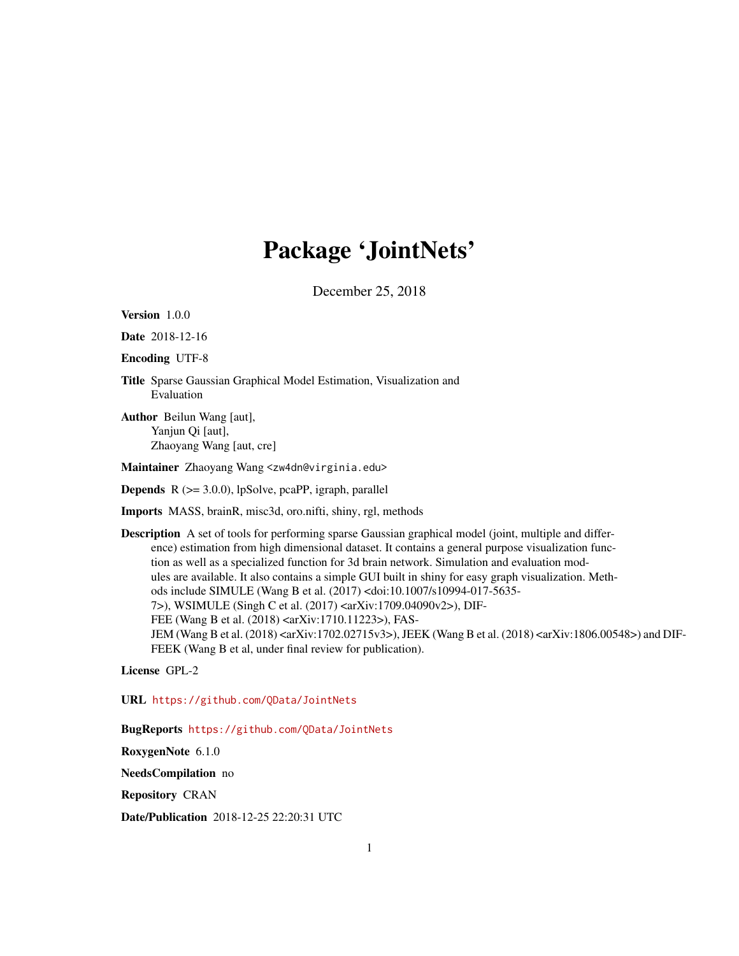# Package 'JointNets'

December 25, 2018

<span id="page-0-0"></span>Version 1.0.0

Date 2018-12-16

Encoding UTF-8

Title Sparse Gaussian Graphical Model Estimation, Visualization and Evaluation

Author Beilun Wang [aut], Yanjun Qi [aut], Zhaoyang Wang [aut, cre]

Maintainer Zhaoyang Wang <zw4dn@virginia.edu>

**Depends**  $R$  ( $>= 3.0.0$ ), lpSolve, pcaPP, igraph, parallel

Imports MASS, brainR, misc3d, oro.nifti, shiny, rgl, methods

Description A set of tools for performing sparse Gaussian graphical model (joint, multiple and difference) estimation from high dimensional dataset. It contains a general purpose visualization function as well as a specialized function for 3d brain network. Simulation and evaluation modules are available. It also contains a simple GUI built in shiny for easy graph visualization. Methods include SIMULE (Wang B et al. (2017) <doi:10.1007/s10994-017-5635- 7>), WSIMULE (Singh C et al. (2017) <arXiv:1709.04090v2>), DIF-FEE (Wang B et al. (2018) <arXiv:1710.11223>), FAS-JEM (Wang B et al. (2018) <arXiv:1702.02715v3>), JEEK (Wang B et al. (2018) <arXiv:1806.00548>) and DIF-FEEK (Wang B et al, under final review for publication).

License GPL-2

URL <https://github.com/QData/JointNets>

BugReports <https://github.com/QData/JointNets>

RoxygenNote 6.1.0

NeedsCompilation no

Repository CRAN

Date/Publication 2018-12-25 22:20:31 UTC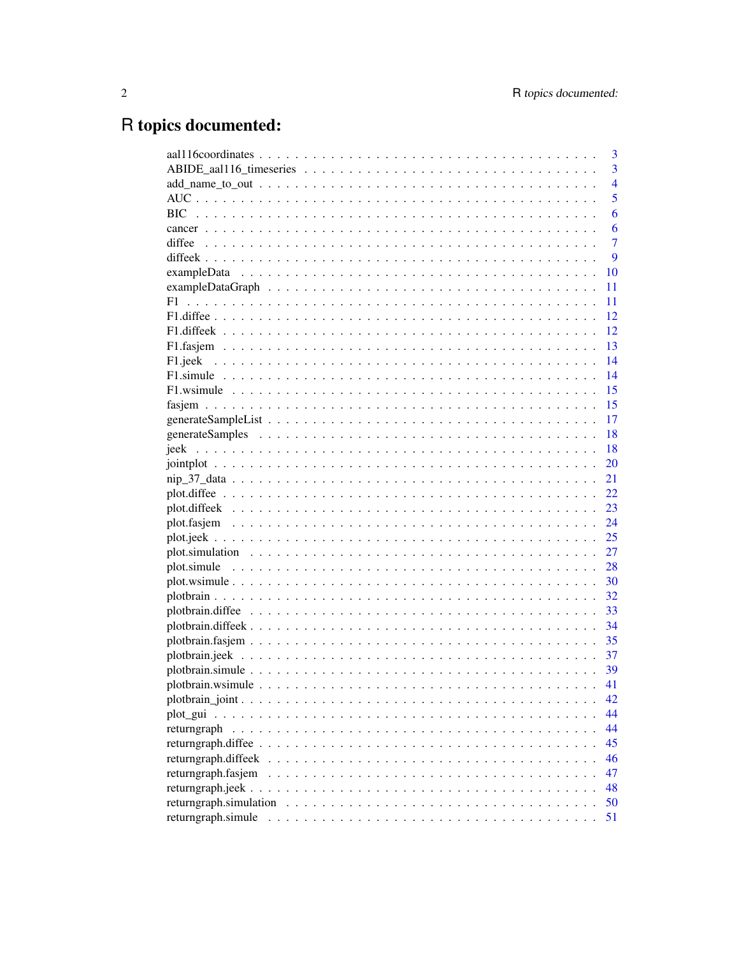# R topics documented:

|                        | 3              |
|------------------------|----------------|
|                        | $\overline{3}$ |
|                        | $\overline{4}$ |
|                        | 5              |
|                        | 6              |
|                        | 6              |
|                        | $\overline{7}$ |
|                        | 9              |
|                        | 10             |
|                        | 11             |
|                        | 11             |
|                        | 12             |
|                        | 12             |
|                        | 13             |
|                        | 14             |
|                        | 14             |
|                        | 15             |
|                        | 15             |
|                        | 17             |
|                        | 18             |
|                        | 18             |
|                        | 20             |
|                        | 21             |
|                        | 22             |
|                        | 23             |
|                        | 24             |
|                        | 25             |
|                        | 27             |
|                        | 28             |
|                        | 30             |
|                        | 32             |
|                        | 33             |
|                        | 34             |
|                        | 35             |
|                        | 37             |
|                        | 39             |
|                        | 41             |
|                        | 42             |
|                        | 44             |
| returngraph            | 44             |
|                        | 45             |
| returngraph.diffeek    | 46             |
| returngraph.fasjem     | 47             |
|                        | 48             |
| returngraph.simulation | 50             |
| returngraph.simule     | 51             |
|                        |                |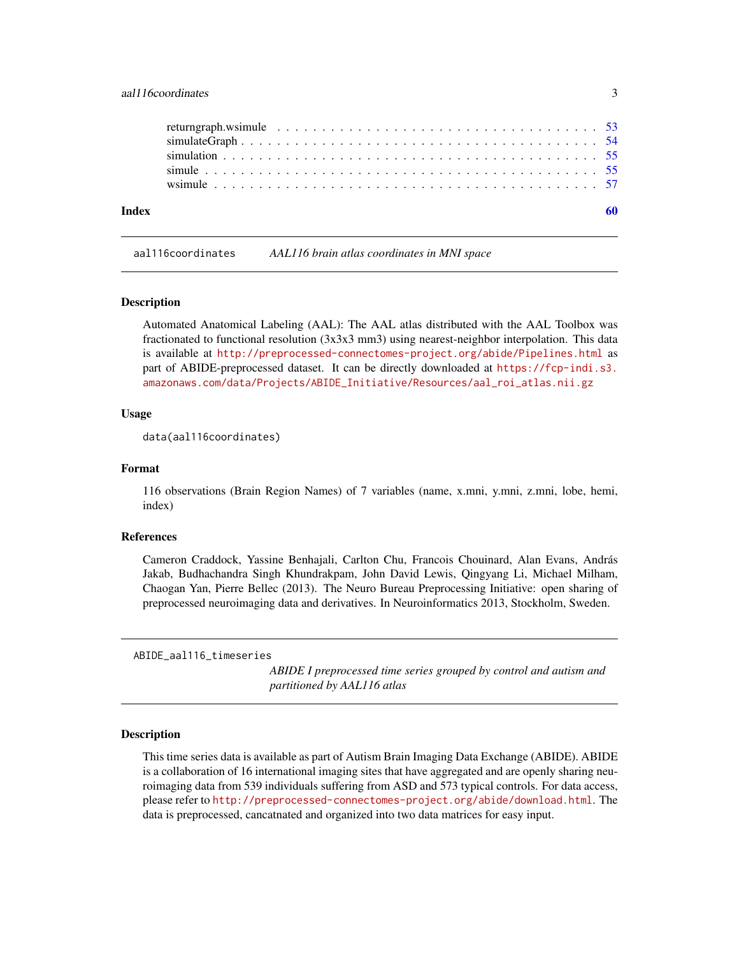# <span id="page-2-0"></span>aal116coordinates 3

| Index |                                                                                                                             |  |  |  |  |  |  |  |  |  |  |  |  |  |  |  |
|-------|-----------------------------------------------------------------------------------------------------------------------------|--|--|--|--|--|--|--|--|--|--|--|--|--|--|--|
|       |                                                                                                                             |  |  |  |  |  |  |  |  |  |  |  |  |  |  |  |
|       |                                                                                                                             |  |  |  |  |  |  |  |  |  |  |  |  |  |  |  |
|       |                                                                                                                             |  |  |  |  |  |  |  |  |  |  |  |  |  |  |  |
|       | $simulateGraph \dots \dots \dots \dots \dots \dots \dots \dots \dots \dots \dots \dots \dots \dots \dots \dots \dots \dots$ |  |  |  |  |  |  |  |  |  |  |  |  |  |  |  |
|       | returngraph.wsimule $\ldots \ldots \ldots \ldots \ldots \ldots \ldots \ldots \ldots \ldots \ldots \ldots \ldots$ 53         |  |  |  |  |  |  |  |  |  |  |  |  |  |  |  |

aal116coordinates *AAL116 brain atlas coordinates in MNI space*

#### **Description**

Automated Anatomical Labeling (AAL): The AAL atlas distributed with the AAL Toolbox was fractionated to functional resolution (3x3x3 mm3) using nearest-neighbor interpolation. This data is available at <http://preprocessed-connectomes-project.org/abide/Pipelines.html> as part of ABIDE-preprocessed dataset. It can be directly downloaded at [https://fcp-indi.s3.](https://fcp-indi.s3.amazonaws.com/data/Projects/ABIDE_Initiative/Resources/aal_roi_atlas.nii.gz) [amazonaws.com/data/Projects/ABIDE\\_Initiative/Resources/aal\\_roi\\_atlas.nii.gz](https://fcp-indi.s3.amazonaws.com/data/Projects/ABIDE_Initiative/Resources/aal_roi_atlas.nii.gz)

### Usage

data(aal116coordinates)

#### Format

116 observations (Brain Region Names) of 7 variables (name, x.mni, y.mni, z.mni, lobe, hemi, index)

#### References

Cameron Craddock, Yassine Benhajali, Carlton Chu, Francois Chouinard, Alan Evans, András Jakab, Budhachandra Singh Khundrakpam, John David Lewis, Qingyang Li, Michael Milham, Chaogan Yan, Pierre Bellec (2013). The Neuro Bureau Preprocessing Initiative: open sharing of preprocessed neuroimaging data and derivatives. In Neuroinformatics 2013, Stockholm, Sweden.

ABIDE\_aal116\_timeseries

*ABIDE I preprocessed time series grouped by control and autism and partitioned by AAL116 atlas*

### Description

This time series data is available as part of Autism Brain Imaging Data Exchange (ABIDE). ABIDE is a collaboration of 16 international imaging sites that have aggregated and are openly sharing neuroimaging data from 539 individuals suffering from ASD and 573 typical controls. For data access, please refer to <http://preprocessed-connectomes-project.org/abide/download.html>. The data is preprocessed, cancatnated and organized into two data matrices for easy input.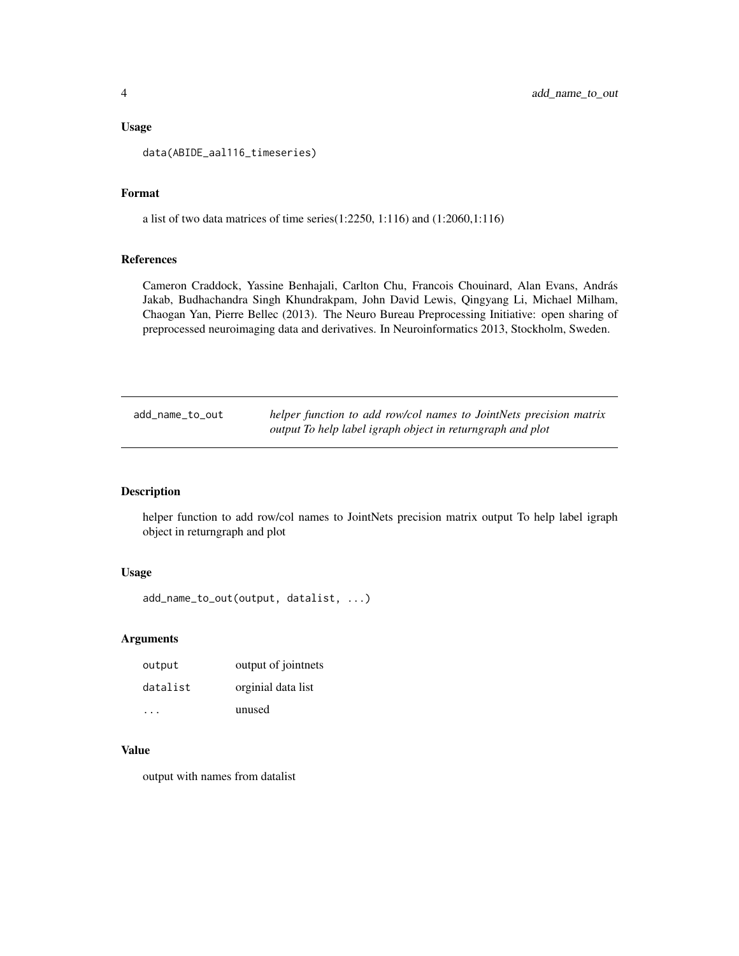#### <span id="page-3-0"></span>Usage

data(ABIDE\_aal116\_timeseries)

# Format

a list of two data matrices of time series(1:2250, 1:116) and (1:2060,1:116)

# References

Cameron Craddock, Yassine Benhajali, Carlton Chu, Francois Chouinard, Alan Evans, András Jakab, Budhachandra Singh Khundrakpam, John David Lewis, Qingyang Li, Michael Milham, Chaogan Yan, Pierre Bellec (2013). The Neuro Bureau Preprocessing Initiative: open sharing of preprocessed neuroimaging data and derivatives. In Neuroinformatics 2013, Stockholm, Sweden.

| add_name_to_out | helper function to add row/col names to JointNets precision matrix |
|-----------------|--------------------------------------------------------------------|
|                 | output To help label igraph object in returngraph and plot         |

# Description

helper function to add row/col names to JointNets precision matrix output To help label igraph object in returngraph and plot

#### Usage

```
add_name_to_out(output, datalist, ...)
```
#### Arguments

| output   | output of jointnets |
|----------|---------------------|
| datalist | orginial data list  |
|          | unused              |

# Value

output with names from datalist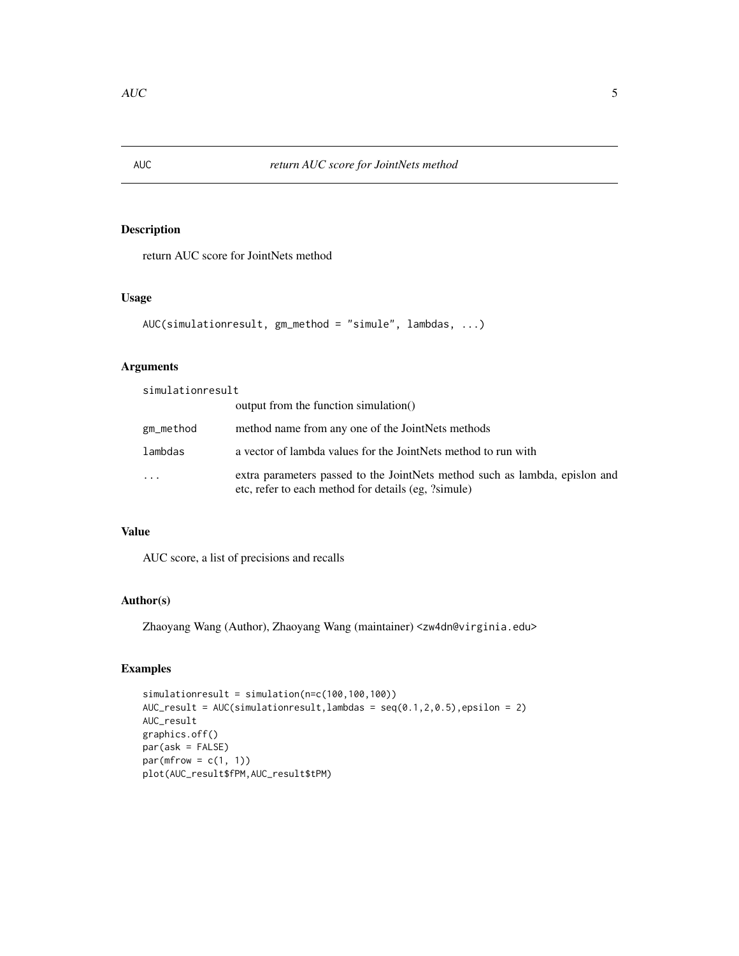<span id="page-4-0"></span>

# Description

return AUC score for JointNets method

# Usage

```
AUC(simulationresult, gm_method = "simule", lambdas, ...)
```
# Arguments

simulationresult

|           | output from the function simulation()                                                                                              |
|-----------|------------------------------------------------------------------------------------------------------------------------------------|
| gm_method | method name from any one of the JointNets methods                                                                                  |
| lambdas   | a vector of lambda values for the JointNets method to run with                                                                     |
| .         | extra parameters passed to the JointNets method such as lambda, epislon and<br>etc, refer to each method for details (eg, ?simule) |

# Value

AUC score, a list of precisions and recalls

# Author(s)

Zhaoyang Wang (Author), Zhaoyang Wang (maintainer) <zw4dn@virginia.edu>

# Examples

simulationresult = simulation(n=c(100,100,100)) AUC\_result =  $AUC(simulationresult,lambdas = seq(0.1, 2, 0.5), epsilon = 2)$ AUC\_result graphics.off() par(ask = FALSE)  $par(mfrow = c(1, 1))$ plot(AUC\_result\$fPM,AUC\_result\$tPM)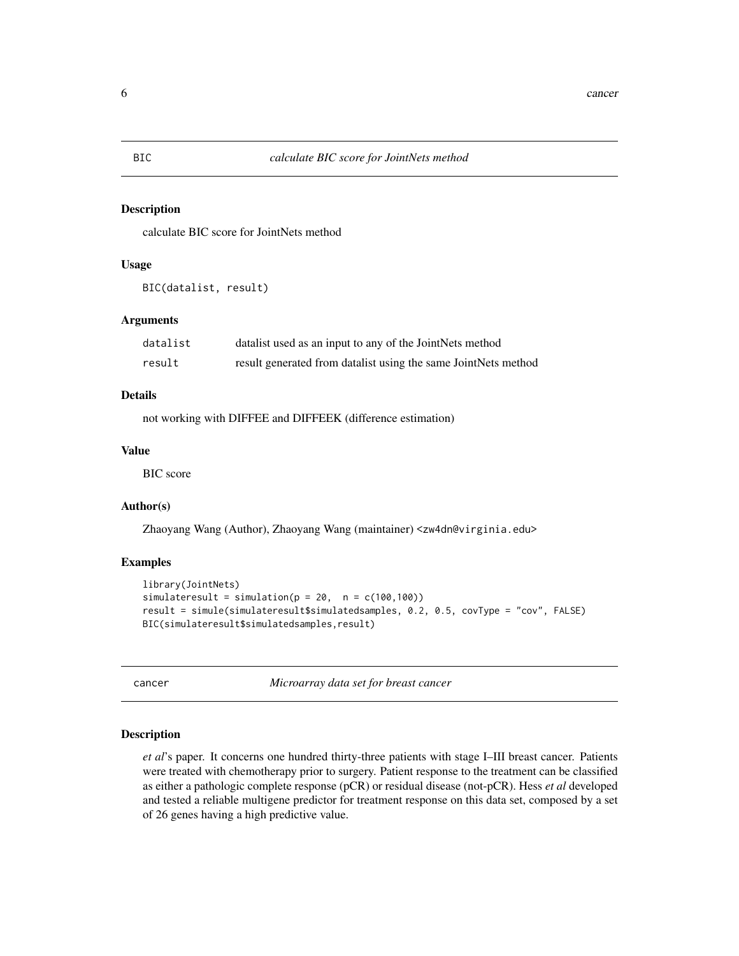#### Description

calculate BIC score for JointNets method

# Usage

```
BIC(datalist, result)
```
#### Arguments

| datalist | datalist used as an input to any of the JointNets method       |
|----------|----------------------------------------------------------------|
| result   | result generated from datalist using the same JointNets method |

#### Details

not working with DIFFEE and DIFFEEK (difference estimation)

# Value

BIC score

# Author(s)

Zhaoyang Wang (Author), Zhaoyang Wang (maintainer) <zw4dn@virginia.edu>

#### Examples

```
library(JointNets)
simulateresult = simulation(p = 20, n = c(100, 100))
result = simule(simulateresult$simulatedsamples, 0.2, 0.5, covType = "cov", FALSE)
BIC(simulateresult$simulatedsamples,result)
```
cancer *Microarray data set for breast cancer*

#### Description

*et al*'s paper. It concerns one hundred thirty-three patients with stage I–III breast cancer. Patients were treated with chemotherapy prior to surgery. Patient response to the treatment can be classified as either a pathologic complete response (pCR) or residual disease (not-pCR). Hess *et al* developed and tested a reliable multigene predictor for treatment response on this data set, composed by a set of 26 genes having a high predictive value.

<span id="page-5-0"></span>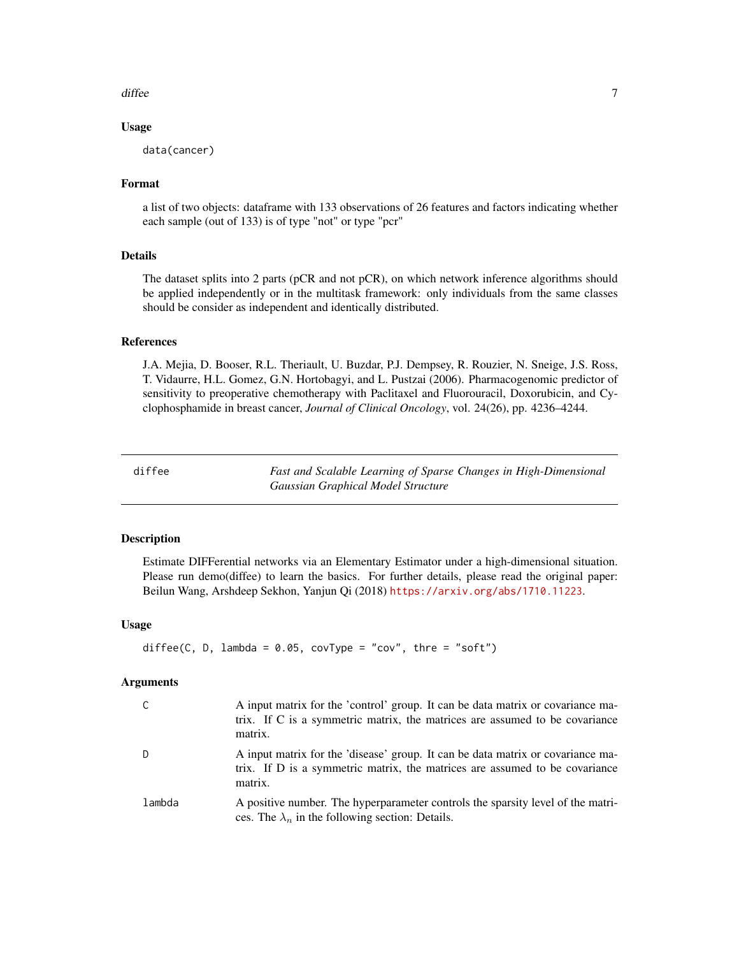#### <span id="page-6-0"></span>diffee 7 and 2008 and 2008 and 2008 and 2008 and 2008 and 2008 and 2008 and 2008 and 2008 and 2008 and 2008 and 2008 and 2008 and 2008 and 2008 and 2008 and 2008 and 2008 and 2008 and 2008 and 2008 and 2008 and 2008 and 20

#### Usage

data(cancer)

#### Format

a list of two objects: dataframe with 133 observations of 26 features and factors indicating whether each sample (out of 133) is of type "not" or type "pcr"

#### Details

The dataset splits into 2 parts (pCR and not pCR), on which network inference algorithms should be applied independently or in the multitask framework: only individuals from the same classes should be consider as independent and identically distributed.

# References

J.A. Mejia, D. Booser, R.L. Theriault, U. Buzdar, P.J. Dempsey, R. Rouzier, N. Sneige, J.S. Ross, T. Vidaurre, H.L. Gomez, G.N. Hortobagyi, and L. Pustzai (2006). Pharmacogenomic predictor of sensitivity to preoperative chemotherapy with Paclitaxel and Fluorouracil, Doxorubicin, and Cyclophosphamide in breast cancer, *Journal of Clinical Oncology*, vol. 24(26), pp. 4236–4244.

diffee *Fast and Scalable Learning of Sparse Changes in High-Dimensional Gaussian Graphical Model Structure*

# Description

Estimate DIFFerential networks via an Elementary Estimator under a high-dimensional situation. Please run demo(diffee) to learn the basics. For further details, please read the original paper: Beilun Wang, Arshdeep Sekhon, Yanjun Qi (2018) <https://arxiv.org/abs/1710.11223>.

#### Usage

```
diffec(C, D, lambda = 0.05, covType = "cov", three = "soft")
```

|        | A input matrix for the 'control' group. It can be data matrix or covariance ma-<br>trix. If C is a symmetric matrix, the matrices are assumed to be covariance<br>matrix. |
|--------|---------------------------------------------------------------------------------------------------------------------------------------------------------------------------|
|        | A input matrix for the 'disease' group. It can be data matrix or covariance ma-<br>trix. If D is a symmetric matrix, the matrices are assumed to be covariance<br>matrix. |
| lambda | A positive number. The hyperparameter controls the sparsity level of the matri-<br>ces. The $\lambda_n$ in the following section: Details.                                |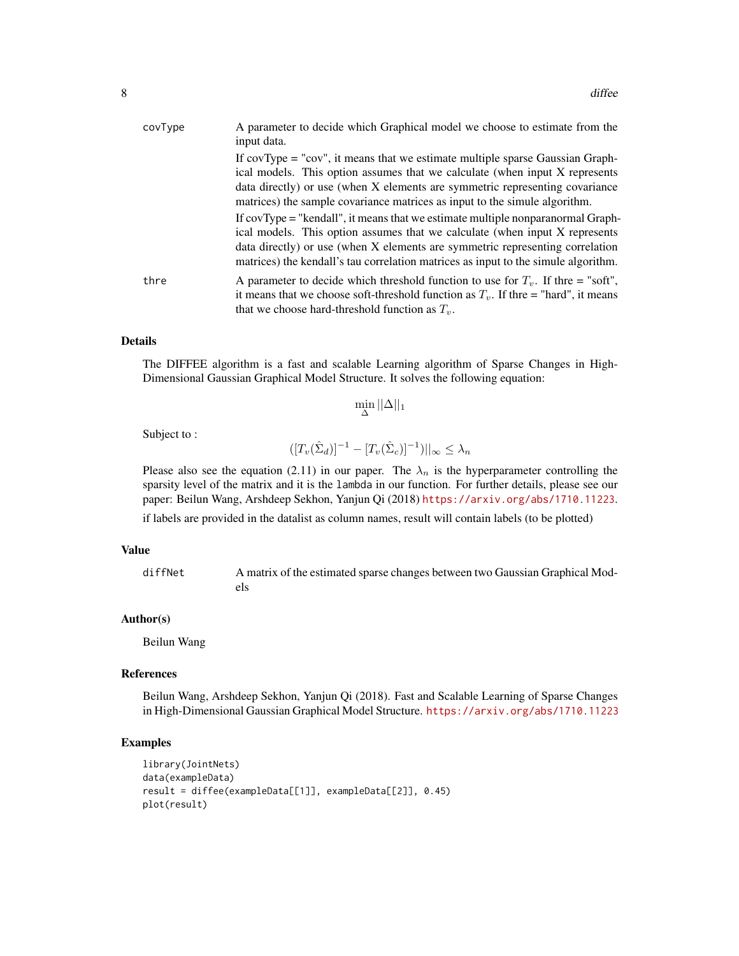| covType | A parameter to decide which Graphical model we choose to estimate from the<br>input data.                                                                                                                                                                                                                                             |
|---------|---------------------------------------------------------------------------------------------------------------------------------------------------------------------------------------------------------------------------------------------------------------------------------------------------------------------------------------|
|         | If covType = "cov", it means that we estimate multiple sparse Gaussian Graph-<br>ical models. This option assumes that we calculate (when input X represents<br>data directly) or use (when X elements are symmetric representing covariance<br>matrices) the sample covariance matrices as input to the simule algorithm.            |
|         | If covType = "kendall", it means that we estimate multiple nonparanormal Graph-<br>ical models. This option assumes that we calculate (when input X represents<br>data directly) or use (when X elements are symmetric representing correlation<br>matrices) the kendall's tau correlation matrices as input to the simule algorithm. |
| thre    | A parameter to decide which threshold function to use for $T_{\nu}$ . If thre = "soft",<br>it means that we choose soft-threshold function as $T_v$ . If thre = "hard", it means<br>that we choose hard-threshold function as $T_{\nu}$ .                                                                                             |

The DIFFEE algorithm is a fast and scalable Learning algorithm of Sparse Changes in High-Dimensional Gaussian Graphical Model Structure. It solves the following equation:

$$
\min_{\Delta} ||\Delta||_1
$$

Subject to :

$$
([T_v(\hat{\Sigma}_d)]^{-1} - [T_v(\hat{\Sigma}_c)]^{-1})||_{\infty} \leq \lambda_n
$$

Please also see the equation (2.11) in our paper. The  $\lambda_n$  is the hyperparameter controlling the sparsity level of the matrix and it is the lambda in our function. For further details, please see our paper: Beilun Wang, Arshdeep Sekhon, Yanjun Qi (2018) <https://arxiv.org/abs/1710.11223>.

if labels are provided in the datalist as column names, result will contain labels (to be plotted)

#### Value

diffNet A matrix of the estimated sparse changes between two Gaussian Graphical Models

# Author(s)

Beilun Wang

#### References

Beilun Wang, Arshdeep Sekhon, Yanjun Qi (2018). Fast and Scalable Learning of Sparse Changes in High-Dimensional Gaussian Graphical Model Structure. <https://arxiv.org/abs/1710.11223>

# Examples

```
library(JointNets)
data(exampleData)
result = diffee(exampleData[[1]], exampleData[[2]], 0.45)
plot(result)
```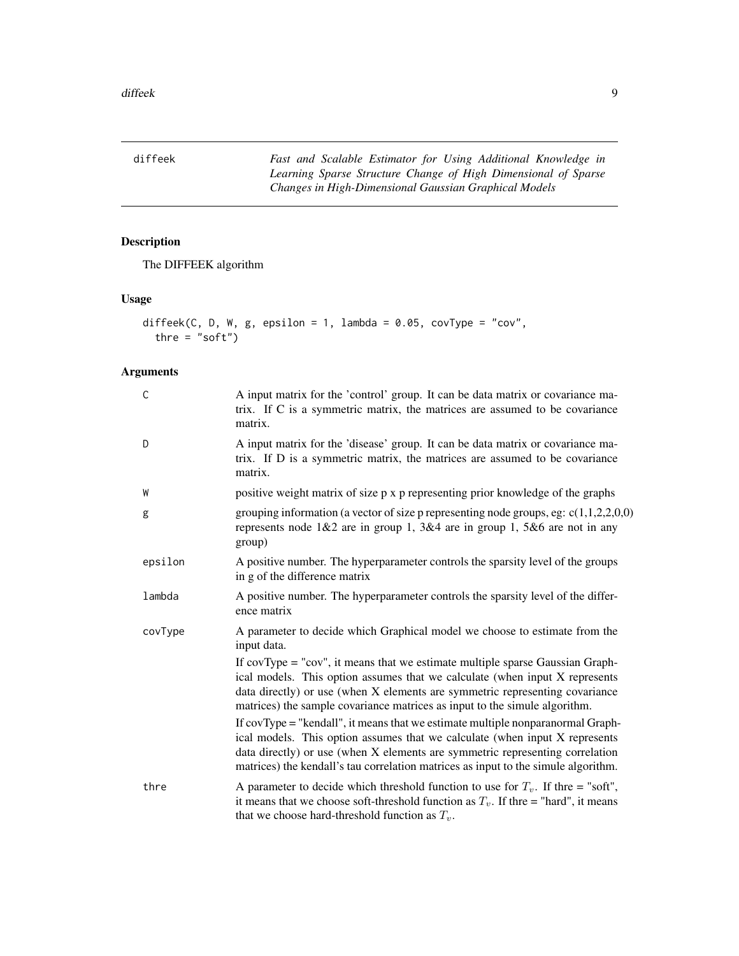<span id="page-8-0"></span>diffeek *Fast and Scalable Estimator for Using Additional Knowledge in Learning Sparse Structure Change of High Dimensional of Sparse Changes in High-Dimensional Gaussian Graphical Models*

# Description

The DIFFEEK algorithm

# Usage

```
diffeek(C, D, W, g, epsilon = 1, lambda = 0.05, covType = "cov",
  thre = "soft")
```

| $\mathsf{C}$ | A input matrix for the 'control' group. It can be data matrix or covariance ma-<br>trix. If C is a symmetric matrix, the matrices are assumed to be covariance<br>matrix.                                                                                                                                                             |
|--------------|---------------------------------------------------------------------------------------------------------------------------------------------------------------------------------------------------------------------------------------------------------------------------------------------------------------------------------------|
| D            | A input matrix for the 'disease' group. It can be data matrix or covariance ma-<br>trix. If D is a symmetric matrix, the matrices are assumed to be covariance<br>matrix.                                                                                                                                                             |
| W            | positive weight matrix of size p x p representing prior knowledge of the graphs                                                                                                                                                                                                                                                       |
| g            | grouping information (a vector of size p representing node groups, eg: $c(1,1,2,2,0,0)$<br>represents node $1&2$ are in group 1, $3&4$ are in group 1, $5&6$ are not in any<br>group)                                                                                                                                                 |
| epsilon      | A positive number. The hyperparameter controls the sparsity level of the groups<br>in g of the difference matrix                                                                                                                                                                                                                      |
| lambda       | A positive number. The hyperparameter controls the sparsity level of the differ-<br>ence matrix                                                                                                                                                                                                                                       |
| covType      | A parameter to decide which Graphical model we choose to estimate from the<br>input data.                                                                                                                                                                                                                                             |
|              | If $covType = "cov",$ it means that we estimate multiple sparse Gaussian Graph-<br>ical models. This option assumes that we calculate (when input X represents<br>data directly) or use (when X elements are symmetric representing covariance<br>matrices) the sample covariance matrices as input to the simule algorithm.          |
|              | If covType = "kendall", it means that we estimate multiple nonparanormal Graph-<br>ical models. This option assumes that we calculate (when input X represents<br>data directly) or use (when X elements are symmetric representing correlation<br>matrices) the kendall's tau correlation matrices as input to the simule algorithm. |
| thre         | A parameter to decide which threshold function to use for $T_v$ . If thre = "soft",<br>it means that we choose soft-threshold function as $T_v$ . If thre = "hard", it means<br>that we choose hard-threshold function as $T_v$ .                                                                                                     |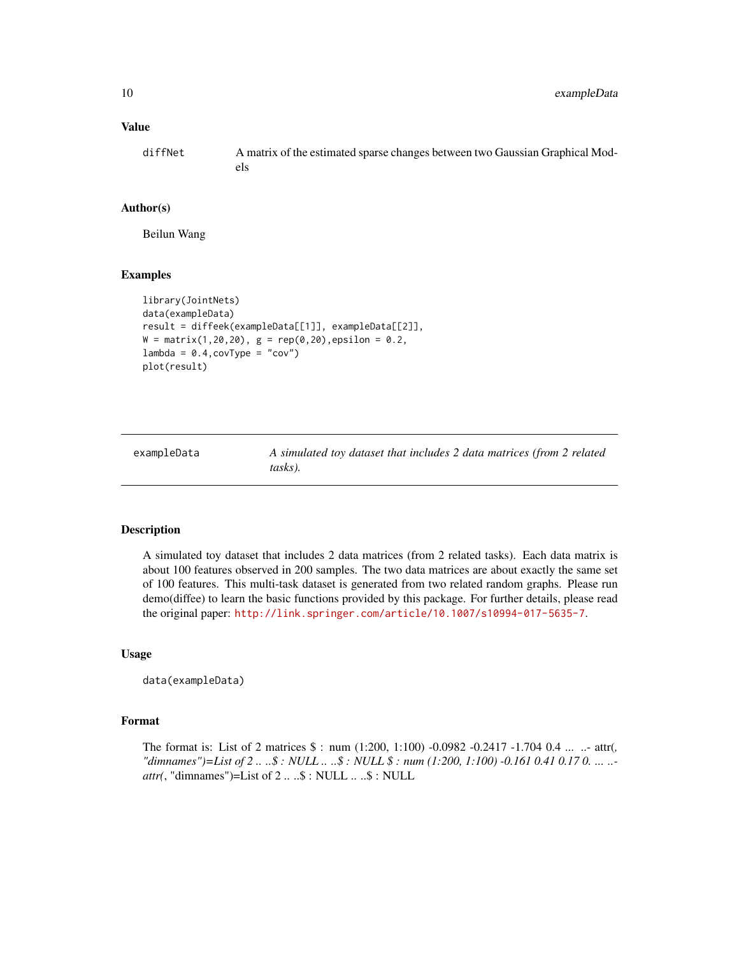# <span id="page-9-0"></span>Value

diffNet A matrix of the estimated sparse changes between two Gaussian Graphical Models

# Author(s)

Beilun Wang

#### Examples

```
library(JointNets)
data(exampleData)
result = diffeek(exampleData[[1]], exampleData[[2]],
W = matrix(1, 20, 20), g = rep(0, 20), epsilon = 0.2,lambda = 0.4, covType = "cov")plot(result)
```
exampleData *A simulated toy dataset that includes 2 data matrices (from 2 related tasks).*

#### Description

A simulated toy dataset that includes 2 data matrices (from 2 related tasks). Each data matrix is about 100 features observed in 200 samples. The two data matrices are about exactly the same set of 100 features. This multi-task dataset is generated from two related random graphs. Please run demo(diffee) to learn the basic functions provided by this package. For further details, please read the original paper: <http://link.springer.com/article/10.1007/s10994-017-5635-7>.

#### Usage

data(exampleData)

### Format

The format is: List of 2 matrices \$ : num (1:200, 1:100) -0.0982 -0.2417 -1.704 0.4 ... ..- attr(*, "dimnames")=List of 2 .. ..\$ : NULL .. ..\$ : NULL \$ : num (1:200, 1:100) -0.161 0.41 0.17 0. ... .. attr(*, "dimnames")=List of 2 .. ..\$ : NULL .. ..\$ : NULL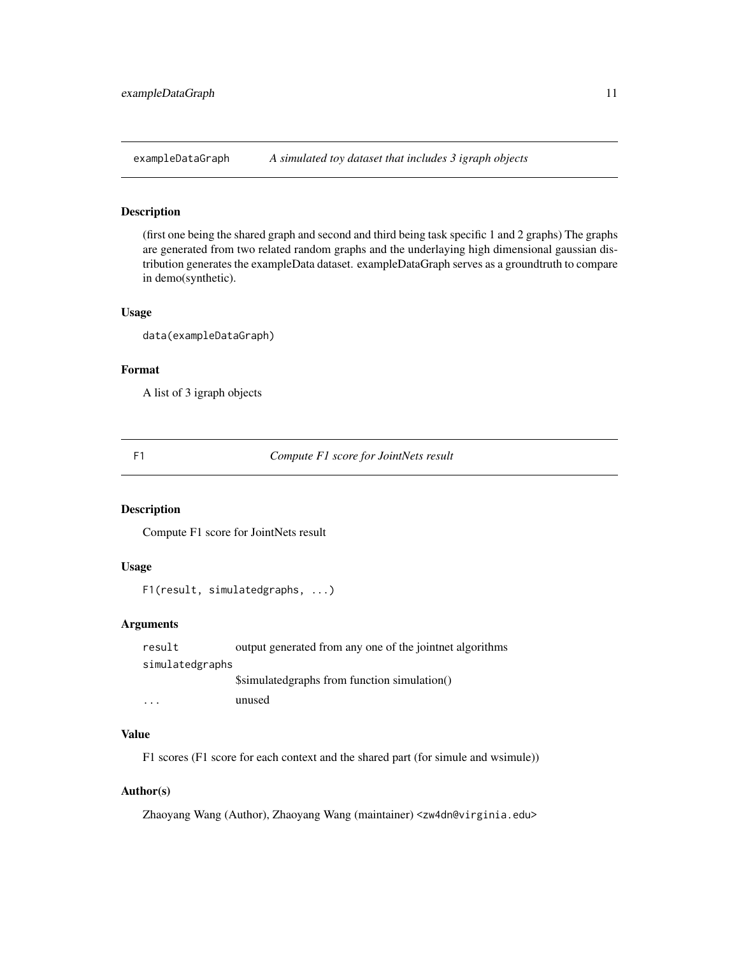<span id="page-10-0"></span>exampleDataGraph *A simulated toy dataset that includes 3 igraph objects*

# Description

(first one being the shared graph and second and third being task specific 1 and 2 graphs) The graphs are generated from two related random graphs and the underlaying high dimensional gaussian distribution generates the exampleData dataset. exampleDataGraph serves as a groundtruth to compare in demo(synthetic).

#### Usage

data(exampleDataGraph)

#### Format

A list of 3 igraph objects

F1 *Compute F1 score for JointNets result*

#### Description

Compute F1 score for JointNets result

# Usage

F1(result, simulatedgraphs, ...)

# Arguments

| result                  | output generated from any one of the jointnet algorithms |
|-------------------------|----------------------------------------------------------|
| simulatedgraphs         |                                                          |
|                         | Ssimulated graphs from function simulation()             |
| $\cdot$ $\cdot$ $\cdot$ | unused                                                   |

# Value

F1 scores (F1 score for each context and the shared part (for simule and wsimule))

# Author(s)

Zhaoyang Wang (Author), Zhaoyang Wang (maintainer) <zw4dn@virginia.edu>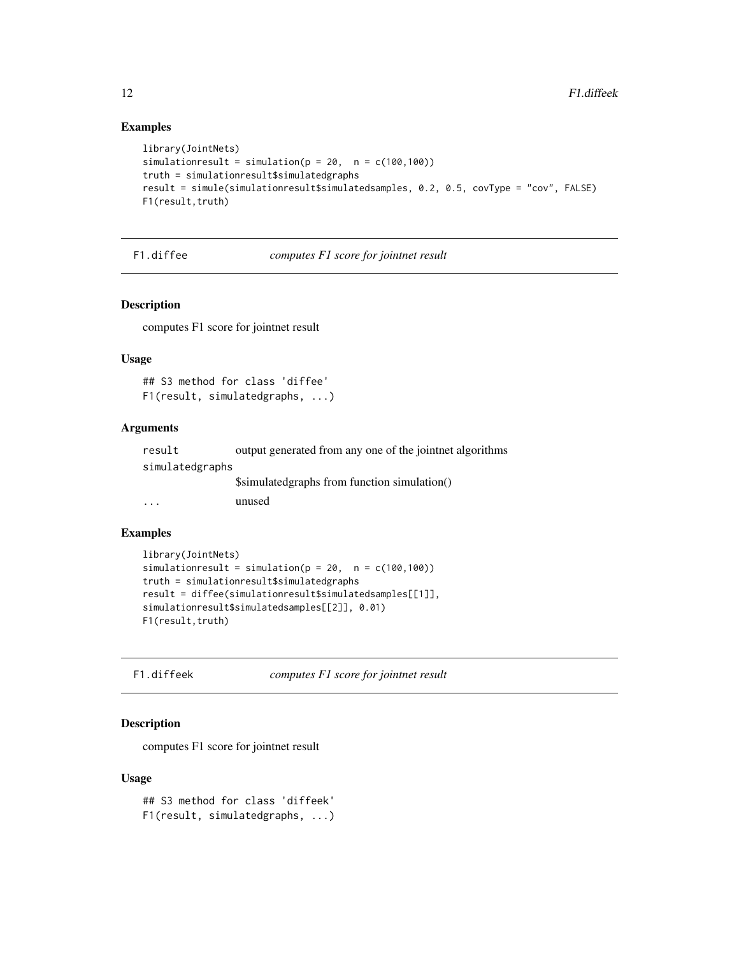# Examples

```
library(JointNets)
simulationresult = simulation(p = 20, n = c(100, 100))
truth = simulationresult$simulatedgraphs
result = simule(simulationresult$simulatedsamples, 0.2, 0.5, covType = "cov", FALSE)
F1(result,truth)
```
F1.diffee *computes F1 score for jointnet result*

# Description

computes F1 score for jointnet result

#### Usage

```
## S3 method for class 'diffee'
F1(result, simulatedgraphs, ...)
```
# Arguments

| result          | output generated from any one of the joint net algorithms |
|-----------------|-----------------------------------------------------------|
| simulatedgraphs |                                                           |
|                 | Ssimulated graphs from function simulation()              |
| $\ddotsc$       | unused                                                    |
|                 |                                                           |

# Examples

```
library(JointNets)
simulationresult = simulation(p = 20, n = c(100, 100))
truth = simulationresult$simulatedgraphs
result = diffee(simulationresult$simulatedsamples[[1]],
simulationresult$simulatedsamples[[2]], 0.01)
F1(result, truth)
```
F1.diffeek *computes F1 score for jointnet result*

# Description

computes F1 score for jointnet result

# Usage

## S3 method for class 'diffeek' F1(result, simulatedgraphs, ...)

<span id="page-11-0"></span>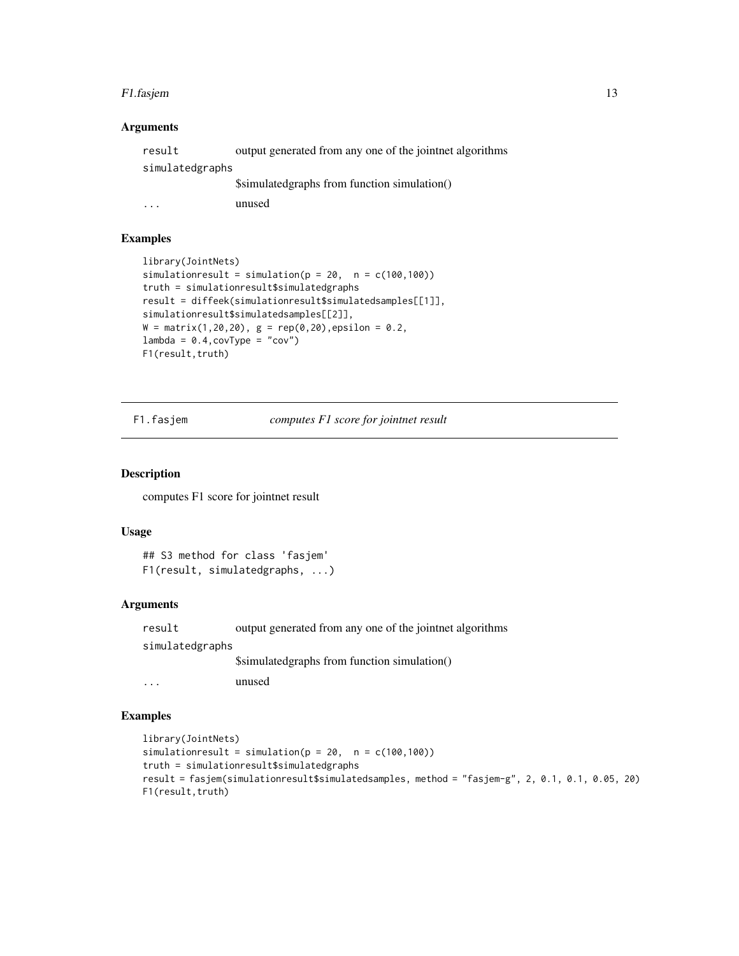#### <span id="page-12-0"></span>F1.fasjem 13

# Arguments

| result          | output generated from any one of the joint net algorithms |
|-----------------|-----------------------------------------------------------|
| simulatedgraphs |                                                           |
|                 | Ssimulated graphs from function simulation()              |
|                 | unused                                                    |

# Examples

```
library(JointNets)
simulationresult = simulation(p = 20, n = c(100, 100))
truth = simulationresult$simulatedgraphs
result = diffeek(simulationresult$simulatedsamples[[1]],
simulationresult$simulatedsamples[[2]],
W = matrix(1, 20, 20), g = rep(0, 20), epsilon = 0.2,lambda = 0.4, covType = "cov")F1(result,truth)
```
F1.fasjem *computes F1 score for jointnet result*

#### Description

computes F1 score for jointnet result

#### Usage

```
## S3 method for class 'fasjem'
F1(result, simulatedgraphs, ...)
```
# Arguments

result output generated from any one of the jointnet algorithms simulatedgraphs \$simulatedgraphs from function simulation() ... unused

# Examples

```
library(JointNets)
simulationresult = simulation(p = 20, n = c(100, 100))
truth = simulationresult$simulatedgraphs
result = fasjem(simulationresult$simulatedsamples, method = "fasjem-g", 2, 0.1, 0.1, 0.05, 20)
F1(result,truth)
```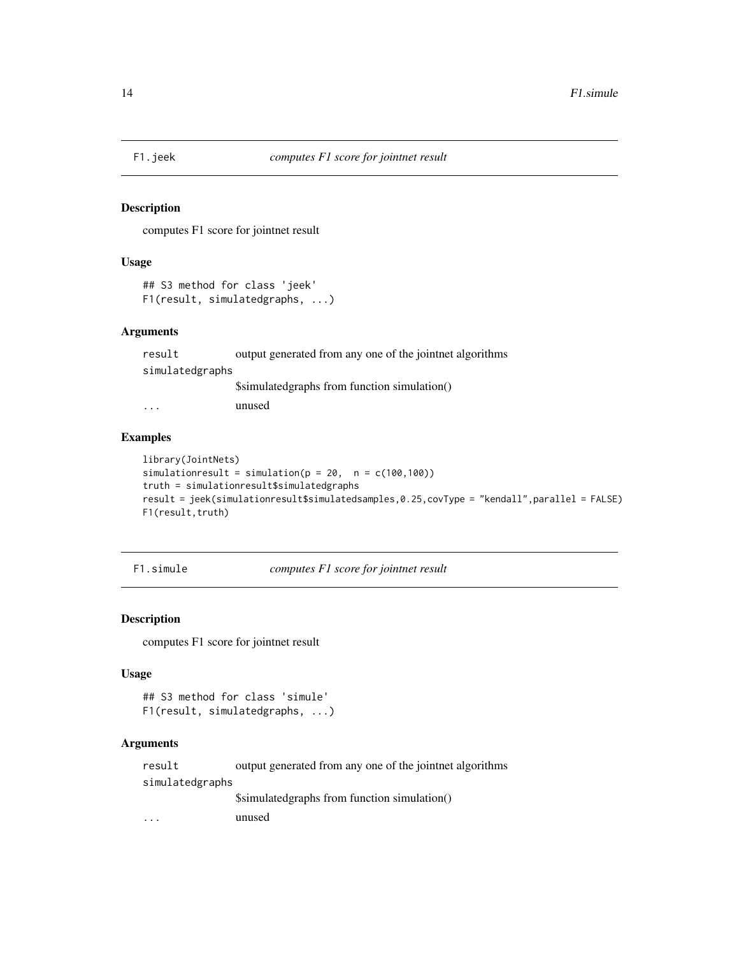<span id="page-13-0"></span>

# Description

computes F1 score for jointnet result

#### Usage

```
## S3 method for class 'jeek'
F1(result, simulatedgraphs, ...)
```
#### Arguments

| result          | output generated from any one of the joint net algorithms |
|-----------------|-----------------------------------------------------------|
| simulatedgraphs |                                                           |
|                 | Ssimulated graphs from function simulation()              |
|                 | unucad                                                    |

... unused

# Examples

```
library(JointNets)
simulationresult = simulation(p = 20, n = c(100, 100))
truth = simulationresult$simulatedgraphs
result = jeek(simulationresult$simulatedsamples,0.25,covType = "kendall",parallel = FALSE)
F1(result,truth)
```
F1.simule *computes F1 score for jointnet result*

# Description

computes F1 score for jointnet result

# Usage

```
## S3 method for class 'simule'
F1(result, simulatedgraphs, ...)
```
# Arguments

result output generated from any one of the jointnet algorithms simulatedgraphs \$simulatedgraphs from function simulation() ... unused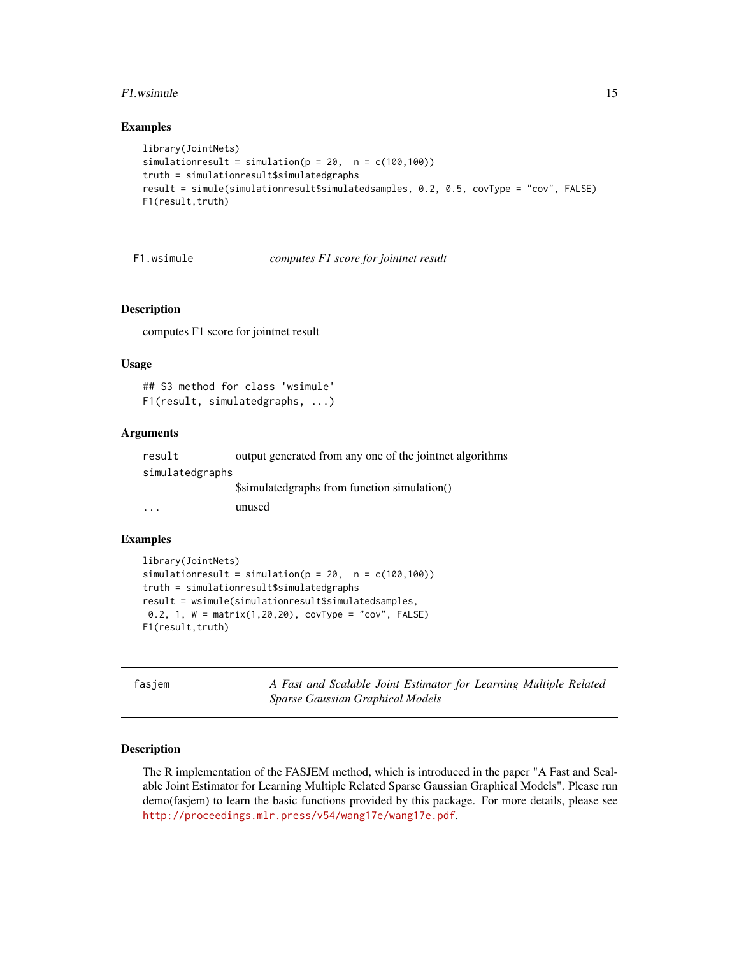#### <span id="page-14-0"></span>F1.wsimule 15

#### Examples

```
library(JointNets)
simulationresult = simulation(p = 20, n = c(100, 100))
truth = simulationresult$simulatedgraphs
result = simule(simulationresult$simulatedsamples, 0.2, 0.5, covType = "cov", FALSE)
F1(result,truth)
```
F1.wsimule *computes F1 score for jointnet result*

#### Description

computes F1 score for jointnet result

#### Usage

## S3 method for class 'wsimule' F1(result, simulatedgraphs, ...)

#### Arguments

| result          | output generated from any one of the joint net algorithms |
|-----------------|-----------------------------------------------------------|
| simulatedgraphs |                                                           |
|                 | Ssimulated graphs from function simulation()              |
| $\cdot$         | unused                                                    |

# Examples

```
library(JointNets)
simulationresult = simulation(p = 20, n = c(100, 100))
truth = simulationresult$simulatedgraphs
result = wsimule(simulationresult$simulatedsamples,
0.2, 1, W = matrix(1,20,20), covType = "cov", FALSE)
F1(result,truth)
```
fasjem *A Fast and Scalable Joint Estimator for Learning Multiple Related Sparse Gaussian Graphical Models*

# Description

The R implementation of the FASJEM method, which is introduced in the paper "A Fast and Scalable Joint Estimator for Learning Multiple Related Sparse Gaussian Graphical Models". Please run demo(fasjem) to learn the basic functions provided by this package. For more details, please see <http://proceedings.mlr.press/v54/wang17e/wang17e.pdf>.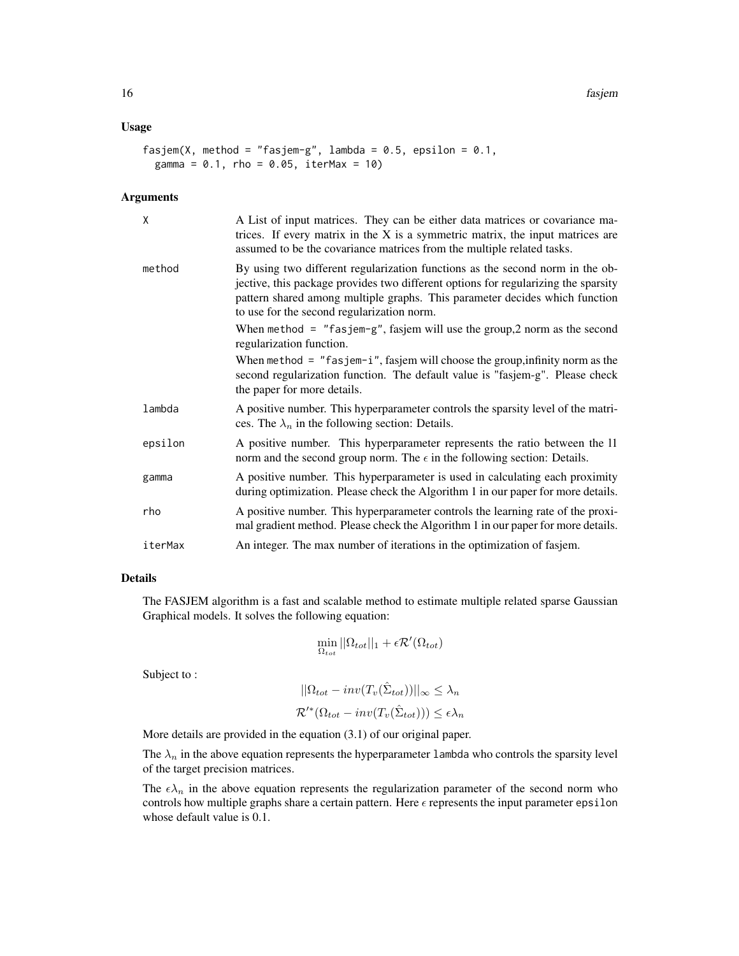# Usage

```
fasjem(X, method = "fasjem-g", lambda = 0.5, epsilon = 0.1,
 gamma = 0.1, rho = 0.05, iterMax = 10)
```
#### Arguments

| X       | A List of input matrices. They can be either data matrices or covariance ma-<br>trices. If every matrix in the $X$ is a symmetric matrix, the input matrices are<br>assumed to be the covariance matrices from the multiple related tasks.                                                       |
|---------|--------------------------------------------------------------------------------------------------------------------------------------------------------------------------------------------------------------------------------------------------------------------------------------------------|
| method  | By using two different regularization functions as the second norm in the ob-<br>jective, this package provides two different options for regularizing the sparsity<br>pattern shared among multiple graphs. This parameter decides which function<br>to use for the second regularization norm. |
|         | When method = $"f$ asjem-g", fasjem will use the group, 2 norm as the second<br>regularization function.                                                                                                                                                                                         |
|         | When method = $"f$ asjem-i", fasjem will choose the group, infinity norm as the<br>second regularization function. The default value is "fasjem-g". Please check<br>the paper for more details.                                                                                                  |
| lambda  | A positive number. This hyperparameter controls the sparsity level of the matri-<br>ces. The $\lambda_n$ in the following section: Details.                                                                                                                                                      |
| epsilon | A positive number. This hyperparameter represents the ratio between the 11<br>norm and the second group norm. The $\epsilon$ in the following section: Details.                                                                                                                                  |
| gamma   | A positive number. This hyperparameter is used in calculating each proximity<br>during optimization. Please check the Algorithm 1 in our paper for more details.                                                                                                                                 |
| rho     | A positive number. This hyperparameter controls the learning rate of the proxi-<br>mal gradient method. Please check the Algorithm 1 in our paper for more details.                                                                                                                              |
| iterMax | An integer. The max number of iterations in the optimization of fasjem.                                                                                                                                                                                                                          |

# Details

The FASJEM algorithm is a fast and scalable method to estimate multiple related sparse Gaussian Graphical models. It solves the following equation:

$$
\min_{\Omega_{tot}} ||\Omega_{tot}||_1 + \epsilon \mathcal{R}'(\Omega_{tot})
$$

Subject to :

$$
||\Omega_{tot} - inv(T_v(\hat{\Sigma}_{tot}))||_{\infty} \le \lambda_n
$$
  

$$
\mathcal{R}'^*(\Omega_{tot} - inv(T_v(\hat{\Sigma}_{tot}))) \le \epsilon \lambda_n
$$

More details are provided in the equation (3.1) of our original paper.

The  $\lambda_n$  in the above equation represents the hyperparameter 1 ambda who controls the sparsity level of the target precision matrices.

The  $\epsilon \lambda_n$  in the above equation represents the regularization parameter of the second norm who controls how multiple graphs share a certain pattern. Here  $\epsilon$  represents the input parameter epsilon whose default value is 0.1.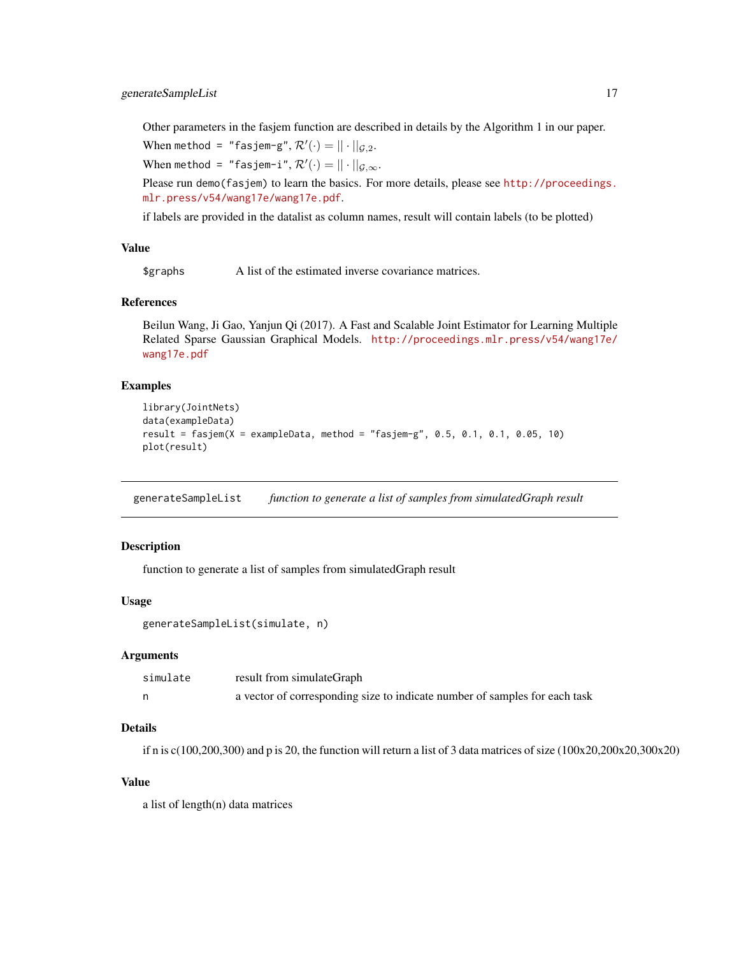# <span id="page-16-0"></span>generateSampleList 17

Other parameters in the fasjem function are described in details by the Algorithm 1 in our paper.

When method = "fasjem-g",  $\mathcal{R}'(\cdot) = || \cdot ||_{\mathcal{G},2}$ .

When method = "fasjem-i", $\mathcal{R}'(\cdot) = || \cdot ||_{\mathcal{G},\infty}$ .

Please run demo(fasjem) to learn the basics. For more details, please see [http://proceedings.](http://proceedings.mlr.press/v54/wang17e/wang17e.pdf) [mlr.press/v54/wang17e/wang17e.pdf](http://proceedings.mlr.press/v54/wang17e/wang17e.pdf).

if labels are provided in the datalist as column names, result will contain labels (to be plotted)

#### Value

\$graphs A list of the estimated inverse covariance matrices.

#### References

Beilun Wang, Ji Gao, Yanjun Qi (2017). A Fast and Scalable Joint Estimator for Learning Multiple Related Sparse Gaussian Graphical Models. [http://proceedings.mlr.press/v54/wang17e/](http://proceedings.mlr.press/v54/wang17e/wang17e.pdf) [wang17e.pdf](http://proceedings.mlr.press/v54/wang17e/wang17e.pdf)

### Examples

```
library(JointNets)
data(exampleData)
result = fasjem(X = exampleData, method = "fasjem-g", 0.5, 0.1, 0.1, 0.05, 10)
plot(result)
```
generateSampleList *function to generate a list of samples from simulatedGraph result*

#### Description

function to generate a list of samples from simulatedGraph result

#### Usage

```
generateSampleList(simulate, n)
```
#### Arguments

| simulate | result from simulateGraph                                                  |
|----------|----------------------------------------------------------------------------|
|          | a vector of corresponding size to indicate number of samples for each task |

#### Details

if n is c(100,200,300) and p is 20, the function will return a list of 3 data matrices of size (100x20,200x20,300x20)

#### Value

a list of length(n) data matrices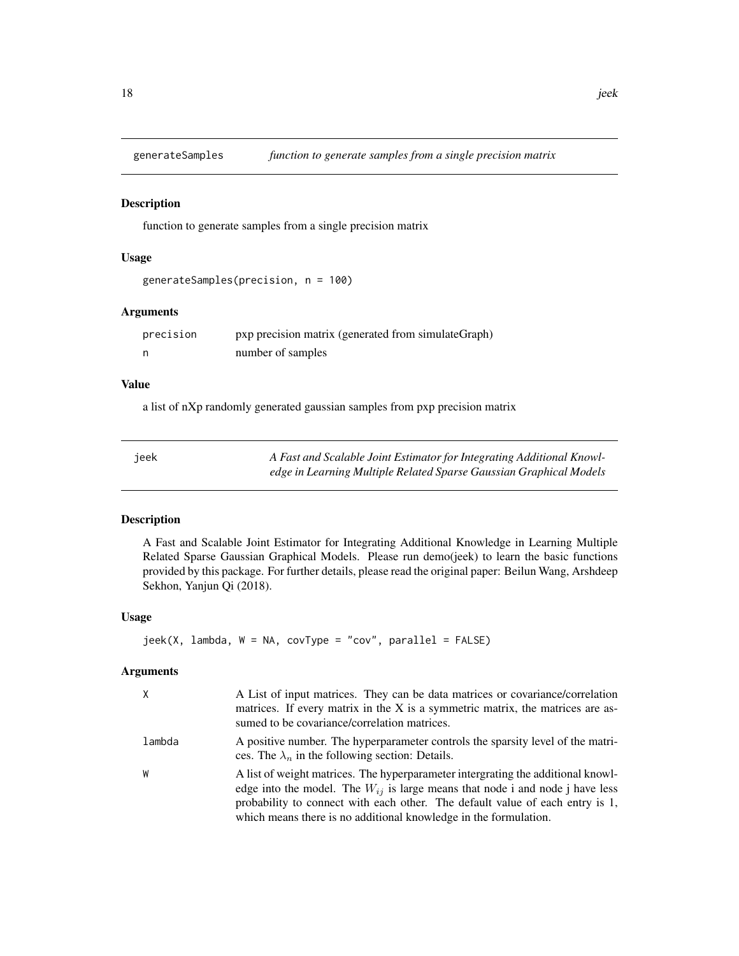<span id="page-17-0"></span>

#### Description

function to generate samples from a single precision matrix

# Usage

```
generateSamples(precision, n = 100)
```
# Arguments

| precision | pxp precision matrix (generated from simulateGraph) |
|-----------|-----------------------------------------------------|
|           | number of samples                                   |

# Value

a list of nXp randomly generated gaussian samples from pxp precision matrix

| ieek | A Fast and Scalable Joint Estimator for Integrating Additional Knowl- |
|------|-----------------------------------------------------------------------|
|      | edge in Learning Multiple Related Sparse Gaussian Graphical Models    |

#### Description

A Fast and Scalable Joint Estimator for Integrating Additional Knowledge in Learning Multiple Related Sparse Gaussian Graphical Models. Please run demo(jeek) to learn the basic functions provided by this package. For further details, please read the original paper: Beilun Wang, Arshdeep Sekhon, Yanjun Qi (2018).

# Usage

```
jeek(X, \text{lambda}, W = NA, \text{covType} = "cov", \text{parallel} = FALSE)
```

| $\mathsf{X}$ | A List of input matrices. They can be data matrices or covariance/correlation<br>matrices. If every matrix in the X is a symmetric matrix, the matrices are as-<br>sumed to be covariance/correlation matrices.                                                                                                            |
|--------------|----------------------------------------------------------------------------------------------------------------------------------------------------------------------------------------------------------------------------------------------------------------------------------------------------------------------------|
| lambda       | A positive number. The hyperparameter controls the sparsity level of the matri-<br>ces. The $\lambda_n$ in the following section: Details.                                                                                                                                                                                 |
| W            | A list of weight matrices. The hyperparameter intergrating the additional knowl-<br>edge into the model. The $W_{ij}$ is large means that node i and node j have less<br>probability to connect with each other. The default value of each entry is 1,<br>which means there is no additional knowledge in the formulation. |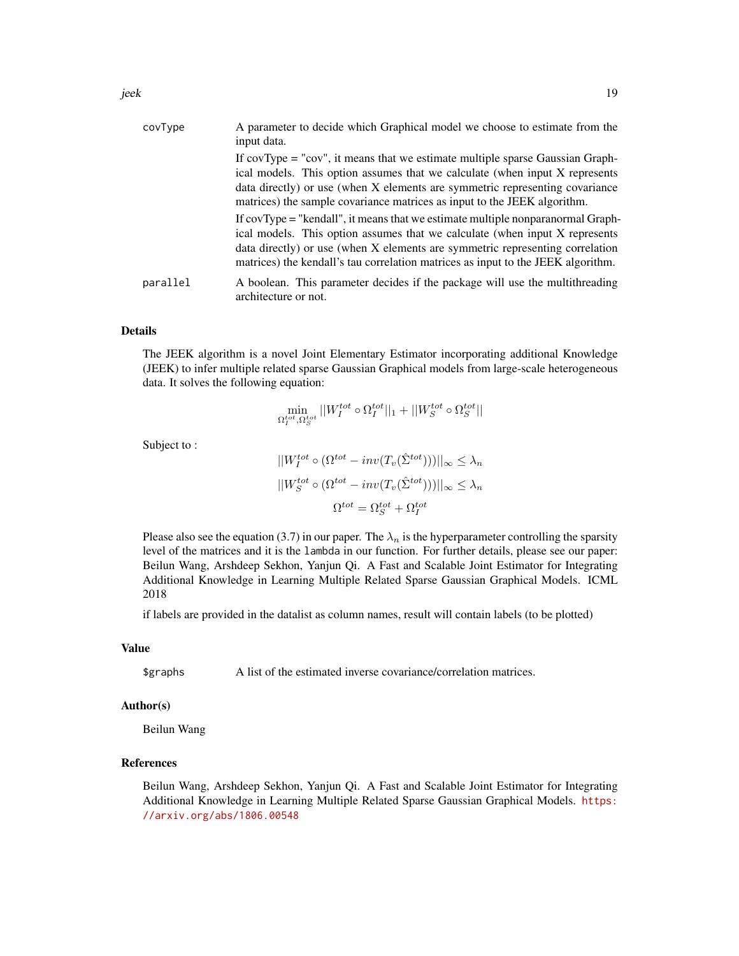| covType  | A parameter to decide which Graphical model we choose to estimate from the<br>input data.                                                                                                                                                                                                                                           |
|----------|-------------------------------------------------------------------------------------------------------------------------------------------------------------------------------------------------------------------------------------------------------------------------------------------------------------------------------------|
|          | If $covType = "cov",$ it means that we estimate multiple sparse Gaussian Graph-<br>ical models. This option assumes that we calculate (when input X represents<br>data directly) or use (when X elements are symmetric representing covariance<br>matrices) the sample covariance matrices as input to the JEEK algorithm.          |
|          | If covType = "kendall", it means that we estimate multiple nonparanormal Graph-<br>ical models. This option assumes that we calculate (when input X represents<br>data directly) or use (when X elements are symmetric representing correlation<br>matrices) the kendall's tau correlation matrices as input to the JEEK algorithm. |
| parallel | A boolean. This parameter decides if the package will use the multithreading<br>architecture or not.                                                                                                                                                                                                                                |

The JEEK algorithm is a novel Joint Elementary Estimator incorporating additional Knowledge (JEEK) to infer multiple related sparse Gaussian Graphical models from large-scale heterogeneous data. It solves the following equation:

$$
\min_{\Omega^{tot}_I, \Omega^{tot}_S} ||W^{tot}_I \circ \Omega^{tot}_I||_1 + ||W^{tot}_S \circ \Omega^{tot}_S||
$$

Subject to :

$$
||W_I^{tot} \circ (\Omega^{tot} - inv(T_v(\hat{\Sigma}^{tot})))||_{\infty} \le \lambda_n
$$

$$
||W_S^{tot} \circ (\Omega^{tot} - inv(T_v(\hat{\Sigma}^{tot})))||_{\infty} \le \lambda_n
$$

$$
\Omega^{tot} = \Omega_S^{tot} + \Omega_I^{tot}
$$

Please also see the equation (3.7) in our paper. The  $\lambda_n$  is the hyperparameter controlling the sparsity level of the matrices and it is the lambda in our function. For further details, please see our paper: Beilun Wang, Arshdeep Sekhon, Yanjun Qi. A Fast and Scalable Joint Estimator for Integrating Additional Knowledge in Learning Multiple Related Sparse Gaussian Graphical Models. ICML 2018

if labels are provided in the datalist as column names, result will contain labels (to be plotted)

#### Value

\$graphs A list of the estimated inverse covariance/correlation matrices.

### Author(s)

Beilun Wang

#### References

Beilun Wang, Arshdeep Sekhon, Yanjun Qi. A Fast and Scalable Joint Estimator for Integrating Additional Knowledge in Learning Multiple Related Sparse Gaussian Graphical Models. [https:](https://arxiv.org/abs/1806.00548) [//arxiv.org/abs/1806.00548](https://arxiv.org/abs/1806.00548)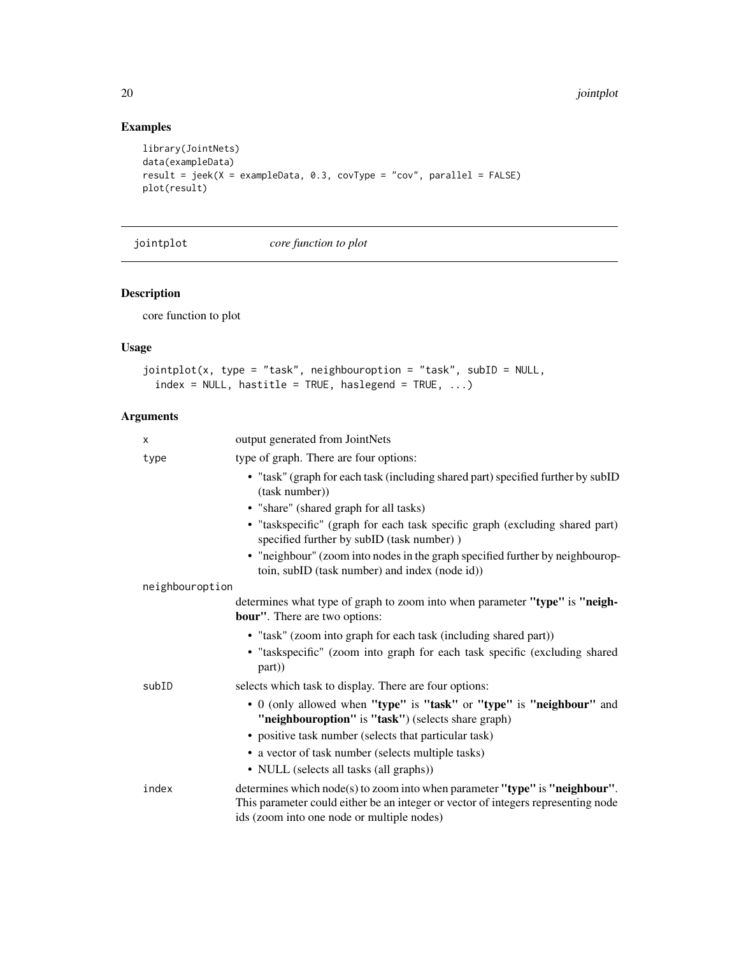# Examples

```
library(JointNets)
data(exampleData)
result = jeek(X = exampleData, 0.3, covType = "cov", parallel = FALSE)
plot(result)
```
jointplot *core function to plot*

# Description

core function to plot

# Usage

```
jointplot(x, type = "task", neighbouroption = "task", subID = NULL,
 index = NULL, hastitle = TRUE, haslegend = TRUE, ...)
```

| X               | output generated from JointNets                                                                                                                                                                                |
|-----------------|----------------------------------------------------------------------------------------------------------------------------------------------------------------------------------------------------------------|
| type            | type of graph. There are four options:                                                                                                                                                                         |
|                 | • "task" (graph for each task (including shared part) specified further by subID<br>(task number))                                                                                                             |
|                 | • "share" (shared graph for all tasks)                                                                                                                                                                         |
|                 | • "taskspecific" (graph for each task specific graph (excluding shared part)<br>specified further by subID (task number))                                                                                      |
|                 | • "neighbour" (zoom into nodes in the graph specified further by neighbourop-<br>toin, subID (task number) and index (node id))                                                                                |
| neighbouroption |                                                                                                                                                                                                                |
|                 | determines what type of graph to zoom into when parameter "type" is "neigh-<br><b>bour"</b> . There are two options:                                                                                           |
|                 | • "task" (zoom into graph for each task (including shared part))                                                                                                                                               |
|                 | • "taskspecific" (zoom into graph for each task specific (excluding shared<br>part))                                                                                                                           |
| subID           | selects which task to display. There are four options:                                                                                                                                                         |
|                 | • 0 (only allowed when "type" is "task" or "type" is "neighbour" and<br>"neighbouroption" is "task") (selects share graph)                                                                                     |
|                 | • positive task number (selects that particular task)                                                                                                                                                          |
|                 | • a vector of task number (selects multiple tasks)                                                                                                                                                             |
|                 | • NULL (selects all tasks (all graphs))                                                                                                                                                                        |
| index           | determines which node(s) to zoom into when parameter "type" is "neighbour".<br>This parameter could either be an integer or vector of integers representing node<br>ids (zoom into one node or multiple nodes) |

<span id="page-19-0"></span>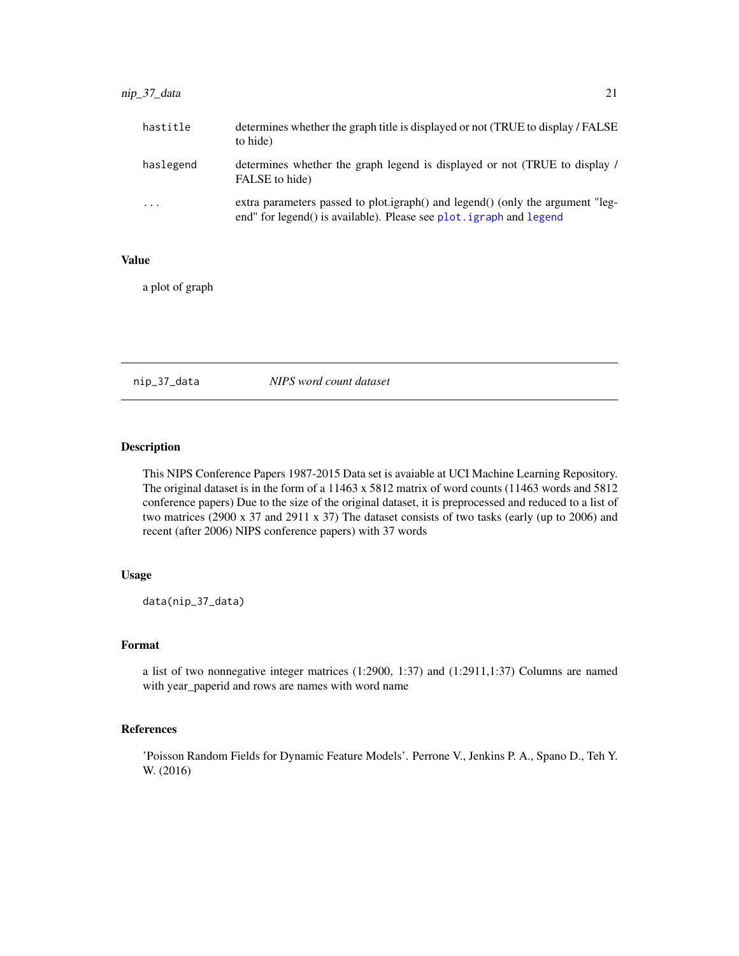<span id="page-20-0"></span>

| hastitle                | determines whether the graph title is displayed or not (TRUE to display / FALSE)<br>to hide)                                                          |
|-------------------------|-------------------------------------------------------------------------------------------------------------------------------------------------------|
| haslegend               | determines whether the graph legend is displayed or not (TRUE to display /<br>FALSE to hide)                                                          |
| $\cdot$ $\cdot$ $\cdot$ | extra parameters passed to plot.igraph() and legend() (only the argument "leg-<br>end" for legend() is available). Please see plot. igraph and legend |

# Value

a plot of graph

nip\_37\_data *NIPS word count dataset*

# Description

This NIPS Conference Papers 1987-2015 Data set is avaiable at UCI Machine Learning Repository. The original dataset is in the form of a 11463 x 5812 matrix of word counts (11463 words and 5812 conference papers) Due to the size of the original dataset, it is preprocessed and reduced to a list of two matrices (2900 x 37 and 2911 x 37) The dataset consists of two tasks (early (up to 2006) and recent (after 2006) NIPS conference papers) with 37 words

#### Usage

data(nip\_37\_data)

# Format

a list of two nonnegative integer matrices (1:2900, 1:37) and (1:2911,1:37) Columns are named with year\_paperid and rows are names with word name

#### References

'Poisson Random Fields for Dynamic Feature Models'. Perrone V., Jenkins P. A., Spano D., Teh Y. W. (2016)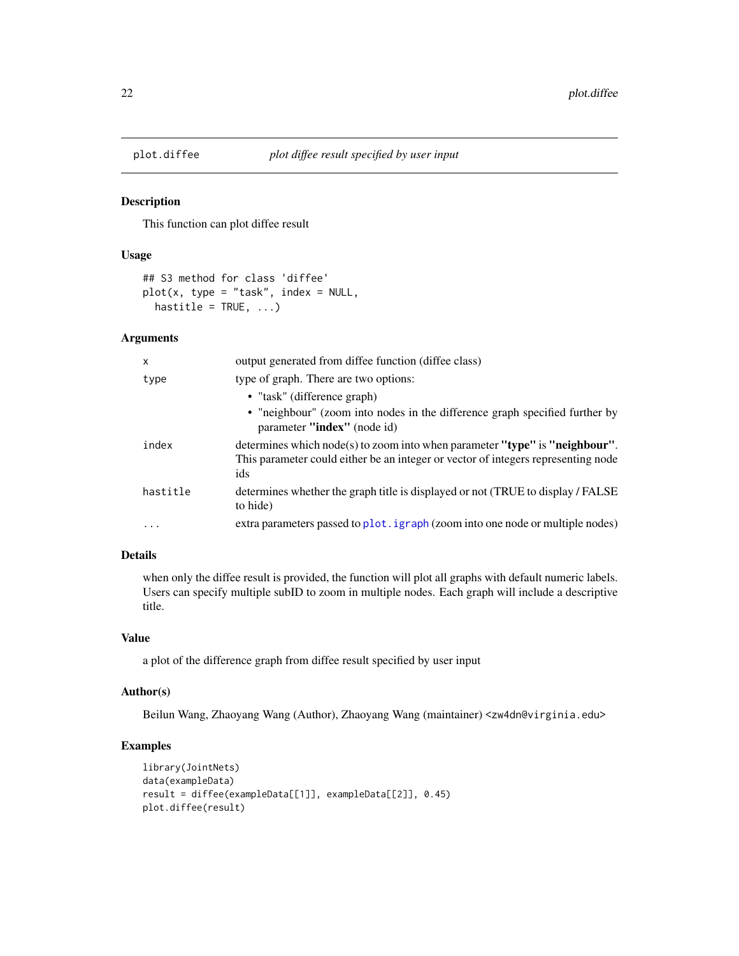<span id="page-21-0"></span>

#### Description

This function can plot diffee result

#### Usage

```
## S3 method for class 'diffee'
plot(x, type = "task", index = NULL,hastitle = TRUE, ...)
```
# Arguments

| x        | output generated from diffee function (diffee class)                                                                                                                    |
|----------|-------------------------------------------------------------------------------------------------------------------------------------------------------------------------|
| type     | type of graph. There are two options:                                                                                                                                   |
|          | • "task" (difference graph)                                                                                                                                             |
|          | • "neighbour" (zoom into nodes in the difference graph specified further by<br>parameter "index" (node id)                                                              |
| index    | determines which node(s) to zoom into when parameter "type" is "neighbour".<br>This parameter could either be an integer or vector of integers representing node<br>ids |
| hastitle | determines whether the graph title is displayed or not (TRUE to display / FALSE)<br>to hide)                                                                            |
| .        | extra parameters passed to plot. i graph (zoom into one node or multiple nodes)                                                                                         |

#### Details

when only the diffee result is provided, the function will plot all graphs with default numeric labels. Users can specify multiple subID to zoom in multiple nodes. Each graph will include a descriptive title.

# Value

a plot of the difference graph from diffee result specified by user input

# Author(s)

Beilun Wang, Zhaoyang Wang (Author), Zhaoyang Wang (maintainer) <zw4dn@virginia.edu>

# Examples

```
library(JointNets)
data(exampleData)
result = diffee(exampleData[[1]], exampleData[[2]], 0.45)
plot.diffee(result)
```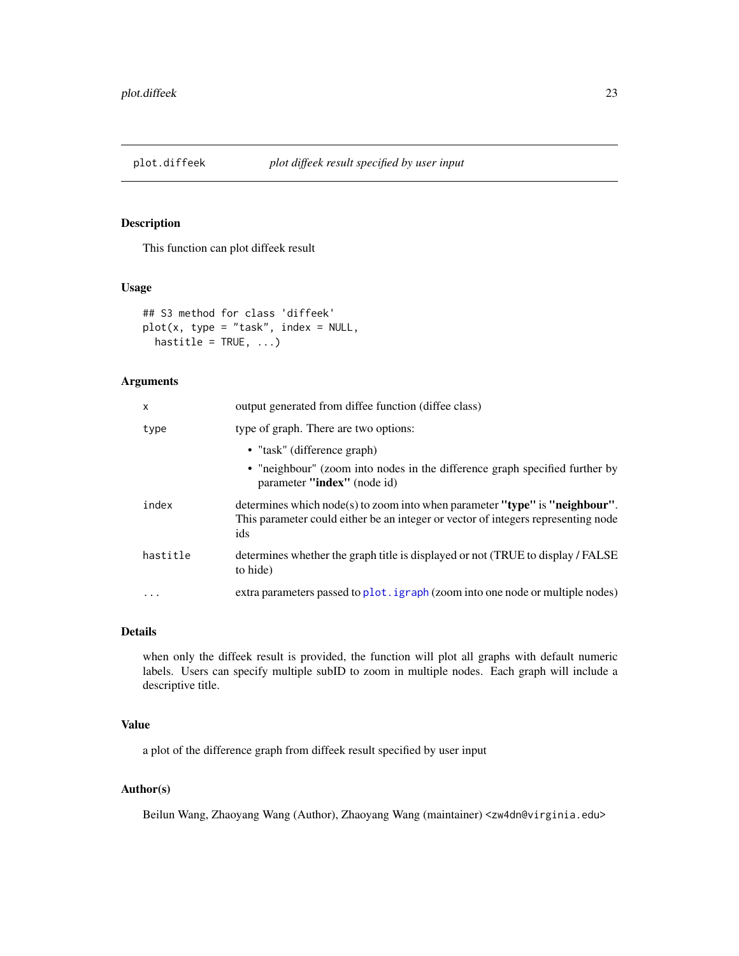<span id="page-22-0"></span>

# Description

This function can plot diffeek result

### Usage

```
## S3 method for class 'diffeek'
plot(x, type = "task", index = NULL,hastitle = TRUE, ...)
```
# Arguments

| X         | output generated from diffee function (diffee class)                                                                                                                    |
|-----------|-------------------------------------------------------------------------------------------------------------------------------------------------------------------------|
| type      | type of graph. There are two options:                                                                                                                                   |
|           | • "task" (difference graph)                                                                                                                                             |
|           | • "neighbour" (zoom into nodes in the difference graph specified further by<br>parameter "index" (node id)                                                              |
| index     | determines which node(s) to zoom into when parameter "type" is "neighbour".<br>This parameter could either be an integer or vector of integers representing node<br>ids |
| hastitle  | determines whether the graph title is displayed or not (TRUE to display / FALSE)<br>to hide)                                                                            |
| $\ddotsc$ | extra parameters passed to plot. <i>igraph</i> (zoom into one node or multiple nodes)                                                                                   |

#### Details

when only the diffeek result is provided, the function will plot all graphs with default numeric labels. Users can specify multiple subID to zoom in multiple nodes. Each graph will include a descriptive title.

# Value

a plot of the difference graph from diffeek result specified by user input

# Author(s)

Beilun Wang, Zhaoyang Wang (Author), Zhaoyang Wang (maintainer) <zw4dn@virginia.edu>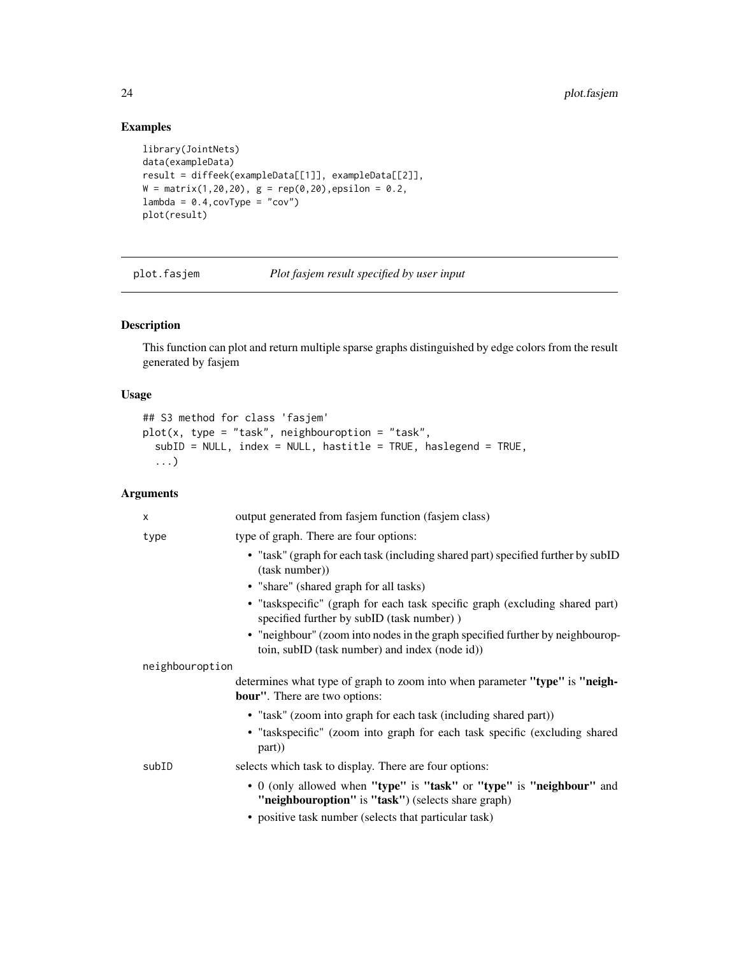# Examples

```
library(JointNets)
data(exampleData)
result = diffeek(exampleData[[1]], exampleData[[2]],
W = matrix(1, 20, 20), g = rep(0, 20), epsilon = 0.2,lambda = 0.4, covType = "cov")plot(result)
```
plot.fasjem *Plot fasjem result specified by user input*

# Description

This function can plot and return multiple sparse graphs distinguished by edge colors from the result generated by fasjem

# Usage

```
## S3 method for class 'fasjem'
plot(x, type = "task", neighbouroption = "task",
  subID = NULL, index = NULL, hastitle = TRUE, haslegend = TRUE,
  ...)
```

| output generated from fasjem function (fasjem class)                                                                                                                                |
|-------------------------------------------------------------------------------------------------------------------------------------------------------------------------------------|
| type of graph. There are four options:                                                                                                                                              |
| • "task" (graph for each task (including shared part) specified further by subID<br>(task number))                                                                                  |
| • "share" (shared graph for all tasks)                                                                                                                                              |
| • "taskspecific" (graph for each task specific graph (excluding shared part)<br>specified further by subID (task number))                                                           |
| • "neighbour" (zoom into nodes in the graph specified further by neighbourop-<br>toin, subID (task number) and index (node id))                                                     |
| neighbouroption                                                                                                                                                                     |
| determines what type of graph to zoom into when parameter "type" is "neigh-<br><b>bour''</b> . There are two options:                                                               |
| • "task" (zoom into graph for each task (including shared part))                                                                                                                    |
| • "taskspecific" (zoom into graph for each task specific (excluding shared<br>part))                                                                                                |
| selects which task to display. There are four options:                                                                                                                              |
| • 0 (only allowed when "type" is "task" or "type" is "neighbour" and<br>"neighbouroption" is "task") (selects share graph)<br>• positive task number (selects that particular task) |
|                                                                                                                                                                                     |

<span id="page-23-0"></span>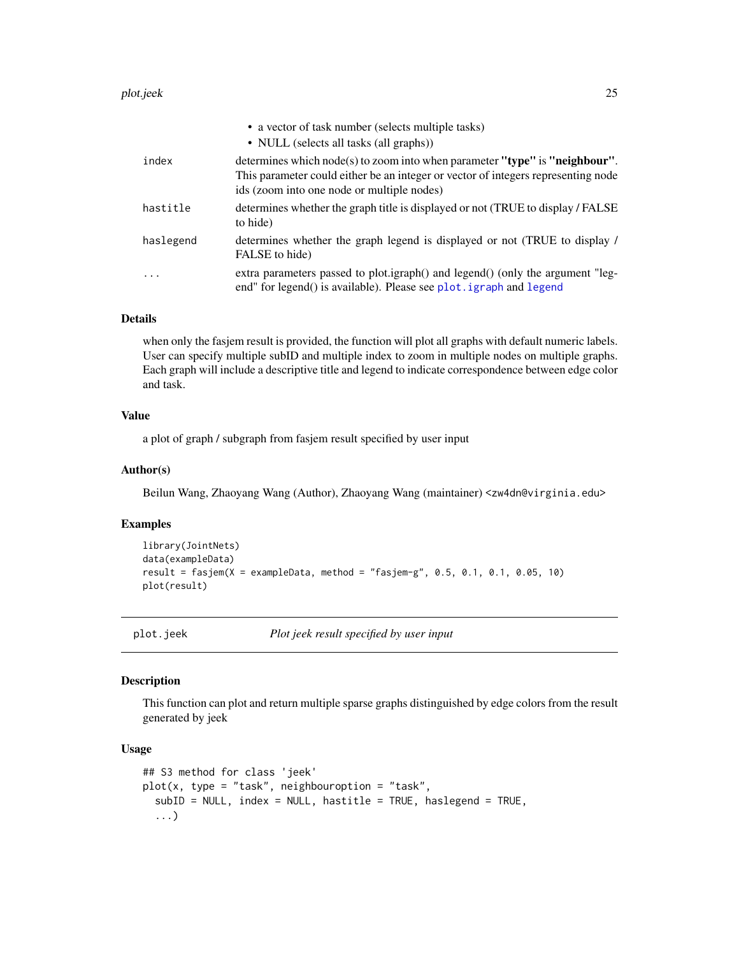#### <span id="page-24-0"></span>plot.jeek 25

|           | • a vector of task number (selects multiple tasks)                                                                                                                                                             |
|-----------|----------------------------------------------------------------------------------------------------------------------------------------------------------------------------------------------------------------|
|           | • NULL (selects all tasks (all graphs))                                                                                                                                                                        |
| index     | determines which node(s) to zoom into when parameter "type" is "neighbour".<br>This parameter could either be an integer or vector of integers representing node<br>ids (zoom into one node or multiple nodes) |
| hastitle  | determines whether the graph title is displayed or not (TRUE to display / FALSE)<br>to hide)                                                                                                                   |
| haslegend | determines whether the graph legend is displayed or not (TRUE to display /<br>FALSE to hide)                                                                                                                   |
| $\ddots$  | extra parameters passed to plot.igraph() and legend() (only the argument "leg-<br>end" for legend() is available). Please see plot. igraph and legend                                                          |

# Details

when only the fasjem result is provided, the function will plot all graphs with default numeric labels. User can specify multiple subID and multiple index to zoom in multiple nodes on multiple graphs. Each graph will include a descriptive title and legend to indicate correspondence between edge color and task.

# Value

a plot of graph / subgraph from fasjem result specified by user input

#### Author(s)

Beilun Wang, Zhaoyang Wang (Author), Zhaoyang Wang (maintainer) <zw4dn@virginia.edu>

# Examples

```
library(JointNets)
data(exampleData)
result = fasjem(X = exampleData, method = "fasjem-g", 0.5, 0.1, 0.1, 0.05, 10)plot(result)
```
plot.jeek *Plot jeek result specified by user input*

#### Description

This function can plot and return multiple sparse graphs distinguished by edge colors from the result generated by jeek

# Usage

```
## S3 method for class 'jeek'
plot(x, type = "task", neighborpoint) = "task",subID = NULL, index = NULL, hastitle = TRUE, haslegend = TRUE,
  ...)
```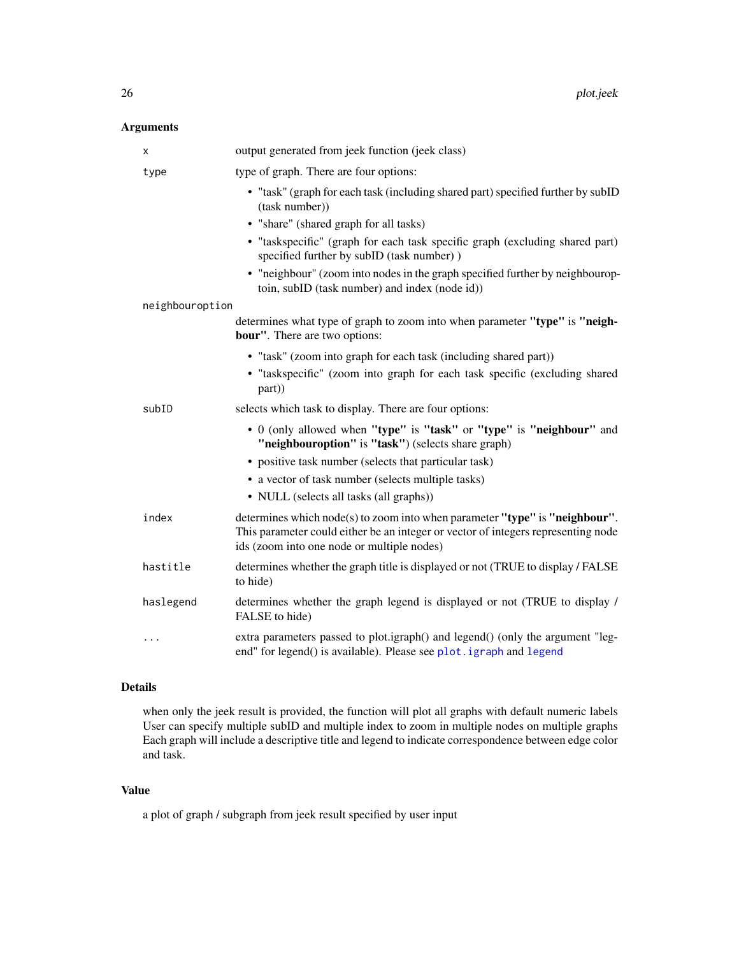# <span id="page-25-0"></span>Arguments

| х               | output generated from jeek function (jeek class)                                                                                                                                                               |
|-----------------|----------------------------------------------------------------------------------------------------------------------------------------------------------------------------------------------------------------|
| type            | type of graph. There are four options:                                                                                                                                                                         |
|                 | • "task" (graph for each task (including shared part) specified further by subID<br>(task number))                                                                                                             |
|                 | • "share" (shared graph for all tasks)                                                                                                                                                                         |
|                 | • "taskspecific" (graph for each task specific graph (excluding shared part)<br>specified further by subID (task number))                                                                                      |
|                 | • "neighbour" (zoom into nodes in the graph specified further by neighbourop-<br>toin, subID (task number) and index (node id))                                                                                |
| neighbouroption |                                                                                                                                                                                                                |
|                 | determines what type of graph to zoom into when parameter "type" is "neigh-<br><b>bour"</b> . There are two options:                                                                                           |
|                 | • "task" (zoom into graph for each task (including shared part))                                                                                                                                               |
|                 | • "taskspecific" (zoom into graph for each task specific (excluding shared<br>part))                                                                                                                           |
| subID           | selects which task to display. There are four options:                                                                                                                                                         |
|                 | • 0 (only allowed when "type" is "task" or "type" is "neighbour" and<br>"neighbouroption" is "task") (selects share graph)                                                                                     |
|                 | • positive task number (selects that particular task)                                                                                                                                                          |
|                 | • a vector of task number (selects multiple tasks)                                                                                                                                                             |
|                 | • NULL (selects all tasks (all graphs))                                                                                                                                                                        |
| index           | determines which node(s) to zoom into when parameter "type" is "neighbour".<br>This parameter could either be an integer or vector of integers representing node<br>ids (zoom into one node or multiple nodes) |
| hastitle        | determines whether the graph title is displayed or not (TRUE to display / FALSE<br>to hide)                                                                                                                    |
| haslegend       | determines whether the graph legend is displayed or not (TRUE to display /<br>FALSE to hide)                                                                                                                   |
| .               | extra parameters passed to plot.igraph() and legend() (only the argument "leg-<br>end" for legend() is available). Please see plot. igraph and legend                                                          |

# Details

when only the jeek result is provided, the function will plot all graphs with default numeric labels User can specify multiple subID and multiple index to zoom in multiple nodes on multiple graphs Each graph will include a descriptive title and legend to indicate correspondence between edge color and task.

# Value

a plot of graph / subgraph from jeek result specified by user input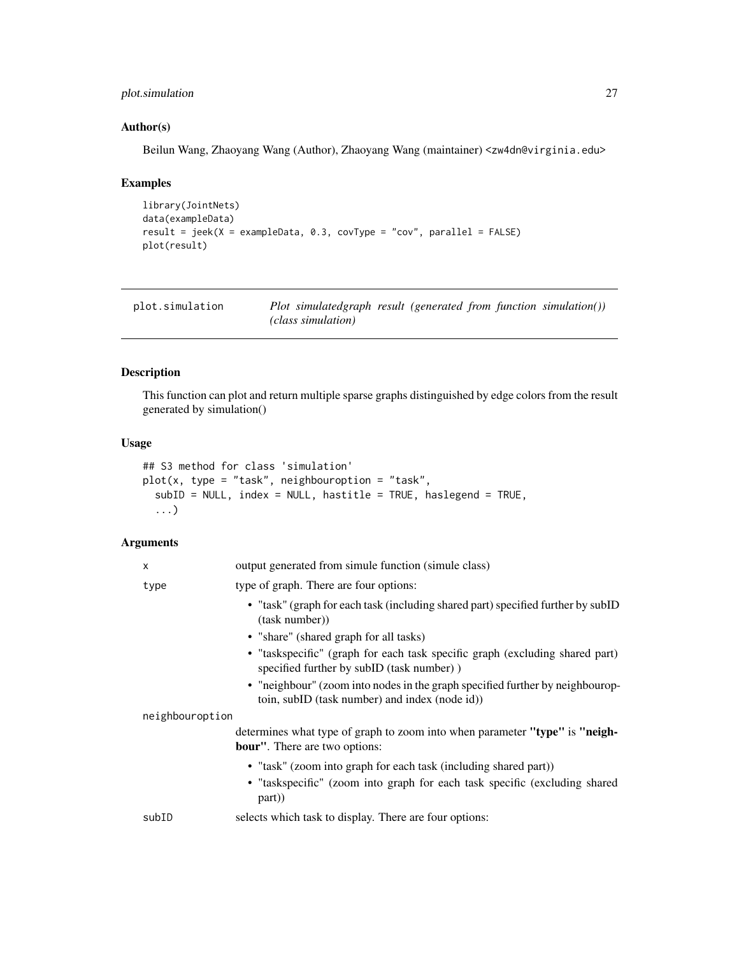# <span id="page-26-0"></span>plot.simulation 27

# Author(s)

Beilun Wang, Zhaoyang Wang (Author), Zhaoyang Wang (maintainer) <zw4dn@virginia.edu>

### Examples

```
library(JointNets)
data(exampleData)
result = jeek(X = exampleData, 0.3, covType = "cov", parallel = FALSE)
plot(result)
```

| plot.simulation | Plot simulatedgraph result (generated from function simulation()) |  |  |
|-----------------|-------------------------------------------------------------------|--|--|
|                 | (class simulation)                                                |  |  |

# Description

This function can plot and return multiple sparse graphs distinguished by edge colors from the result generated by simulation()

#### Usage

```
## S3 method for class 'simulation'
plot(x, type = "task", neighboroption = "task",subID = NULL, index = NULL, hastitle = TRUE, haslegend = TRUE,
  ...)
```

| X               | output generated from simule function (simule class)                                                                            |
|-----------------|---------------------------------------------------------------------------------------------------------------------------------|
| type            | type of graph. There are four options:                                                                                          |
|                 | • "task" (graph for each task (including shared part) specified further by subID<br>(task number))                              |
|                 | • "share" (shared graph for all tasks)                                                                                          |
|                 | • "taskspecific" (graph for each task specific graph (excluding shared part)<br>specified further by subID (task number))       |
|                 | • "neighbour" (zoom into nodes in the graph specified further by neighbourop-<br>toin, subID (task number) and index (node id)) |
| neighbouroption |                                                                                                                                 |
|                 | determines what type of graph to zoom into when parameter "type" is "neigh-<br><b>bour</b> ". There are two options:            |
|                 | • "task" (zoom into graph for each task (including shared part))                                                                |
|                 | • "taskspecific" (zoom into graph for each task specific (excluding shared<br>part)                                             |
| subID           | selects which task to display. There are four options:                                                                          |
|                 |                                                                                                                                 |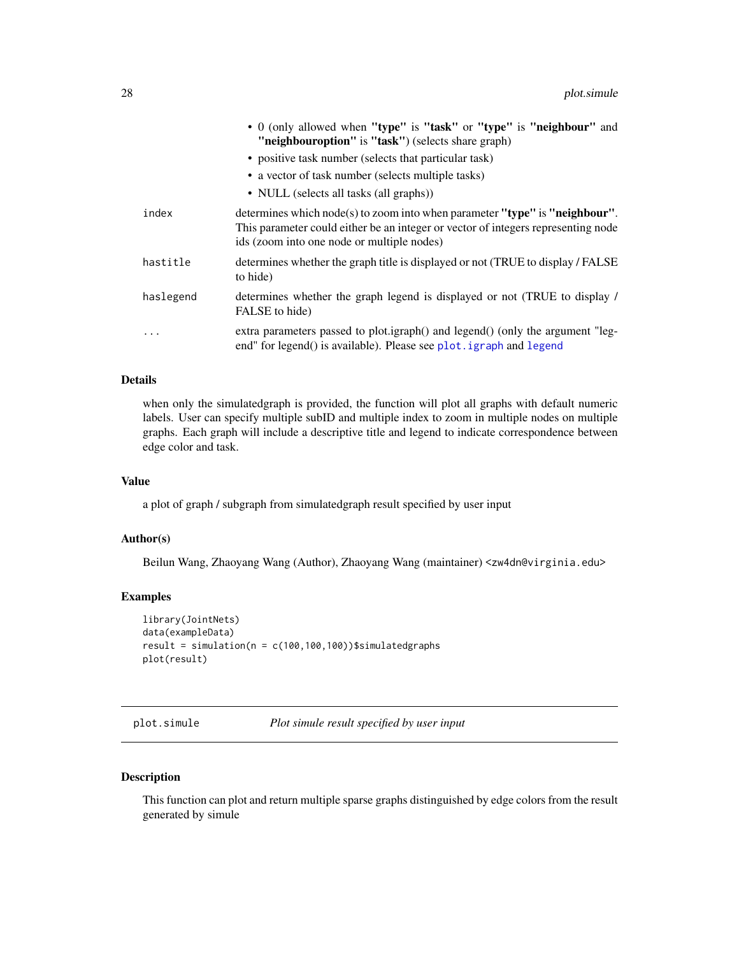<span id="page-27-0"></span>

|           | • 0 (only allowed when "type" is "task" or "type" is "neighbour" and<br>"neighbouroption" is "task") (selects share graph)                                                                                     |
|-----------|----------------------------------------------------------------------------------------------------------------------------------------------------------------------------------------------------------------|
|           | • positive task number (selects that particular task)                                                                                                                                                          |
|           | • a vector of task number (selects multiple tasks)                                                                                                                                                             |
|           | • NULL (selects all tasks (all graphs))                                                                                                                                                                        |
| index     | determines which node(s) to zoom into when parameter "type" is "neighbour".<br>This parameter could either be an integer or vector of integers representing node<br>ids (zoom into one node or multiple nodes) |
| hastitle  | determines whether the graph title is displayed or not (TRUE to display / FALSE<br>to hide)                                                                                                                    |
| haslegend | determines whether the graph legend is displayed or not (TRUE to display /<br>FALSE to hide)                                                                                                                   |
| .         | extra parameters passed to plot.igraph() and legend() (only the argument "leg-<br>end" for legend() is available). Please see plot . igraph and legend                                                         |

when only the simulatedgraph is provided, the function will plot all graphs with default numeric labels. User can specify multiple subID and multiple index to zoom in multiple nodes on multiple graphs. Each graph will include a descriptive title and legend to indicate correspondence between edge color and task.

#### Value

a plot of graph / subgraph from simulatedgraph result specified by user input

# Author(s)

Beilun Wang, Zhaoyang Wang (Author), Zhaoyang Wang (maintainer) <zw4dn@virginia.edu>

#### Examples

```
library(JointNets)
data(exampleData)
result = simulation(n = c(100, 100, 100))$simulatedgraphs
plot(result)
```
plot.simule *Plot simule result specified by user input*

# Description

This function can plot and return multiple sparse graphs distinguished by edge colors from the result generated by simule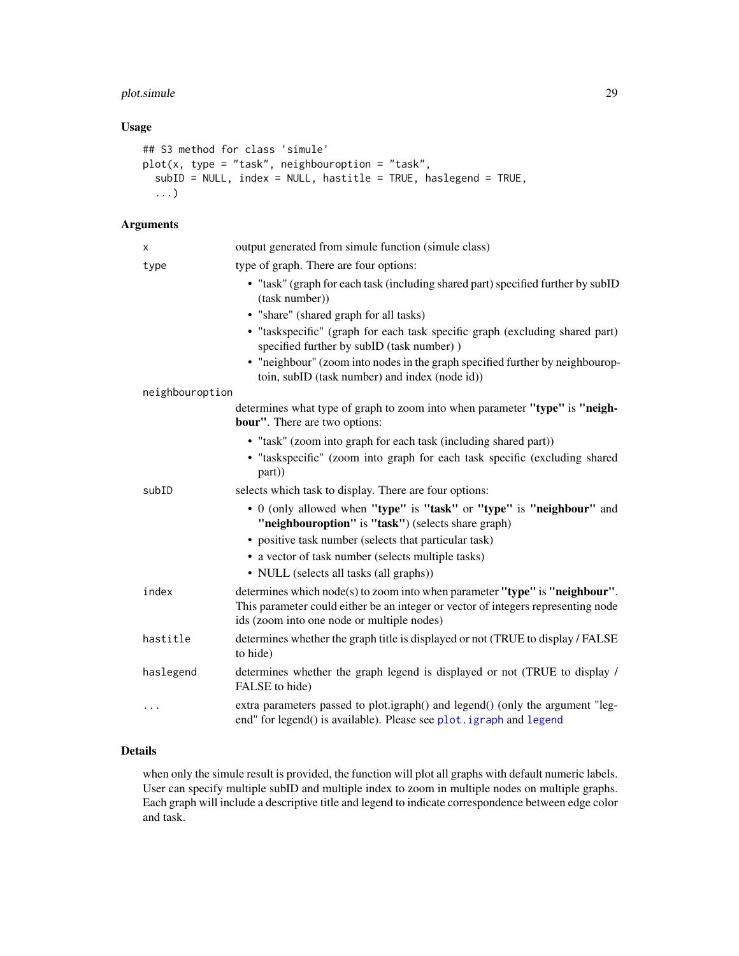# <span id="page-28-0"></span>plot.simule 29

# Usage

```
## S3 method for class 'simule'
plot(x, type = "task", neighboroption = "task",subID = NULL, index = NULL, hastitle = TRUE, haslegend = TRUE,
  ...)
```
# Arguments

| x               | output generated from simule function (simule class)                                                                                                                                                           |
|-----------------|----------------------------------------------------------------------------------------------------------------------------------------------------------------------------------------------------------------|
| type            | type of graph. There are four options:                                                                                                                                                                         |
|                 | • "task" (graph for each task (including shared part) specified further by subID<br>(task number))                                                                                                             |
|                 | • "share" (shared graph for all tasks)                                                                                                                                                                         |
|                 | · "taskspecific" (graph for each task specific graph (excluding shared part)<br>specified further by subID (task number))                                                                                      |
|                 | • "neighbour" (zoom into nodes in the graph specified further by neighbourop-<br>toin, subID (task number) and index (node id))                                                                                |
| neighbouroption |                                                                                                                                                                                                                |
|                 | determines what type of graph to zoom into when parameter "type" is "neigh-<br><b>bour"</b> . There are two options:                                                                                           |
|                 | · "task" (zoom into graph for each task (including shared part))                                                                                                                                               |
|                 | · "taskspecific" (zoom into graph for each task specific (excluding shared<br>part))                                                                                                                           |
| subID           | selects which task to display. There are four options:                                                                                                                                                         |
|                 | • 0 (only allowed when "type" is "task" or "type" is "neighbour" and<br>"neighbouroption" is "task") (selects share graph)                                                                                     |
|                 | • positive task number (selects that particular task)                                                                                                                                                          |
|                 | • a vector of task number (selects multiple tasks)                                                                                                                                                             |
|                 | • NULL (selects all tasks (all graphs))                                                                                                                                                                        |
| index           | determines which node(s) to zoom into when parameter "type" is "neighbour".<br>This parameter could either be an integer or vector of integers representing node<br>ids (zoom into one node or multiple nodes) |
| hastitle        | determines whether the graph title is displayed or not (TRUE to display / FALSE<br>to hide)                                                                                                                    |
| haslegend       | determines whether the graph legend is displayed or not (TRUE to display /<br>FALSE to hide)                                                                                                                   |
|                 | extra parameters passed to plot.igraph() and legend() (only the argument "leg-<br>end" for legend() is available). Please see plot. igraph and legend                                                          |

# Details

when only the simule result is provided, the function will plot all graphs with default numeric labels. User can specify multiple subID and multiple index to zoom in multiple nodes on multiple graphs. Each graph will include a descriptive title and legend to indicate correspondence between edge color and task.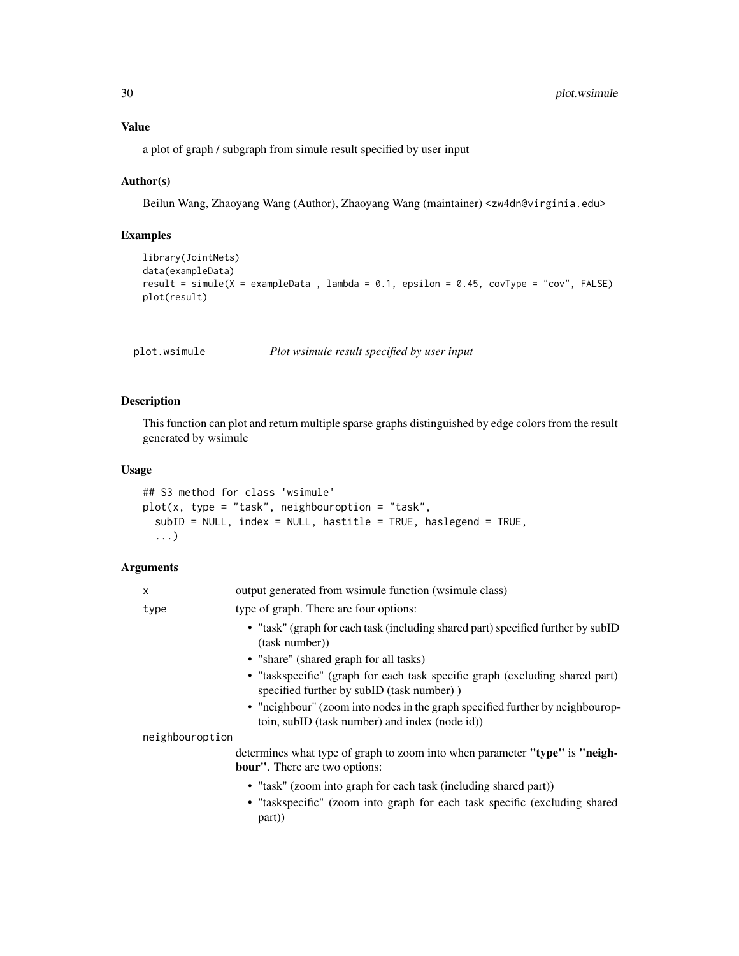# <span id="page-29-0"></span>Value

a plot of graph / subgraph from simule result specified by user input

#### Author(s)

Beilun Wang, Zhaoyang Wang (Author), Zhaoyang Wang (maintainer) <zw4dn@virginia.edu>

### Examples

```
library(JointNets)
data(exampleData)
result = simule(X = exampleData, lambda = 0.1, epsilon = 0.45, covType = "cov", FALSE)
plot(result)
```
plot.wsimule *Plot wsimule result specified by user input*

# Description

This function can plot and return multiple sparse graphs distinguished by edge colors from the result generated by wsimule

# Usage

```
## S3 method for class 'wsimule'
plot(x, type = "task", neighbor option = "task",subID = NULL, index = NULL, hastitle = TRUE, haslegend = TRUE,
  ...)
```

| X               | output generated from wsimule function (wsimule class)                                                                                                  |
|-----------------|---------------------------------------------------------------------------------------------------------------------------------------------------------|
| type            | type of graph. There are four options:                                                                                                                  |
|                 | • "task" (graph for each task (including shared part) specified further by subID<br>(task number))                                                      |
|                 | • "share" (shared graph for all tasks)                                                                                                                  |
|                 | • "taskspecific" (graph for each task specific graph (excluding shared part)<br>specified further by subID (task number))                               |
|                 | • "neighbour" (zoom into nodes in the graph specified further by neighbourop-<br>toin, subID (task number) and index (node id))                         |
| neighbouroption |                                                                                                                                                         |
|                 | determines what type of graph to zoom into when parameter "type" is "neigh-<br><b>bour</b> ". There are two options:                                    |
|                 | • "task" (zoom into graph for each task (including shared part))<br>• "taskspecific" (zoom into graph for each task specific (excluding shared<br>part) |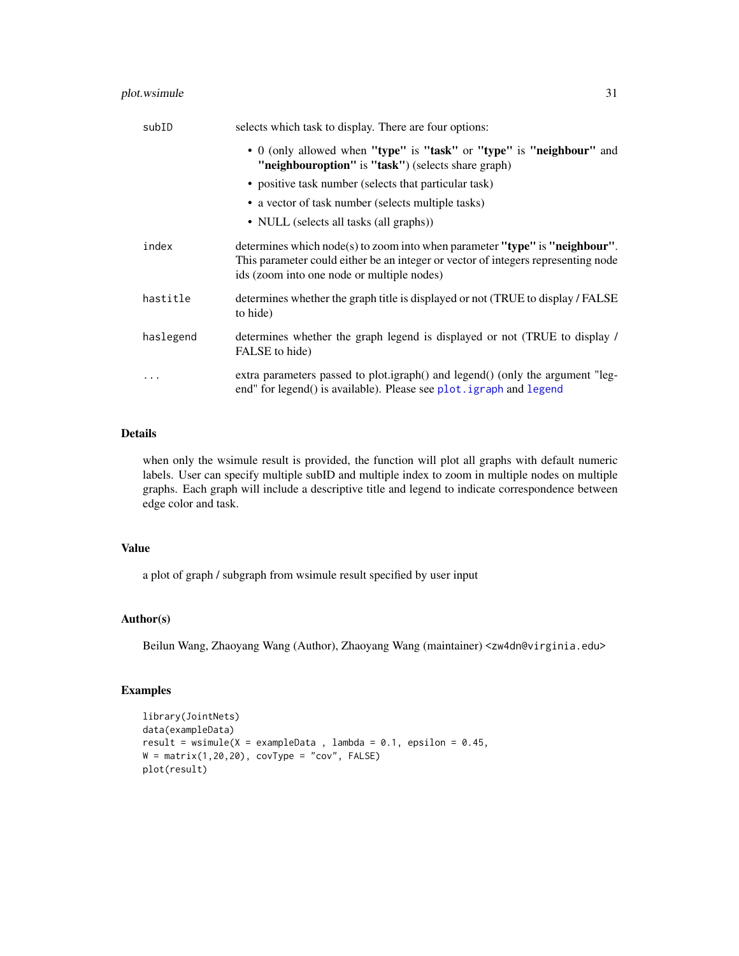# <span id="page-30-0"></span>plot.wsimule 31

| subID     | selects which task to display. There are four options:                                                                                                                                                         |
|-----------|----------------------------------------------------------------------------------------------------------------------------------------------------------------------------------------------------------------|
|           | • 0 (only allowed when "type" is "task" or "type" is "neighbour" and<br>"neighbouroption" is "task") (selects share graph)                                                                                     |
|           | • positive task number (selects that particular task)                                                                                                                                                          |
|           | • a vector of task number (selects multiple tasks)                                                                                                                                                             |
|           | • NULL (selects all tasks (all graphs))                                                                                                                                                                        |
| index     | determines which node(s) to zoom into when parameter "type" is "neighbour".<br>This parameter could either be an integer or vector of integers representing node<br>ids (zoom into one node or multiple nodes) |
| hastitle  | determines whether the graph title is displayed or not (TRUE to display / FALSE)<br>to hide)                                                                                                                   |
| haslegend | determines whether the graph legend is displayed or not (TRUE to display /<br>FALSE to hide)                                                                                                                   |
| .         | extra parameters passed to plot.igraph() and legend() (only the argument "leg-<br>end" for legend() is available). Please see plot. igraph and legend                                                          |

# Details

when only the wsimule result is provided, the function will plot all graphs with default numeric labels. User can specify multiple subID and multiple index to zoom in multiple nodes on multiple graphs. Each graph will include a descriptive title and legend to indicate correspondence between edge color and task.

#### Value

a plot of graph / subgraph from wsimule result specified by user input

# Author(s)

Beilun Wang, Zhaoyang Wang (Author), Zhaoyang Wang (maintainer) <zw4dn@virginia.edu>

# Examples

```
library(JointNets)
data(exampleData)
result = wsimule(X = exampleData, lambda = 0.1, epsilon = 0.45,
W = matrix(1, 20, 20), covType = "cov", FALSE)
plot(result)
```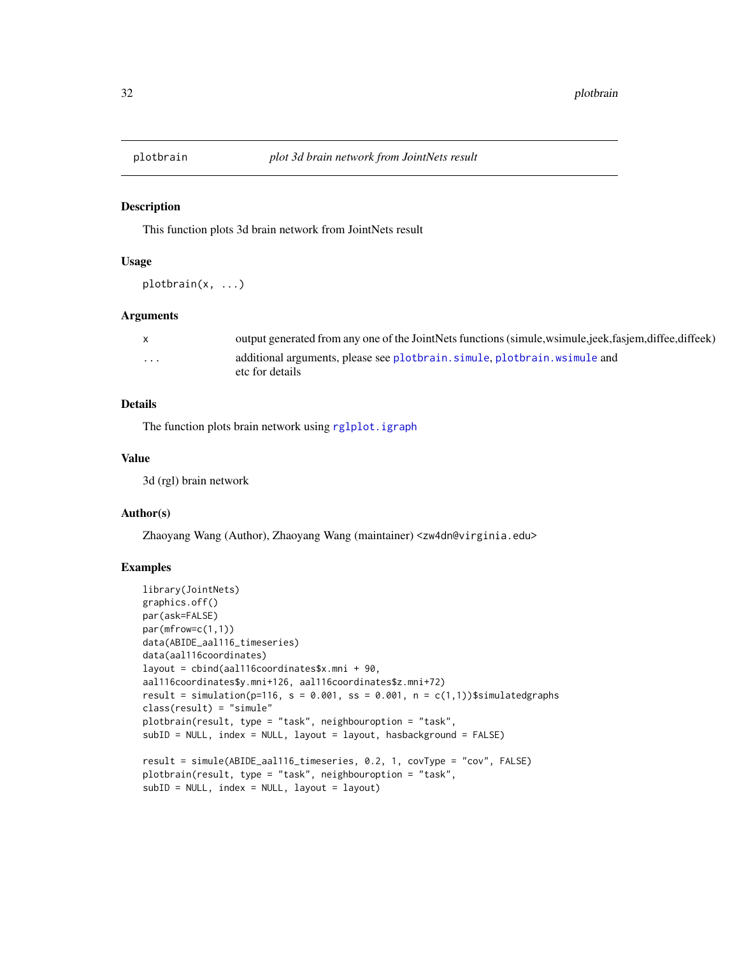<span id="page-31-0"></span>

#### Description

This function plots 3d brain network from JointNets result

#### Usage

plotbrain(x, ...)

#### Arguments

|   | output generated from any one of the JointNets functions (simule, wsimule, jeek, fasjem, diffee, diffeek) |
|---|-----------------------------------------------------------------------------------------------------------|
| . | additional arguments, please see plotbrain, simule, plotbrain, wsimule and                                |
|   | etc for details                                                                                           |

# Details

The function plots brain network using [rglplot.igraph](#page-0-0)

#### Value

3d (rgl) brain network

# Author(s)

Zhaoyang Wang (Author), Zhaoyang Wang (maintainer) <zw4dn@virginia.edu>

#### Examples

```
library(JointNets)
graphics.off()
par(ask=FALSE)
par(mfrow=c(1,1))
data(ABIDE_aal116_timeseries)
data(aal116coordinates)
layout = cbind(aal116coordinates$x.mni + 90,
aal116coordinates$y.mni+126, aal116coordinates$z.mni+72)
result = simulation(p=116, s = 0.001, ss = 0.001, n = c(1,1))$simulatedgraphs
class(result) = "simule"
plotbrain(result, type = "task", neighbouroption = "task",
subID = NULL, index = NULL, layout = layout, hasbackground = FALSE)
result = simule(ABIDE_aal116_timeseries, 0.2, 1, covType = "cov", FALSE)
plotbrain(result, type = "task", neighbouroption = "task",
subID = NULL, index = NULL, layout = layout)
```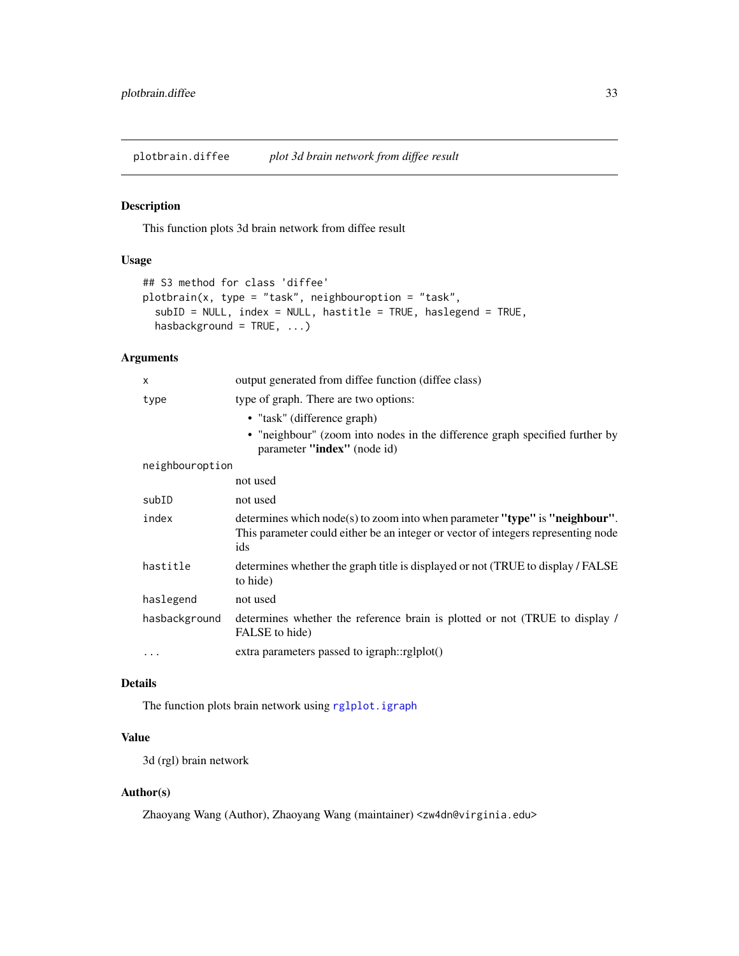<span id="page-32-0"></span>plotbrain.diffee *plot 3d brain network from diffee result*

# Description

This function plots 3d brain network from diffee result

#### Usage

```
## S3 method for class 'diffee'
plotbrain(x, type = "task", neighbouroption = "task",
  subID = NULL, index = NULL, hastitle = TRUE, haslegend = TRUE,
 hasbackground = TRUE, ...)
```
# Arguments

| $\mathsf{x}$    | output generated from diffee function (diffee class)                                                                                                                    |
|-----------------|-------------------------------------------------------------------------------------------------------------------------------------------------------------------------|
| type            | type of graph. There are two options:                                                                                                                                   |
|                 | • "task" (difference graph)                                                                                                                                             |
|                 | • "neighbour" (zoom into nodes in the difference graph specified further by<br>parameter "index" (node id)                                                              |
| neighbouroption |                                                                                                                                                                         |
|                 | not used                                                                                                                                                                |
| subID           | not used                                                                                                                                                                |
| index           | determines which node(s) to zoom into when parameter "type" is "neighbour".<br>This parameter could either be an integer or vector of integers representing node<br>ids |
| hastitle        | determines whether the graph title is displayed or not (TRUE to display / FALSE)<br>to hide)                                                                            |
| haslegend       | not used                                                                                                                                                                |
| hasbackground   | determines whether the reference brain is plotted or not (TRUE to display /<br>FALSE to hide)                                                                           |
|                 | extra parameters passed to igraph::rglplot()                                                                                                                            |

# Details

The function plots brain network using [rglplot.igraph](#page-0-0)

# Value

3d (rgl) brain network

# Author(s)

Zhaoyang Wang (Author), Zhaoyang Wang (maintainer) <zw4dn@virginia.edu>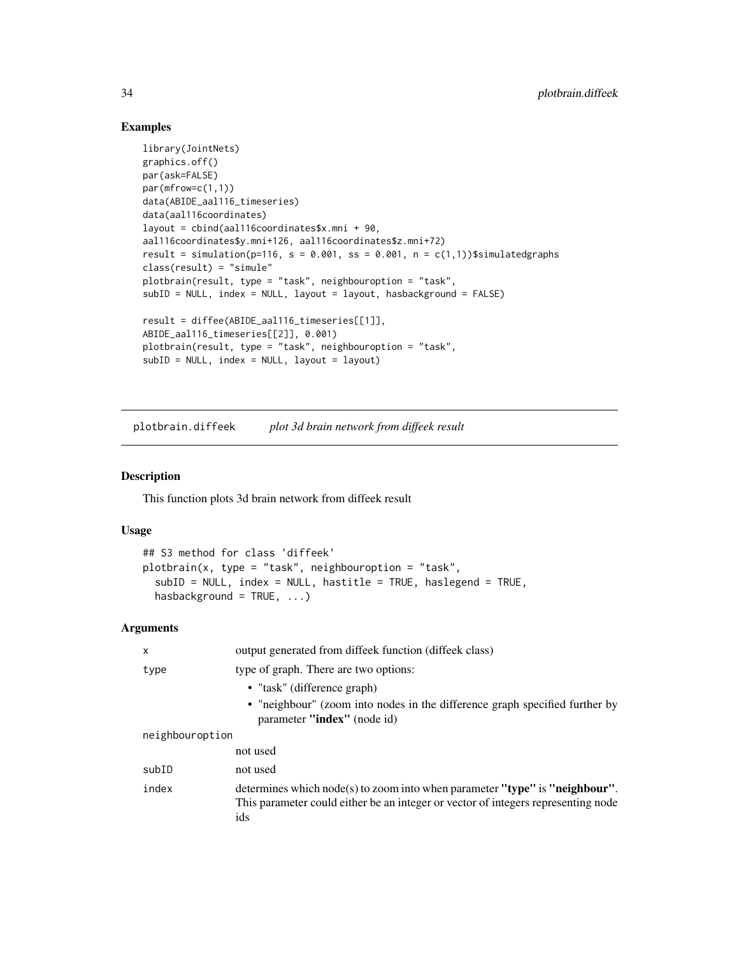# Examples

```
library(JointNets)
graphics.off()
par(ask=FALSE)
par(mfrow=c(1,1))
data(ABIDE_aal116_timeseries)
data(aal116coordinates)
layout = cbind(aal116coordinates$x.mni + 90,
aal116coordinates$y.mni+126, aal116coordinates$z.mni+72)
result = simulation(p=116, s = 0.001, ss = 0.001, n = c(1,1))$simulatedgraphs
class(result) = "simule"
plotbrain(result, type = "task", neighbouroption = "task",
subID = NULL, index = NULL, layout = layout, hasbackground = FALSE)
result = diffee(ABIDE_aal116_timeseries[[1]],
ABIDE_aal116_timeseries[[2]], 0.001)
plotbrain(result, type = "task", neighbouroption = "task",
subID = NULL, index = NULL, layout = layout)
```
plotbrain.diffeek *plot 3d brain network from diffeek result*

#### Description

This function plots 3d brain network from diffeek result

#### Usage

```
## S3 method for class 'diffeek'
plotbrain(x, type = "task", neighbouroption = "task",
  subID = NULL, index = NULL, hastitle = TRUE, haslegend = TRUE,
  hasbackground = TRUE, ...)
```

| output generated from diffeek function (diffeek class)                                                                                                                  |
|-------------------------------------------------------------------------------------------------------------------------------------------------------------------------|
| type of graph. There are two options:                                                                                                                                   |
| • "task" (difference graph)                                                                                                                                             |
| • "neighbour" (zoom into nodes in the difference graph specified further by<br>parameter "index" (node id)                                                              |
| neighbouroption                                                                                                                                                         |
| not used                                                                                                                                                                |
| not used                                                                                                                                                                |
| determines which node(s) to zoom into when parameter "type" is "neighbour".<br>This parameter could either be an integer or vector of integers representing node<br>ids |
|                                                                                                                                                                         |

<span id="page-33-0"></span>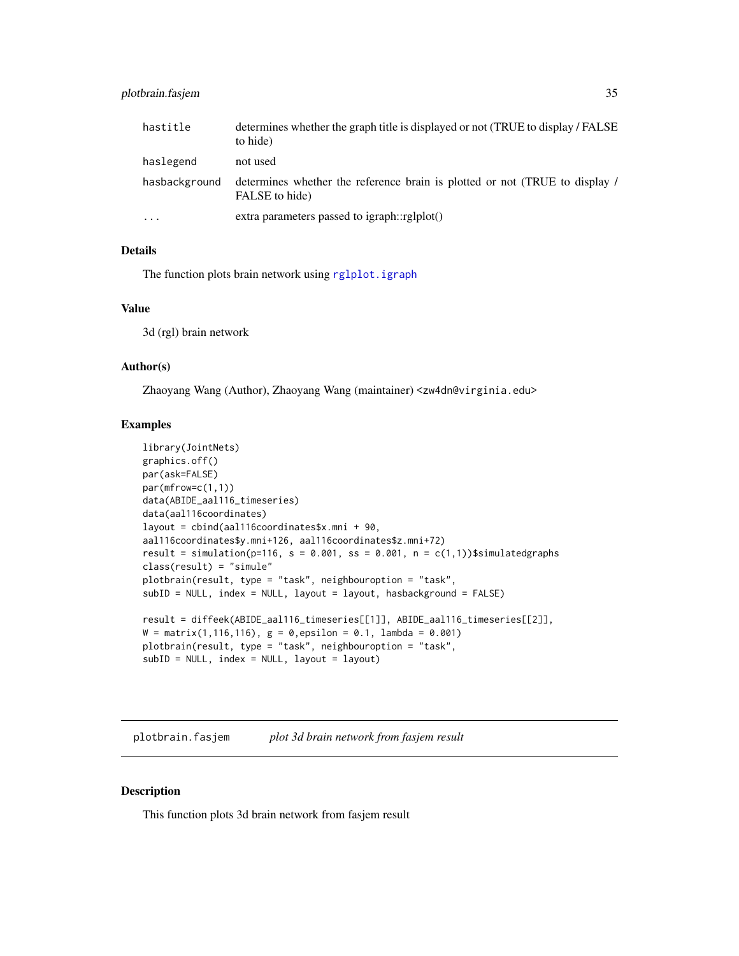# <span id="page-34-0"></span>plotbrain.fasjem 35

| hastitle      | determines whether the graph title is displayed or not (TRUE to display / FALSE)<br>to hide)  |
|---------------|-----------------------------------------------------------------------------------------------|
| haslegend     | not used                                                                                      |
| hasbackground | determines whether the reference brain is plotted or not (TRUE to display /<br>FALSE to hide) |
| $\cdots$      | extra parameters passed to igraph::rglplot()                                                  |

#### Details

The function plots brain network using [rglplot.igraph](#page-0-0)

#### Value

3d (rgl) brain network

# Author(s)

Zhaoyang Wang (Author), Zhaoyang Wang (maintainer) <zw4dn@virginia.edu>

# Examples

```
library(JointNets)
graphics.off()
par(ask=FALSE)
par(mfrow=c(1,1))
data(ABIDE_aal116_timeseries)
data(aal116coordinates)
layout = cbind(aal116coordinates$x.mni + 90,
aal116coordinates$y.mni+126, aal116coordinates$z.mni+72)
result = simulation(p=116, s = 0.001, ss = 0.001, n = c(1,1))$simulatedgraphs
class(result) = "simule"
plotbrain(result, type = "task", neighbouroption = "task",
subID = NULL, index = NULL, layout = layout, hasbackground = FALSE)
result = diffeek(ABIDE_aal116_timeseries[[1]], ABIDE_aal116_timeseries[[2]],
W = matrix(1, 116, 116), g = 0, epsilon = 0.1, lambda = 0.001)plotbrain(result, type = "task", neighbouroption = "task",
subID = NULL, index = NULL, layout = layout)
```
plotbrain.fasjem *plot 3d brain network from fasjem result*

# Description

This function plots 3d brain network from fasjem result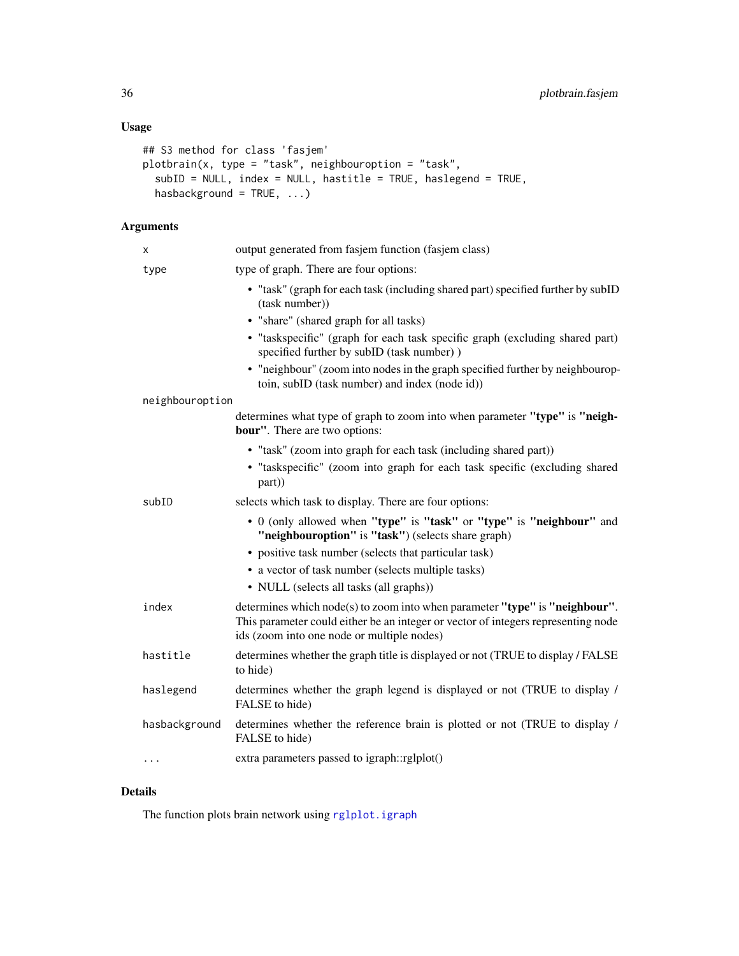# <span id="page-35-0"></span>Usage

```
## S3 method for class 'fasjem'
plotbrain(x, type = "task", neighbouroption = "task",
  subID = NULL, index = NULL, hastitle = TRUE, haslegend = TRUE,
  hasbackground = TRUE, ...)
```
# Arguments

| х               | output generated from fasjem function (fasjem class)                                                                                                                                                           |
|-----------------|----------------------------------------------------------------------------------------------------------------------------------------------------------------------------------------------------------------|
| type            | type of graph. There are four options:                                                                                                                                                                         |
|                 | • "task" (graph for each task (including shared part) specified further by subID<br>(task number))                                                                                                             |
|                 | • "share" (shared graph for all tasks)                                                                                                                                                                         |
|                 | · "taskspecific" (graph for each task specific graph (excluding shared part)<br>specified further by subID (task number))                                                                                      |
|                 | • "neighbour" (zoom into nodes in the graph specified further by neighbourop-<br>toin, subID (task number) and index (node id))                                                                                |
| neighbouroption |                                                                                                                                                                                                                |
|                 | determines what type of graph to zoom into when parameter "type" is "neigh-<br><b>bour"</b> . There are two options:                                                                                           |
|                 | • "task" (zoom into graph for each task (including shared part))                                                                                                                                               |
|                 | • "taskspecific" (zoom into graph for each task specific (excluding shared<br>part))                                                                                                                           |
| subID           | selects which task to display. There are four options:                                                                                                                                                         |
|                 | • 0 (only allowed when "type" is "task" or "type" is "neighbour" and<br>"neighbouroption" is "task") (selects share graph)                                                                                     |
|                 | • positive task number (selects that particular task)                                                                                                                                                          |
|                 | • a vector of task number (selects multiple tasks)                                                                                                                                                             |
|                 | • NULL (selects all tasks (all graphs))                                                                                                                                                                        |
| index           | determines which node(s) to zoom into when parameter "type" is "neighbour".<br>This parameter could either be an integer or vector of integers representing node<br>ids (zoom into one node or multiple nodes) |
| hastitle        | determines whether the graph title is displayed or not (TRUE to display / FALSE<br>to hide)                                                                                                                    |
| haslegend       | determines whether the graph legend is displayed or not (TRUE to display /<br>FALSE to hide)                                                                                                                   |
| hasbackground   | determines whether the reference brain is plotted or not (TRUE to display /<br>FALSE to hide)                                                                                                                  |
| $\cdots$        | extra parameters passed to igraph::rglplot()                                                                                                                                                                   |
|                 |                                                                                                                                                                                                                |

# Details

The function plots brain network using [rglplot.igraph](#page-0-0)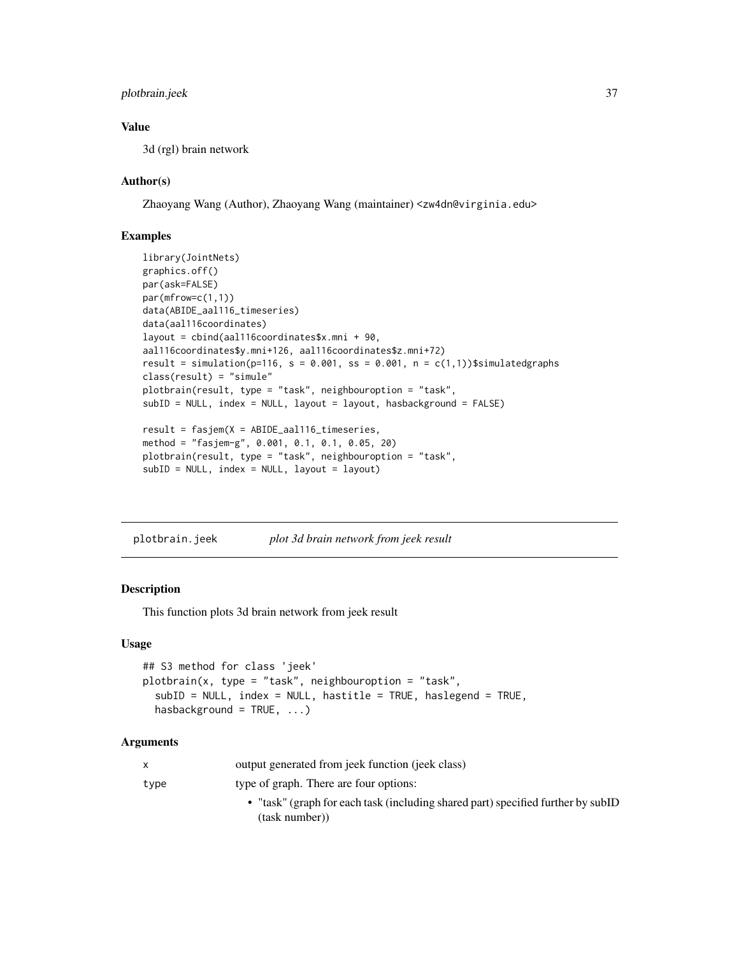# <span id="page-36-0"></span>plotbrain.jeek 37

# Value

3d (rgl) brain network

# Author(s)

Zhaoyang Wang (Author), Zhaoyang Wang (maintainer) <zw4dn@virginia.edu>

### Examples

```
library(JointNets)
graphics.off()
par(ask=FALSE)
par(mfrow=c(1,1))
data(ABIDE_aal116_timeseries)
data(aal116coordinates)
layout = cbind(aal116coordinates$x.mni + 90,
aal116coordinates$y.mni+126, aal116coordinates$z.mni+72)
result = simulation(p=116, s = 0.001, ss = 0.001, n = c(1,1))$simulatedgraphs
class(result) = "simule"
plotbrain(result, type = "task", neighbouroption = "task",
subID = NULL, index = NULL, layout = layout, hasbackground = FALSE)
result = fasjem(X = ABIDE_aal116_timeseries,
method = "fasjem-g", 0.001, 0.1, 0.1, 0.05, 20)
plotbrain(result, type = "task", neighbouroption = "task",
subID = NULL, index = NULL, layout = layout)
```
plotbrain.jeek *plot 3d brain network from jeek result*

# Description

This function plots 3d brain network from jeek result

# Usage

```
## S3 method for class 'jeek'
plotbrain(x, type = "task", neighbouroption = "task",subID = NULL, index = NULL, hastitle = TRUE, haslegend = TRUE,
  hasbackground = TRUE, ...)
```

|      | output generated from jeek function (jeek class)                                                   |
|------|----------------------------------------------------------------------------------------------------|
| type | type of graph. There are four options:                                                             |
|      | • "task" (graph for each task (including shared part) specified further by subID<br>(task number)) |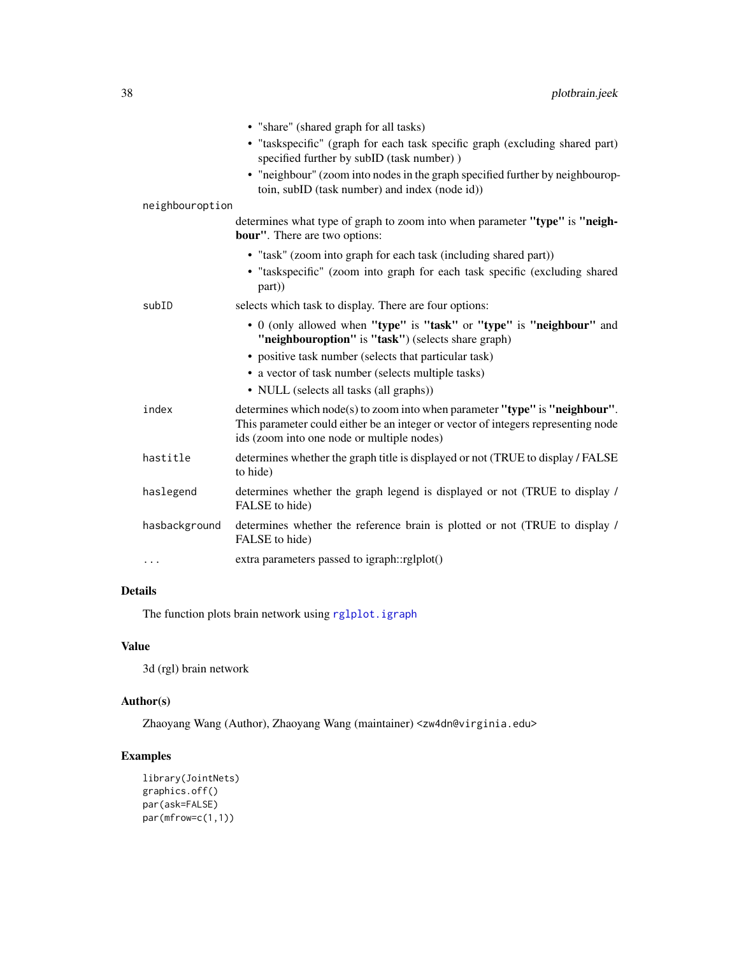<span id="page-37-0"></span>

|                 | • "share" (shared graph for all tasks)                                                                                                                                                                         |
|-----------------|----------------------------------------------------------------------------------------------------------------------------------------------------------------------------------------------------------------|
|                 | · "taskspecific" (graph for each task specific graph (excluding shared part)<br>specified further by subID (task number))                                                                                      |
|                 | • "neighbour" (zoom into nodes in the graph specified further by neighbourop-<br>toin, subID (task number) and index (node id))                                                                                |
| neighbouroption |                                                                                                                                                                                                                |
|                 | determines what type of graph to zoom into when parameter "type" is "neigh-<br><b>bour"</b> . There are two options:                                                                                           |
|                 | • "task" (zoom into graph for each task (including shared part))                                                                                                                                               |
|                 | • "taskspecific" (zoom into graph for each task specific (excluding shared<br>part))                                                                                                                           |
| subID           | selects which task to display. There are four options:                                                                                                                                                         |
|                 | • 0 (only allowed when "type" is "task" or "type" is "neighbour" and<br>"neighbouroption" is "task") (selects share graph)                                                                                     |
|                 | • positive task number (selects that particular task)                                                                                                                                                          |
|                 | • a vector of task number (selects multiple tasks)                                                                                                                                                             |
|                 | • NULL (selects all tasks (all graphs))                                                                                                                                                                        |
| index           | determines which node(s) to zoom into when parameter "type" is "neighbour".<br>This parameter could either be an integer or vector of integers representing node<br>ids (zoom into one node or multiple nodes) |
| hastitle        | determines whether the graph title is displayed or not (TRUE to display / FALSE<br>to hide)                                                                                                                    |
| haslegend       | determines whether the graph legend is displayed or not (TRUE to display /<br>FALSE to hide)                                                                                                                   |
| hasbackground   | determines whether the reference brain is plotted or not (TRUE to display /<br>FALSE to hide)                                                                                                                  |
| .               | extra parameters passed to igraph::rglplot()                                                                                                                                                                   |

The function plots brain network using [rglplot.igraph](#page-0-0)

# Value

3d (rgl) brain network

# Author(s)

Zhaoyang Wang (Author), Zhaoyang Wang (maintainer) <zw4dn@virginia.edu>

# Examples

```
library(JointNets)
graphics.off()
par(ask=FALSE)
par(mfrow=c(1,1))
```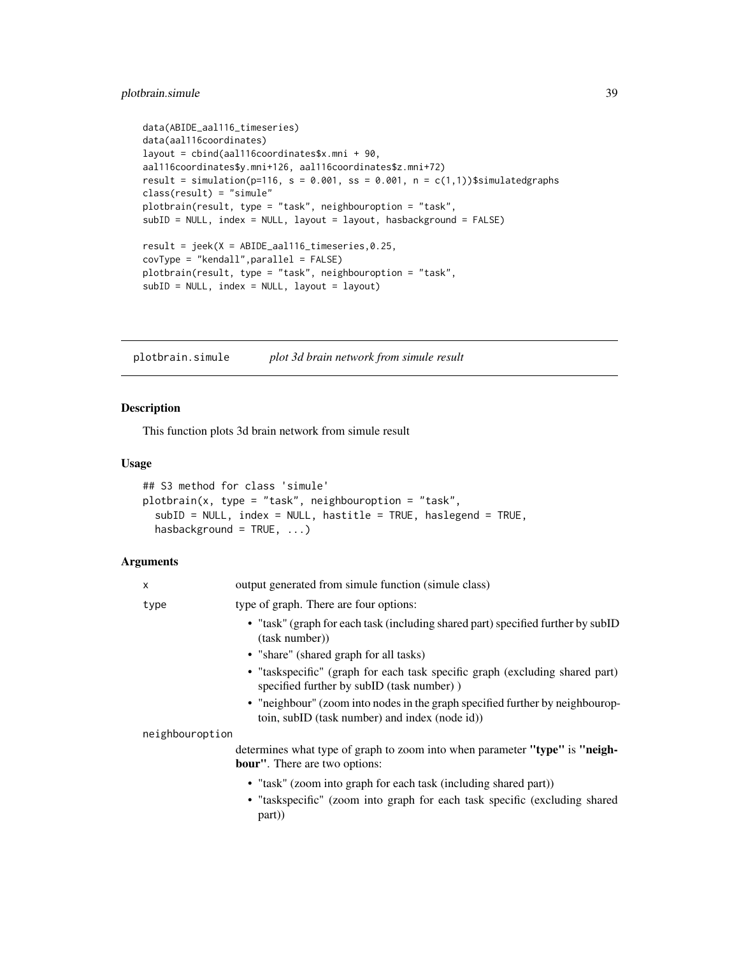```
data(ABIDE_aal116_timeseries)
data(aal116coordinates)
layout = cbind(aal116coordinates$x.mni + 90,
aal116coordinates$y.mni+126, aal116coordinates$z.mni+72)
result = simulation(p=116, s = 0.001, ss = 0.001, n = c(1,1))$simulatedgraphs
class(result) = "simule"
plotbrain(result, type = "task", neighbouroption = "task",
subID = NULL, index = NULL, layout = layout, hasbackground = FALSE)
result = jeek(X = ABIDE_aal116_timeseries,0.25,
covType = "kendall",parallel = FALSE)
plotbrain(result, type = "task", neighbouroption = "task",
subID = NULL, index = NULL, layout = layout)
```
<span id="page-38-1"></span>plotbrain.simule *plot 3d brain network from simule result*

#### Description

This function plots 3d brain network from simule result

#### Usage

```
## S3 method for class 'simule'
plotbrain(x, type = "task", neighbouroption = "task",
  subID = NULL, index = NULL, hastitle = TRUE, haslegend = TRUE,
  hasbackground = TRUE, ...)
```

| X               | output generated from simule function (simule class)                                                                            |
|-----------------|---------------------------------------------------------------------------------------------------------------------------------|
| type            | type of graph. There are four options:                                                                                          |
|                 | • "task" (graph for each task (including shared part) specified further by subID<br>(task number))                              |
|                 | • "share" (shared graph for all tasks)                                                                                          |
|                 | • "taskspecific" (graph for each task specific graph (excluding shared part)<br>specified further by subID (task number))       |
|                 | • "neighbour" (zoom into nodes in the graph specified further by neighbourop-<br>toin, subID (task number) and index (node id)) |
| neighbouroption |                                                                                                                                 |
|                 | determines what type of graph to zoom into when parameter "type" is "neigh-<br><b>bour</b> ". There are two options:            |
|                 | • "task" (zoom into graph for each task (including shared part))                                                                |
|                 | • "taskspecific" (zoom into graph for each task specific (excluding shared<br>part)                                             |
|                 |                                                                                                                                 |
|                 |                                                                                                                                 |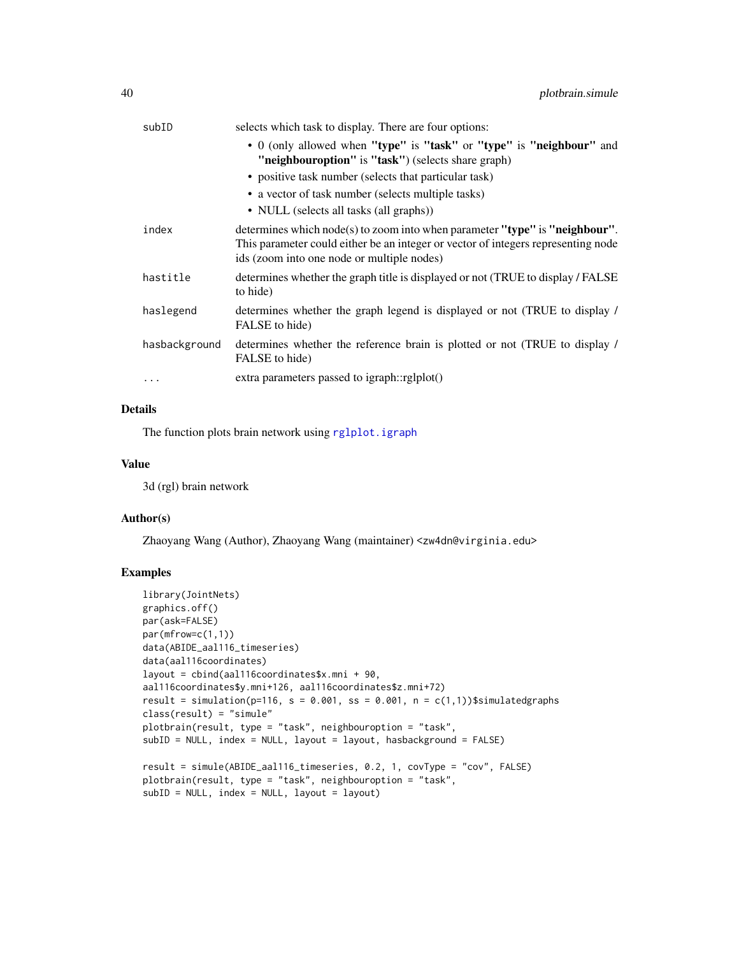<span id="page-39-0"></span>

| subID         | selects which task to display. There are four options:                                                                                                                                                         |
|---------------|----------------------------------------------------------------------------------------------------------------------------------------------------------------------------------------------------------------|
|               | • 0 (only allowed when "type" is "task" or "type" is "neighbour" and<br>"neighbouroption" is "task") (selects share graph)                                                                                     |
|               | • positive task number (selects that particular task)                                                                                                                                                          |
|               | • a vector of task number (selects multiple tasks)                                                                                                                                                             |
|               | • NULL (selects all tasks (all graphs))                                                                                                                                                                        |
| index         | determines which node(s) to zoom into when parameter "type" is "neighbour".<br>This parameter could either be an integer or vector of integers representing node<br>ids (zoom into one node or multiple nodes) |
| hastitle      | determines whether the graph title is displayed or not (TRUE to display / FALSE)<br>to hide)                                                                                                                   |
| haslegend     | determines whether the graph legend is displayed or not (TRUE to display /<br>FALSE to hide)                                                                                                                   |
| hasbackground | determines whether the reference brain is plotted or not (TRUE to display /<br>FALSE to hide)                                                                                                                  |
| $\cdots$      | extra parameters passed to igraph::rglplot()                                                                                                                                                                   |

The function plots brain network using [rglplot.igraph](#page-0-0)

# Value

3d (rgl) brain network

# Author(s)

Zhaoyang Wang (Author), Zhaoyang Wang (maintainer) <zw4dn@virginia.edu>

# Examples

```
library(JointNets)
graphics.off()
par(ask=FALSE)
par(mfrow=c(1,1))
data(ABIDE_aal116_timeseries)
data(aal116coordinates)
layout = cbind(aal116coordinates$x.mni + 90,
aal116coordinates$y.mni+126, aal116coordinates$z.mni+72)
result = simulation(p=116, s = 0.001, ss = 0.001, n = c(1,1))$simulatedgraphs
class(result) = "simule"
plotbrain(result, type = "task", neighbouroption = "task",
subID = NULL, index = NULL, layout = layout, hasbackground = FALSE)
result = simule(ABIDE_aal116_timeseries, 0.2, 1, covType = "cov", FALSE)
plotbrain(result, type = "task", neighbouroption = "task",
subID = NULL, index = NULL, layout = layout)
```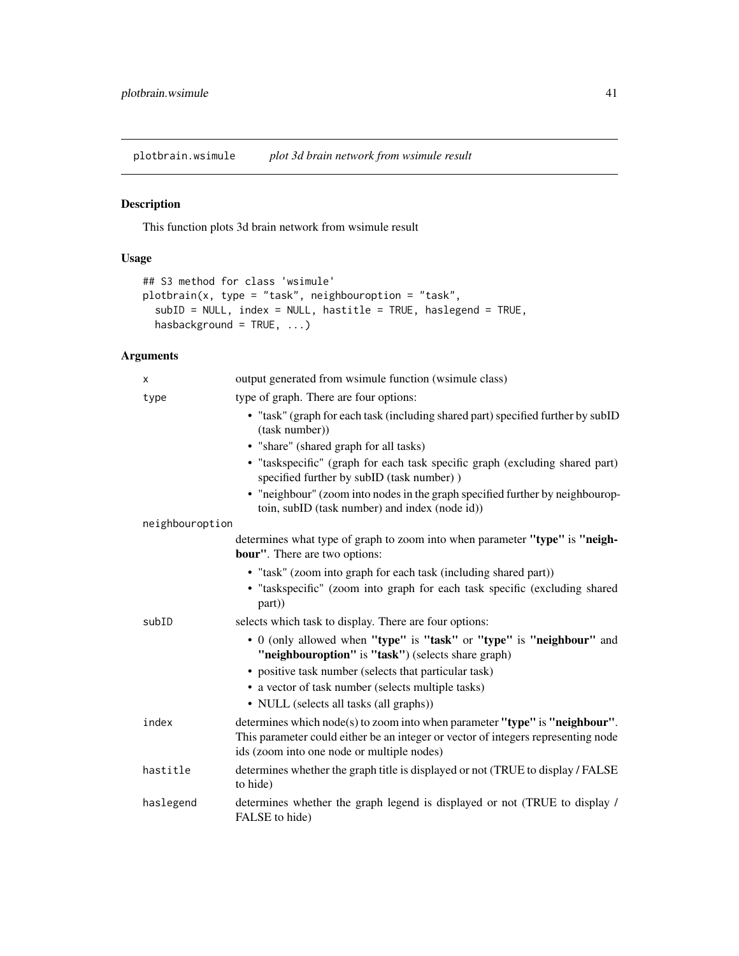<span id="page-40-1"></span><span id="page-40-0"></span>plotbrain.wsimule *plot 3d brain network from wsimule result*

# Description

This function plots 3d brain network from wsimule result

# Usage

```
## S3 method for class 'wsimule'
plotbrain(x, type = "task", neighbouroption = "task",
  subID = NULL, index = NULL, hastitle = TRUE, haslegend = TRUE,
 hasbackground = TRUE, ...)
```

| x               | output generated from wsimule function (wsimule class)                                                                                                                                                         |
|-----------------|----------------------------------------------------------------------------------------------------------------------------------------------------------------------------------------------------------------|
| type            | type of graph. There are four options:                                                                                                                                                                         |
|                 | • "task" (graph for each task (including shared part) specified further by subID<br>(task number))                                                                                                             |
|                 | • "share" (shared graph for all tasks)                                                                                                                                                                         |
|                 | · "taskspecific" (graph for each task specific graph (excluding shared part)<br>specified further by subID (task number))                                                                                      |
|                 | • "neighbour" (zoom into nodes in the graph specified further by neighbourop-<br>toin, subID (task number) and index (node id))                                                                                |
| neighbouroption |                                                                                                                                                                                                                |
|                 | determines what type of graph to zoom into when parameter "type" is "neigh-<br><b>bour</b> ". There are two options:                                                                                           |
|                 | • "task" (zoom into graph for each task (including shared part))<br>• "taskspecific" (zoom into graph for each task specific (excluding shared<br>part))                                                       |
| subID           | selects which task to display. There are four options:                                                                                                                                                         |
|                 | • 0 (only allowed when "type" is "task" or "type" is "neighbour" and<br>"neighbouroption" is "task") (selects share graph)                                                                                     |
|                 | • positive task number (selects that particular task)                                                                                                                                                          |
|                 | • a vector of task number (selects multiple tasks)                                                                                                                                                             |
|                 | • NULL (selects all tasks (all graphs))                                                                                                                                                                        |
| index           | determines which node(s) to zoom into when parameter "type" is "neighbour".<br>This parameter could either be an integer or vector of integers representing node<br>ids (zoom into one node or multiple nodes) |
| hastitle        | determines whether the graph title is displayed or not (TRUE to display / FALSE<br>to hide)                                                                                                                    |
| haslegend       | determines whether the graph legend is displayed or not (TRUE to display /<br>FALSE to hide)                                                                                                                   |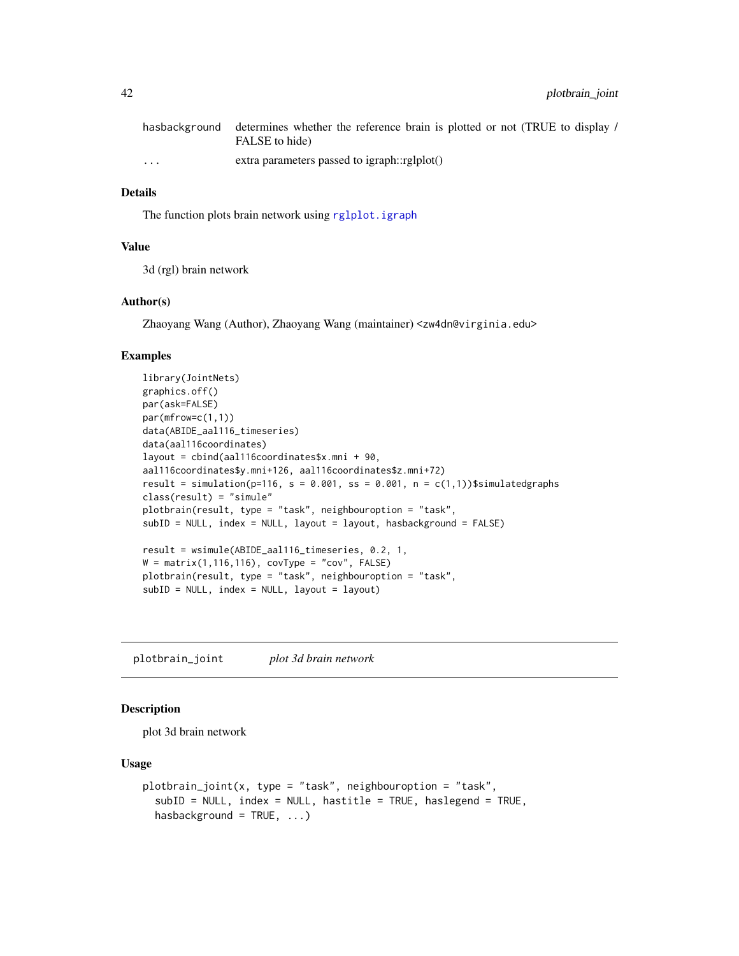<span id="page-41-0"></span>

|                      | hasbackground determines whether the reference brain is plotted or not (TRUE to display) |
|----------------------|------------------------------------------------------------------------------------------|
|                      | FALSE to hide)                                                                           |
| $\ddot{\phantom{0}}$ | extra parameters passed to igraph::rglplot()                                             |

The function plots brain network using [rglplot.igraph](#page-0-0)

# Value

3d (rgl) brain network

#### Author(s)

Zhaoyang Wang (Author), Zhaoyang Wang (maintainer) <zw4dn@virginia.edu>

#### Examples

```
library(JointNets)
graphics.off()
par(ask=FALSE)
par(mfrow=c(1,1))
data(ABIDE_aal116_timeseries)
data(aal116coordinates)
layout = cbind(aal116coordinates$x.mni + 90,
aal116coordinates$y.mni+126, aal116coordinates$z.mni+72)
result = simulation(p=116, s = 0.001, ss = 0.001, n = c(1,1))$simulatedgraphs
class(result) = "simule"
plotbrain(result, type = "task", neighbouroption = "task",
subID = NULL, index = NULL, layout = layout, hasbackground = FALSE)
result = wsimule(ABIDE_aal116_timeseries, 0.2, 1,
W = matrix(1, 116, 116), covType = "cov", FALSE)
plotbrain(result, type = "task", neighbouroption = "task",
subID = NULL, index = NULL, layout = layout)
```
plotbrain\_joint *plot 3d brain network*

# Description

plot 3d brain network

#### Usage

```
plotbrain_joint(x, type = "task", neighbouroption = "task",
  subID = NULL, index = NULL, hastitle = TRUE, haslegend = TRUE,
  hasbackground = TRUE, ...)
```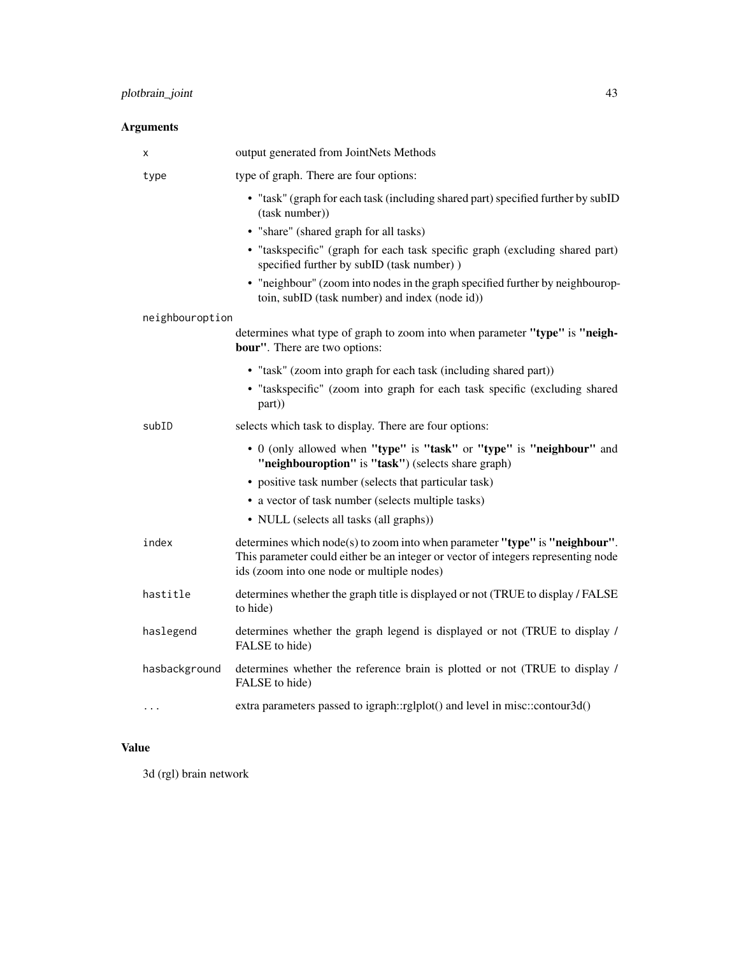# Arguments

| х               | output generated from JointNets Methods                                                                                                                                                                        |
|-----------------|----------------------------------------------------------------------------------------------------------------------------------------------------------------------------------------------------------------|
| type            | type of graph. There are four options:                                                                                                                                                                         |
|                 | • "task" (graph for each task (including shared part) specified further by subID<br>(task number))                                                                                                             |
|                 | • "share" (shared graph for all tasks)                                                                                                                                                                         |
|                 | · "taskspecific" (graph for each task specific graph (excluding shared part)<br>specified further by subID (task number))                                                                                      |
|                 | • "neighbour" (zoom into nodes in the graph specified further by neighbourop-<br>toin, subID (task number) and index (node id))                                                                                |
| neighbouroption |                                                                                                                                                                                                                |
|                 | determines what type of graph to zoom into when parameter "type" is "neigh-<br><b>bour"</b> . There are two options:                                                                                           |
|                 | • "task" (zoom into graph for each task (including shared part))                                                                                                                                               |
|                 | • "taskspecific" (zoom into graph for each task specific (excluding shared<br>part))                                                                                                                           |
| subID           | selects which task to display. There are four options:                                                                                                                                                         |
|                 | • 0 (only allowed when "type" is "task" or "type" is "neighbour" and<br>"neighbouroption" is "task") (selects share graph)                                                                                     |
|                 | • positive task number (selects that particular task)                                                                                                                                                          |
|                 | • a vector of task number (selects multiple tasks)                                                                                                                                                             |
|                 | • NULL (selects all tasks (all graphs))                                                                                                                                                                        |
| index           | determines which node(s) to zoom into when parameter "type" is "neighbour".<br>This parameter could either be an integer or vector of integers representing node<br>ids (zoom into one node or multiple nodes) |
| hastitle        | determines whether the graph title is displayed or not (TRUE to display / FALSE<br>to hide)                                                                                                                    |
| haslegend       | determines whether the graph legend is displayed or not (TRUE to display /<br>FALSE to hide)                                                                                                                   |
| hasbackground   | determines whether the reference brain is plotted or not (TRUE to display /<br>FALSE to hide)                                                                                                                  |
| .               | extra parameters passed to igraph::rglplot() and level in misc::contour3d()                                                                                                                                    |

# Value

3d (rgl) brain network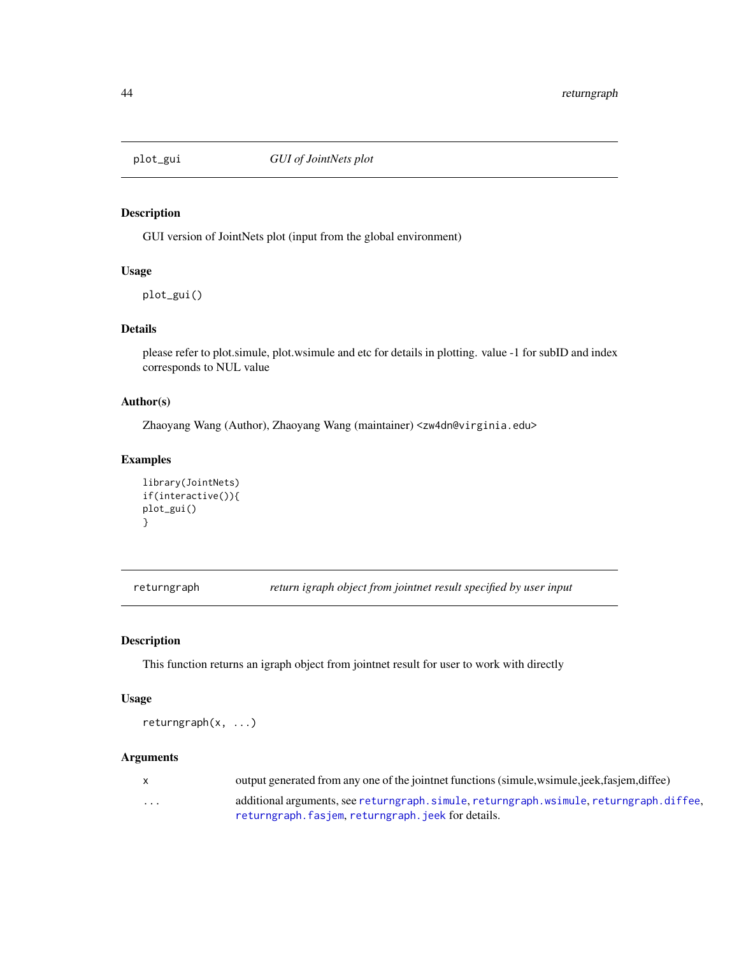<span id="page-43-0"></span>

# Description

GUI version of JointNets plot (input from the global environment)

# Usage

plot\_gui()

# Details

please refer to plot.simule, plot.wsimule and etc for details in plotting. value -1 for subID and index corresponds to NUL value

#### Author(s)

Zhaoyang Wang (Author), Zhaoyang Wang (maintainer) <zw4dn@virginia.edu>

# Examples

```
library(JointNets)
if(interactive()){
plot_gui()
}
```
returngraph *return igraph object from jointnet result specified by user input*

# Description

This function returns an igraph object from jointnet result for user to work with directly

# Usage

returngraph(x, ...)

|          | output generated from any one of the jointnet functions (simule, wsimule, jeek, fasjem, diffee) |
|----------|-------------------------------------------------------------------------------------------------|
| $\cdots$ | additional arguments, see returngraph, simule, returngraph, wsimule, returngraph, diffee,       |
|          | returngraph.fasjem.returngraph.jeek for details.                                                |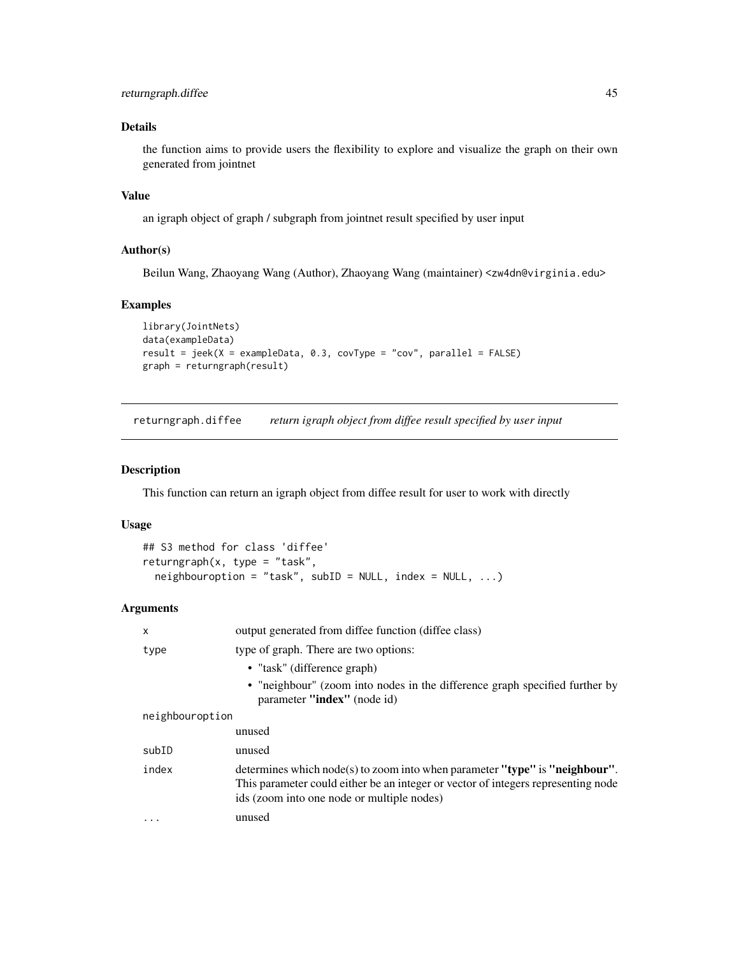# <span id="page-44-0"></span>returngraph.diffee 45

# Details

the function aims to provide users the flexibility to explore and visualize the graph on their own generated from jointnet

# Value

an igraph object of graph / subgraph from jointnet result specified by user input

### Author(s)

Beilun Wang, Zhaoyang Wang (Author), Zhaoyang Wang (maintainer) <zw4dn@virginia.edu>

# Examples

```
library(JointNets)
data(exampleData)
result = jeek(X = exampleData, 0.3, covType = "cov", parallel = FALSE)
graph = returngraph(result)
```
<span id="page-44-1"></span>returngraph.diffee *return igraph object from diffee result specified by user input*

#### Description

This function can return an igraph object from diffee result for user to work with directly

# Usage

```
## S3 method for class 'diffee'
returngraph(x, type = "task",
  neighbouroption = "task", subID = NULL, index = NULL, ...)
```

| X               | output generated from diffee function (diffee class)                                                                                                                                                             |
|-----------------|------------------------------------------------------------------------------------------------------------------------------------------------------------------------------------------------------------------|
| type            | type of graph. There are two options:                                                                                                                                                                            |
|                 | • "task" (difference graph)                                                                                                                                                                                      |
|                 | • "neighbour" (zoom into nodes in the difference graph specified further by<br>parameter "index" (node id)                                                                                                       |
| neighbouroption |                                                                                                                                                                                                                  |
|                 | unused                                                                                                                                                                                                           |
| subID           | unused                                                                                                                                                                                                           |
| index           | determines which $node(s)$ to zoom into when parameter "type" is "neighbour".<br>This parameter could either be an integer or vector of integers representing node<br>ids (zoom into one node or multiple nodes) |
| $\cdots$        | unused                                                                                                                                                                                                           |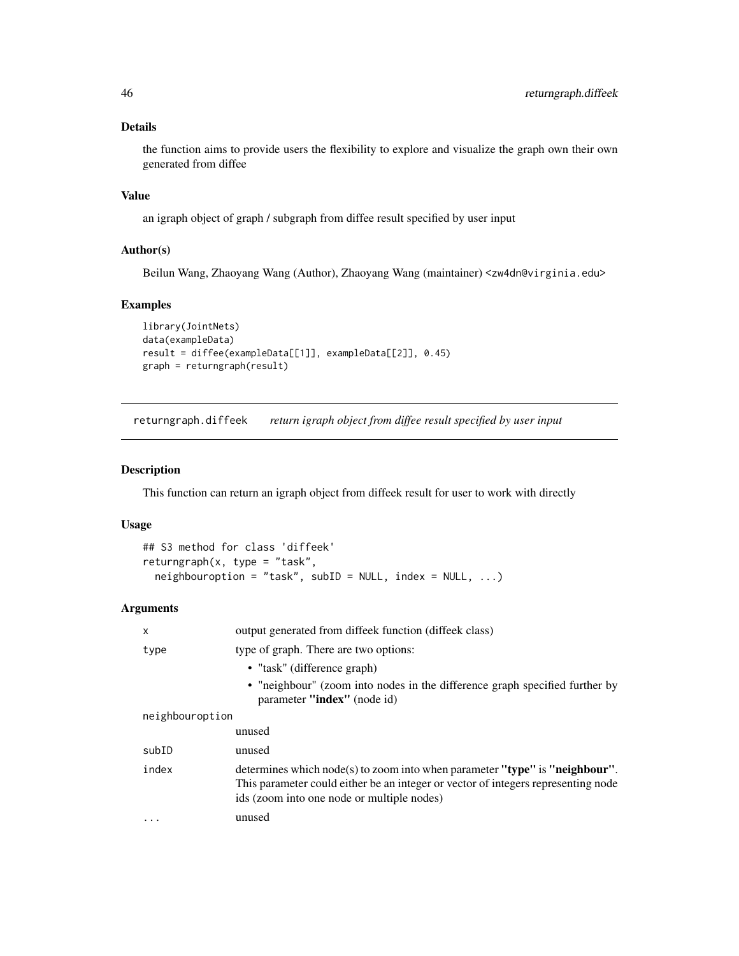<span id="page-45-0"></span>the function aims to provide users the flexibility to explore and visualize the graph own their own generated from diffee

# Value

an igraph object of graph / subgraph from diffee result specified by user input

#### Author(s)

Beilun Wang, Zhaoyang Wang (Author), Zhaoyang Wang (maintainer) <zw4dn@virginia.edu>

# Examples

```
library(JointNets)
data(exampleData)
result = diffee(exampleData[[1]], exampleData[[2]], 0.45)
graph = returngraph(result)
```
returngraph.diffeek *return igraph object from diffee result specified by user input*

#### Description

This function can return an igraph object from diffeek result for user to work with directly

#### Usage

```
## S3 method for class 'diffeek'
returngraph(x, type = "task",
 neighbouroption = "task", subID = NULL, index = NULL, ...)
```

| X               | output generated from diffeek function (diffeek class)                                                                                                                                                         |
|-----------------|----------------------------------------------------------------------------------------------------------------------------------------------------------------------------------------------------------------|
| type            | type of graph. There are two options:                                                                                                                                                                          |
|                 | • "task" (difference graph)                                                                                                                                                                                    |
|                 | • "neighbour" (zoom into nodes in the difference graph specified further by<br>parameter "index" (node id)                                                                                                     |
| neighbouroption |                                                                                                                                                                                                                |
|                 | unused                                                                                                                                                                                                         |
| subID           | unused                                                                                                                                                                                                         |
| index           | determines which node(s) to zoom into when parameter "type" is "neighbour".<br>This parameter could either be an integer or vector of integers representing node<br>ids (zoom into one node or multiple nodes) |
| $\cdots$        | unused                                                                                                                                                                                                         |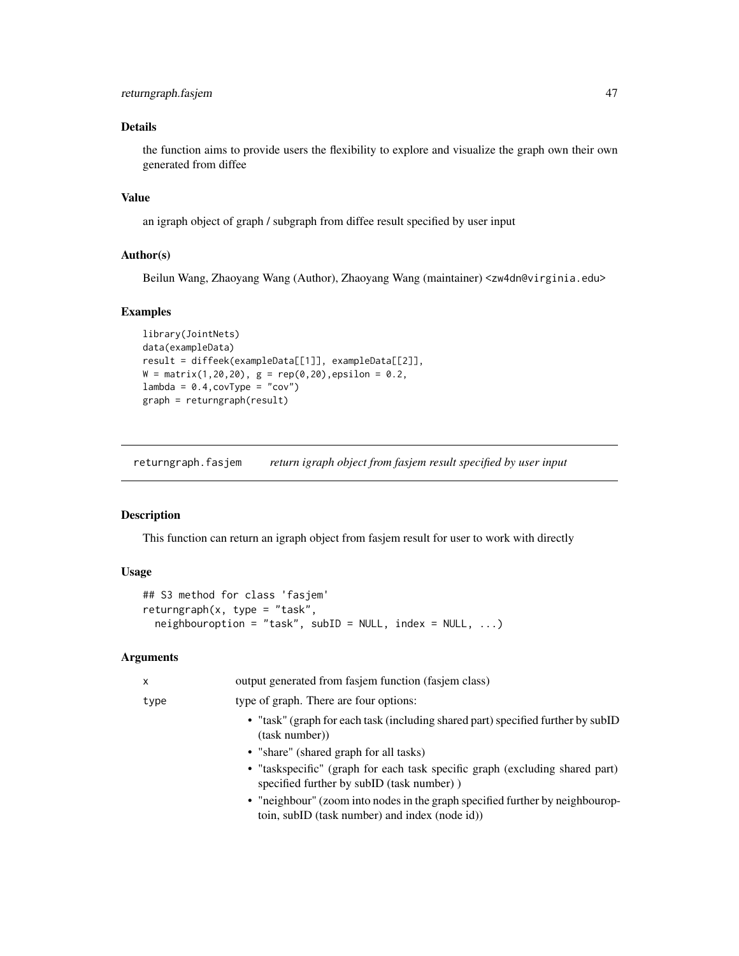<span id="page-46-0"></span>the function aims to provide users the flexibility to explore and visualize the graph own their own generated from diffee

# Value

an igraph object of graph / subgraph from diffee result specified by user input

#### Author(s)

Beilun Wang, Zhaoyang Wang (Author), Zhaoyang Wang (maintainer) <zw4dn@virginia.edu>

# Examples

```
library(JointNets)
data(exampleData)
result = diffeek(exampleData[[1]], exampleData[[2]],
W = matrix(1, 20, 20), g = rep(0, 20), epsilon = 0.2,lambda = 0.4, covType = "cov")graph = returngraph(result)
```
<span id="page-46-1"></span>returngraph.fasjem *return igraph object from fasjem result specified by user input*

# Description

This function can return an igraph object from fasjem result for user to work with directly

# Usage

```
## S3 method for class 'fasjem'
returngraph(x, type = "task",
  neighbouroption = "task", subID = NULL, index = NULL, ...)
```

| x    | output generated from fasjem function (fasjem class)                                                                            |
|------|---------------------------------------------------------------------------------------------------------------------------------|
| type | type of graph. There are four options:                                                                                          |
|      | • "task" (graph for each task (including shared part) specified further by subID<br>(task number))                              |
|      | • "share" (shared graph for all tasks)                                                                                          |
|      | • "taskspecific" (graph for each task specific graph (excluding shared part)<br>specified further by subID (task number))       |
|      | • "neighbour" (zoom into nodes in the graph specified further by neighbourop-<br>toin, subID (task number) and index (node id)) |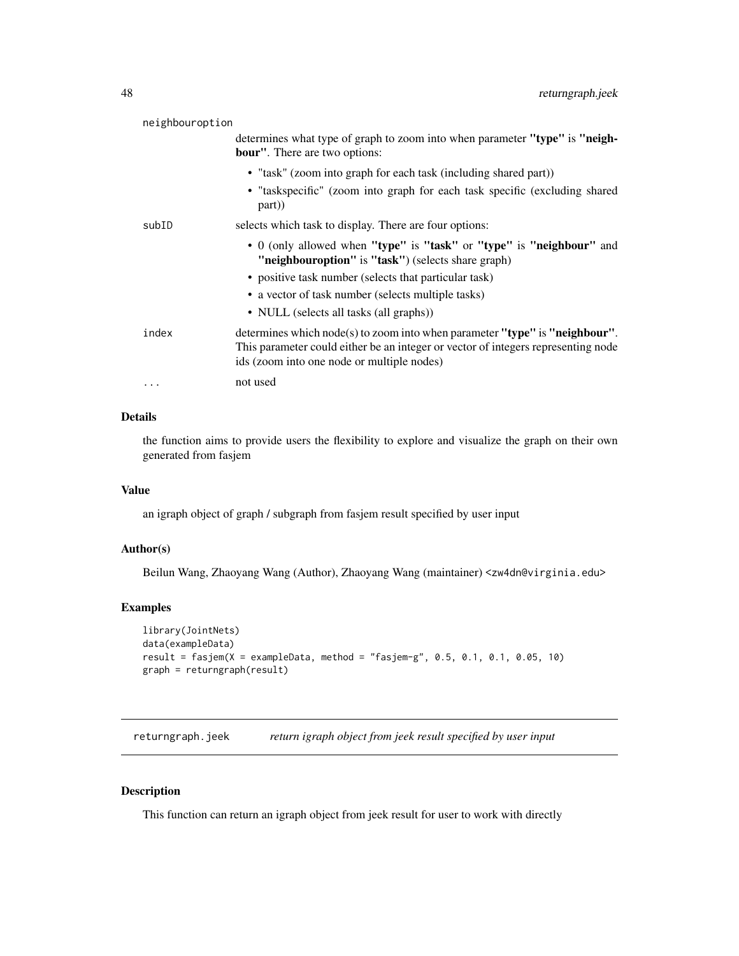<span id="page-47-0"></span>

| neighbouroption |                                                                                                                                                                                                                |
|-----------------|----------------------------------------------------------------------------------------------------------------------------------------------------------------------------------------------------------------|
|                 | determines what type of graph to zoom into when parameter "type" is "neigh-<br><b>bour</b> ". There are two options:                                                                                           |
|                 | • "task" (zoom into graph for each task (including shared part))                                                                                                                                               |
|                 | • "taskspecific" (zoom into graph for each task specific (excluding shared<br>part)                                                                                                                            |
| subID           | selects which task to display. There are four options:                                                                                                                                                         |
|                 | • 0 (only allowed when "type" is "task" or "type" is "neighbour" and<br>"neighbouroption" is "task") (selects share graph)                                                                                     |
|                 | • positive task number (selects that particular task)                                                                                                                                                          |
|                 | • a vector of task number (selects multiple tasks)                                                                                                                                                             |
|                 | • NULL (selects all tasks (all graphs))                                                                                                                                                                        |
| index           | determines which node(s) to zoom into when parameter "type" is "neighbour".<br>This parameter could either be an integer or vector of integers representing node<br>ids (zoom into one node or multiple nodes) |
| .               | not used                                                                                                                                                                                                       |
|                 |                                                                                                                                                                                                                |

the function aims to provide users the flexibility to explore and visualize the graph on their own generated from fasjem

#### Value

an igraph object of graph / subgraph from fasjem result specified by user input

# Author(s)

Beilun Wang, Zhaoyang Wang (Author), Zhaoyang Wang (maintainer) <zw4dn@virginia.edu>

# Examples

```
library(JointNets)
data(exampleData)
result = fasjem(X = exampleData, method = "fasjem-g", 0.5, 0.1, 0.1, 0.05, 10)
graph = returngraph(result)
```
<span id="page-47-1"></span>returngraph.jeek *return igraph object from jeek result specified by user input*

# Description

This function can return an igraph object from jeek result for user to work with directly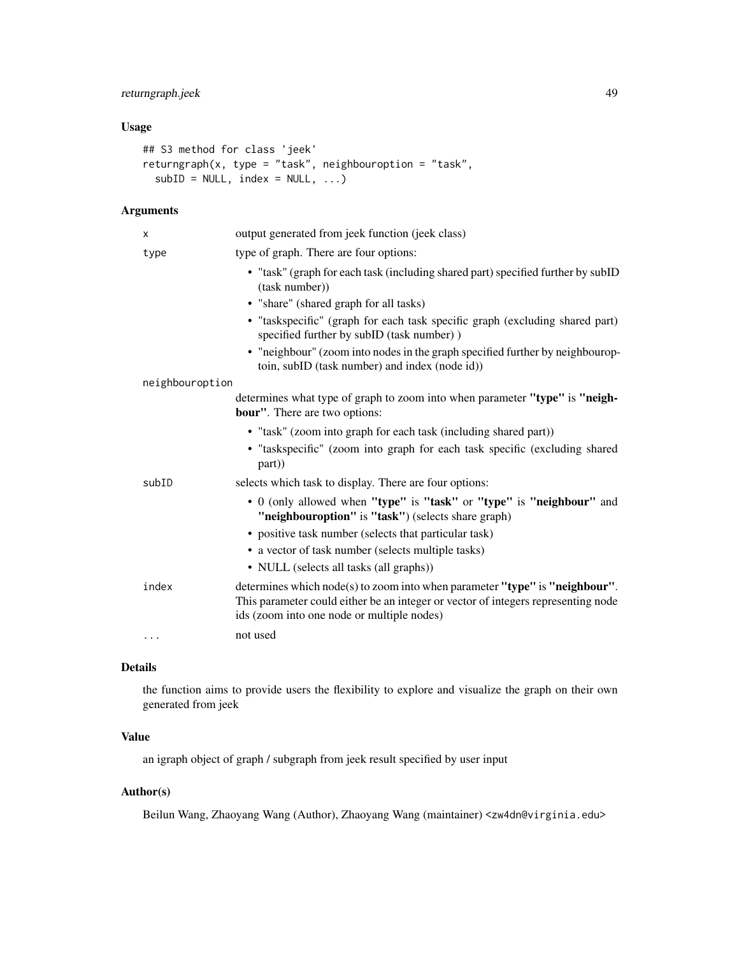# returngraph.jeek 49

# Usage

```
## S3 method for class 'jeek'
returngraph(x, type = "task", neighbouroption = "task",
 subID = NULL, index = NULL, ...)
```
# Arguments

| x               | output generated from jeek function (jeek class)                                                                                                                                                               |
|-----------------|----------------------------------------------------------------------------------------------------------------------------------------------------------------------------------------------------------------|
| type            | type of graph. There are four options:                                                                                                                                                                         |
|                 | • "task" (graph for each task (including shared part) specified further by subID<br>(task number))                                                                                                             |
|                 | • "share" (shared graph for all tasks)                                                                                                                                                                         |
|                 | · "taskspecific" (graph for each task specific graph (excluding shared part)<br>specified further by subID (task number))                                                                                      |
|                 | • "neighbour" (zoom into nodes in the graph specified further by neighbourop-<br>toin, subID (task number) and index (node id))                                                                                |
| neighbouroption |                                                                                                                                                                                                                |
|                 | determines what type of graph to zoom into when parameter "type" is "neigh-<br><b>bour"</b> . There are two options:                                                                                           |
|                 | • "task" (zoom into graph for each task (including shared part))<br>• "taskspecific" (zoom into graph for each task specific (excluding shared<br>part)                                                        |
| subID           | selects which task to display. There are four options:                                                                                                                                                         |
|                 | • 0 (only allowed when "type" is "task" or "type" is "neighbour" and<br>"neighbouroption" is "task") (selects share graph)                                                                                     |
|                 | • positive task number (selects that particular task)                                                                                                                                                          |
|                 | • a vector of task number (selects multiple tasks)                                                                                                                                                             |
|                 | • NULL (selects all tasks (all graphs))                                                                                                                                                                        |
| index           | determines which node(s) to zoom into when parameter "type" is "neighbour".<br>This parameter could either be an integer or vector of integers representing node<br>ids (zoom into one node or multiple nodes) |
| $\cdots$        | not used                                                                                                                                                                                                       |

# Details

the function aims to provide users the flexibility to explore and visualize the graph on their own generated from jeek

# Value

an igraph object of graph / subgraph from jeek result specified by user input

# Author(s)

Beilun Wang, Zhaoyang Wang (Author), Zhaoyang Wang (maintainer) <zw4dn@virginia.edu>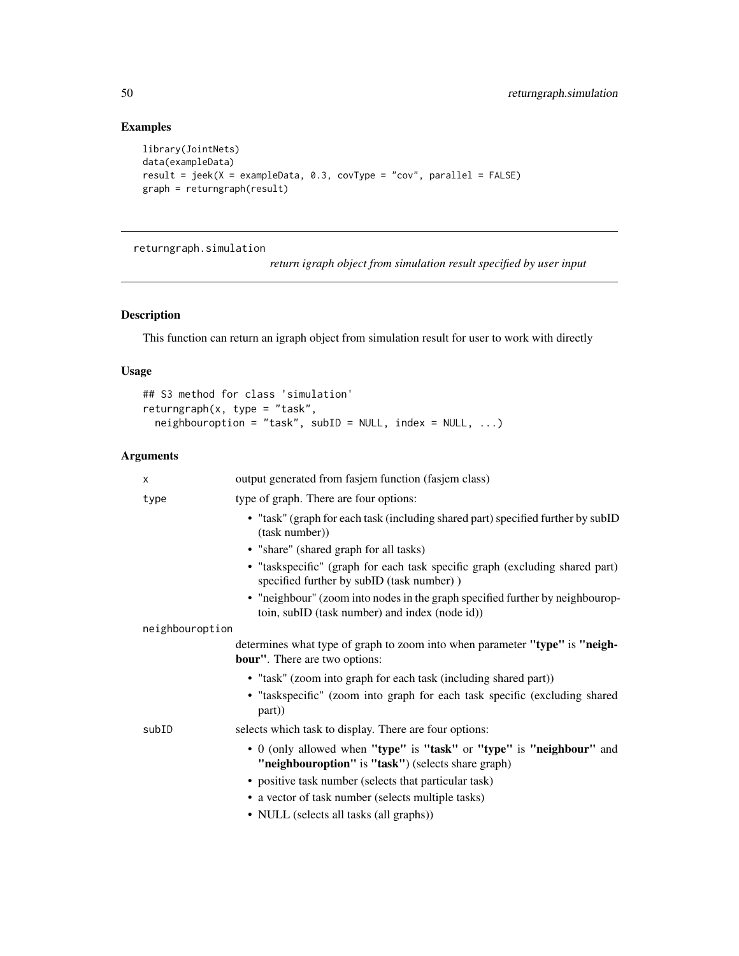# Examples

```
library(JointNets)
data(exampleData)
result = jeek(X = exampleData, 0.3, covType = "cov", parallel = FALSE)
graph = returngraph(result)
```
returngraph.simulation

*return igraph object from simulation result specified by user input*

# Description

This function can return an igraph object from simulation result for user to work with directly

# Usage

```
## S3 method for class 'simulation'
returngraph(x, type = "task",
 neighbouroption = "task", subID = NULL, index = NULL, ...)
```

| X               | output generated from fasjem function (fasjem class)                                                                            |
|-----------------|---------------------------------------------------------------------------------------------------------------------------------|
| type            | type of graph. There are four options:                                                                                          |
|                 | • "task" (graph for each task (including shared part) specified further by subID<br>(task number))                              |
|                 | • "share" (shared graph for all tasks)                                                                                          |
|                 | • "taskspecific" (graph for each task specific graph (excluding shared part)<br>specified further by subID (task number))       |
|                 | • "neighbour" (zoom into nodes in the graph specified further by neighbourop-<br>toin, subID (task number) and index (node id)) |
| neighbouroption |                                                                                                                                 |
|                 | determines what type of graph to zoom into when parameter "type" is "neigh-<br><b>bour"</b> . There are two options:            |
|                 | • "task" (zoom into graph for each task (including shared part))                                                                |
|                 | · "taskspecific" (zoom into graph for each task specific (excluding shared<br>part)                                             |
| subID           | selects which task to display. There are four options:                                                                          |
|                 | • 0 (only allowed when "type" is "task" or "type" is "neighbour" and<br>"neighbouroption" is "task") (selects share graph)      |
|                 | • positive task number (selects that particular task)                                                                           |
|                 | • a vector of task number (selects multiple tasks)                                                                              |
|                 | • NULL (selects all tasks (all graphs))                                                                                         |

<span id="page-49-0"></span>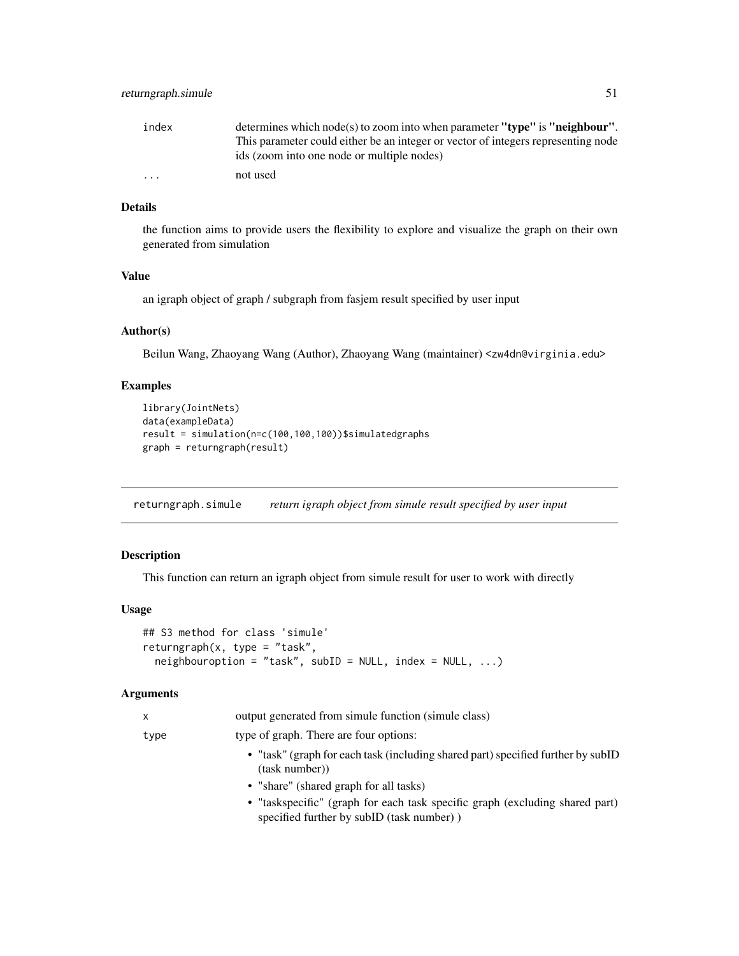<span id="page-50-0"></span>

| index    | determines which node(s) to zoom into when parameter "type" is "neighbour".       |
|----------|-----------------------------------------------------------------------------------|
|          | This parameter could either be an integer or vector of integers representing node |
|          | ids (zoom into one node or multiple nodes)                                        |
| $\cdots$ | not used                                                                          |

the function aims to provide users the flexibility to explore and visualize the graph on their own generated from simulation

#### Value

an igraph object of graph / subgraph from fasjem result specified by user input

# Author(s)

Beilun Wang, Zhaoyang Wang (Author), Zhaoyang Wang (maintainer) <zw4dn@virginia.edu>

# Examples

```
library(JointNets)
data(exampleData)
result = simulation(n=c(100,100,100))$simulatedgraphs
graph = returngraph(result)
```
<span id="page-50-1"></span>returngraph.simule *return igraph object from simule result specified by user input*

#### Description

This function can return an igraph object from simule result for user to work with directly

#### Usage

```
## S3 method for class 'simule'
returngraph(x, type = "task",neighbouroption = "task", subID = NULL, index = NULL, ...)
```

| x    | output generated from simule function (simule class)                                                                      |
|------|---------------------------------------------------------------------------------------------------------------------------|
| type | type of graph. There are four options:                                                                                    |
|      | • "task" (graph for each task (including shared part) specified further by subID<br>(task number))                        |
|      | • "share" (shared graph for all tasks)                                                                                    |
|      | • "taskspecific" (graph for each task specific graph (excluding shared part)<br>specified further by subID (task number)) |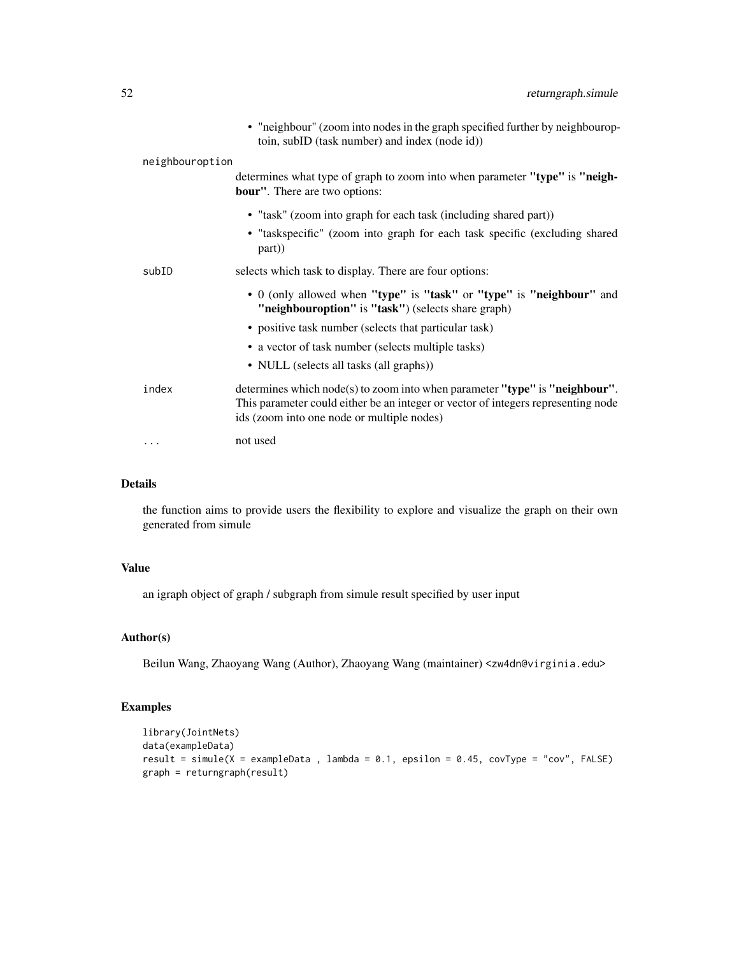|                 |       | • "neighbour" (zoom into nodes in the graph specified further by neighbourop-<br>toin, subID (task number) and index (node id))                                                                                |
|-----------------|-------|----------------------------------------------------------------------------------------------------------------------------------------------------------------------------------------------------------------|
| neighbouroption |       |                                                                                                                                                                                                                |
|                 |       | determines what type of graph to zoom into when parameter "type" is "neigh-<br><b>bour"</b> . There are two options:                                                                                           |
|                 |       | • "task" (zoom into graph for each task (including shared part))                                                                                                                                               |
|                 |       | • "taskspecific" (zoom into graph for each task specific (excluding shared<br>part))                                                                                                                           |
|                 | subID | selects which task to display. There are four options:                                                                                                                                                         |
|                 |       | • 0 (only allowed when "type" is "task" or "type" is "neighbour" and<br>"neighbouroption" is "task") (selects share graph)                                                                                     |
|                 |       | • positive task number (selects that particular task)                                                                                                                                                          |
|                 |       | • a vector of task number (selects multiple tasks)                                                                                                                                                             |
|                 |       | • NULL (selects all tasks (all graphs))                                                                                                                                                                        |
|                 | index | determines which node(s) to zoom into when parameter "type" is "neighbour".<br>This parameter could either be an integer or vector of integers representing node<br>ids (zoom into one node or multiple nodes) |
|                 | .     | not used                                                                                                                                                                                                       |
|                 |       |                                                                                                                                                                                                                |

the function aims to provide users the flexibility to explore and visualize the graph on their own generated from simule

# Value

an igraph object of graph / subgraph from simule result specified by user input

# Author(s)

Beilun Wang, Zhaoyang Wang (Author), Zhaoyang Wang (maintainer) <zw4dn@virginia.edu>

### Examples

```
library(JointNets)
data(exampleData)
result = simule(X = exampleData, lambda = 0.1, epsilon = 0.45, covType = "cov", FALSE)
graph = returngraph(result)
```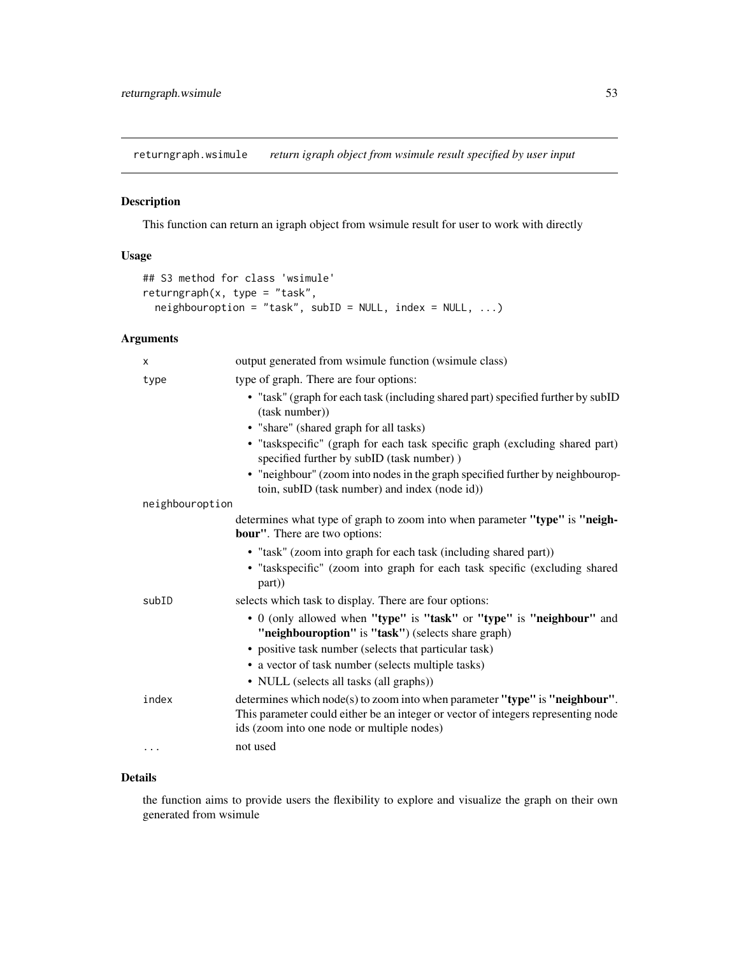<span id="page-52-1"></span><span id="page-52-0"></span>returngraph.wsimule *return igraph object from wsimule result specified by user input*

# Description

This function can return an igraph object from wsimule result for user to work with directly

# Usage

```
## S3 method for class 'wsimule'
returngraph(x, type = "task",
 neighboroption = "task", subID = NULL, index = NULL, ...)
```
# Arguments

| X               | output generated from wsimule function (wsimule class)                                                                                                                                                           |
|-----------------|------------------------------------------------------------------------------------------------------------------------------------------------------------------------------------------------------------------|
| type            | type of graph. There are four options:                                                                                                                                                                           |
|                 | • "task" (graph for each task (including shared part) specified further by subID<br>(task number))                                                                                                               |
|                 | • "share" (shared graph for all tasks)                                                                                                                                                                           |
|                 | • "taskspecific" (graph for each task specific graph (excluding shared part)<br>specified further by subID (task number))                                                                                        |
|                 | • "neighbour" (zoom into nodes in the graph specified further by neighbourop-<br>toin, subID (task number) and index (node id))                                                                                  |
| neighbouroption |                                                                                                                                                                                                                  |
|                 | determines what type of graph to zoom into when parameter "type" is "neigh-<br><b>bour"</b> . There are two options:                                                                                             |
|                 | • "task" (zoom into graph for each task (including shared part))                                                                                                                                                 |
|                 | · "taskspecific" (zoom into graph for each task specific (excluding shared<br>part))                                                                                                                             |
| subID           | selects which task to display. There are four options:                                                                                                                                                           |
|                 | • 0 (only allowed when "type" is "task" or "type" is "neighbour" and<br>"neighbouroption" is "task") (selects share graph)                                                                                       |
|                 | • positive task number (selects that particular task)                                                                                                                                                            |
|                 | • a vector of task number (selects multiple tasks)                                                                                                                                                               |
|                 | • NULL (selects all tasks (all graphs))                                                                                                                                                                          |
| index           | determines which $node(s)$ to zoom into when parameter "type" is "neighbour".<br>This parameter could either be an integer or vector of integers representing node<br>ids (zoom into one node or multiple nodes) |
| $\cdots$        | not used                                                                                                                                                                                                         |

# Details

the function aims to provide users the flexibility to explore and visualize the graph on their own generated from wsimule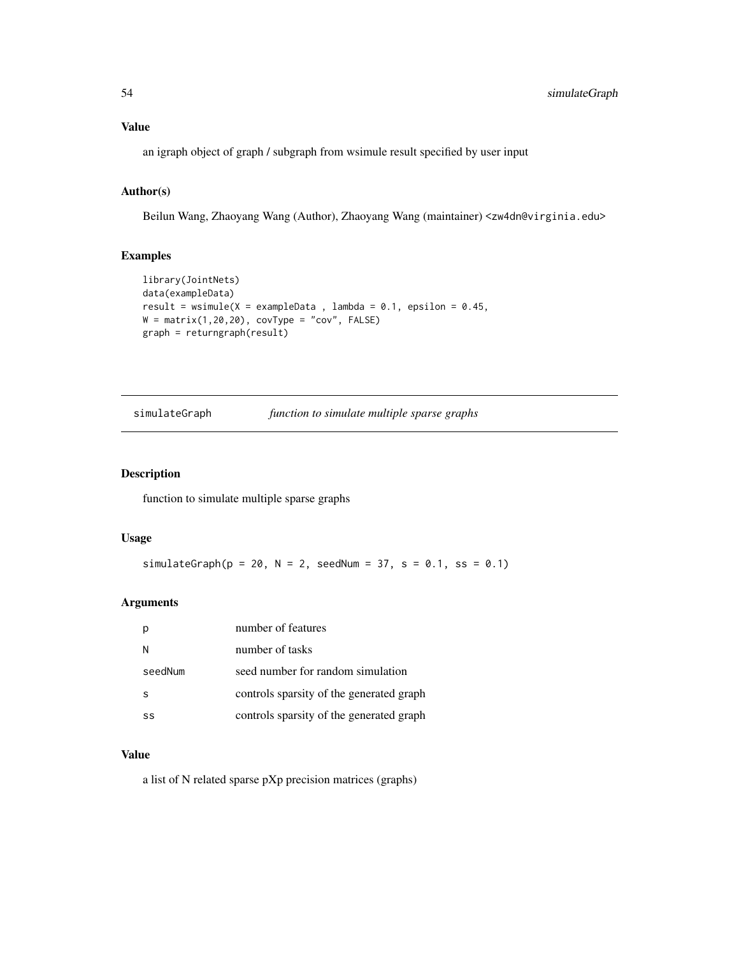# <span id="page-53-0"></span>Value

an igraph object of graph / subgraph from wsimule result specified by user input

# Author(s)

Beilun Wang, Zhaoyang Wang (Author), Zhaoyang Wang (maintainer) <zw4dn@virginia.edu>

# Examples

```
library(JointNets)
data(exampleData)
result = wsimule(X = exampleData, lambda = 0.1, epsilon = 0.45,
W = matrix(1, 20, 20), covType = "cov", FALSE)
graph = returngraph(result)
```
simulateGraph *function to simulate multiple sparse graphs*

#### Description

function to simulate multiple sparse graphs

# Usage

simulateGraph( $p = 20$ ,  $N = 2$ , seedNum = 37, s = 0.1, ss = 0.1)

#### Arguments

|         | number of features                       |
|---------|------------------------------------------|
| N       | number of tasks                          |
| seedNum | seed number for random simulation        |
| S       | controls sparsity of the generated graph |
| SS      | controls sparsity of the generated graph |

#### Value

a list of N related sparse pXp precision matrices (graphs)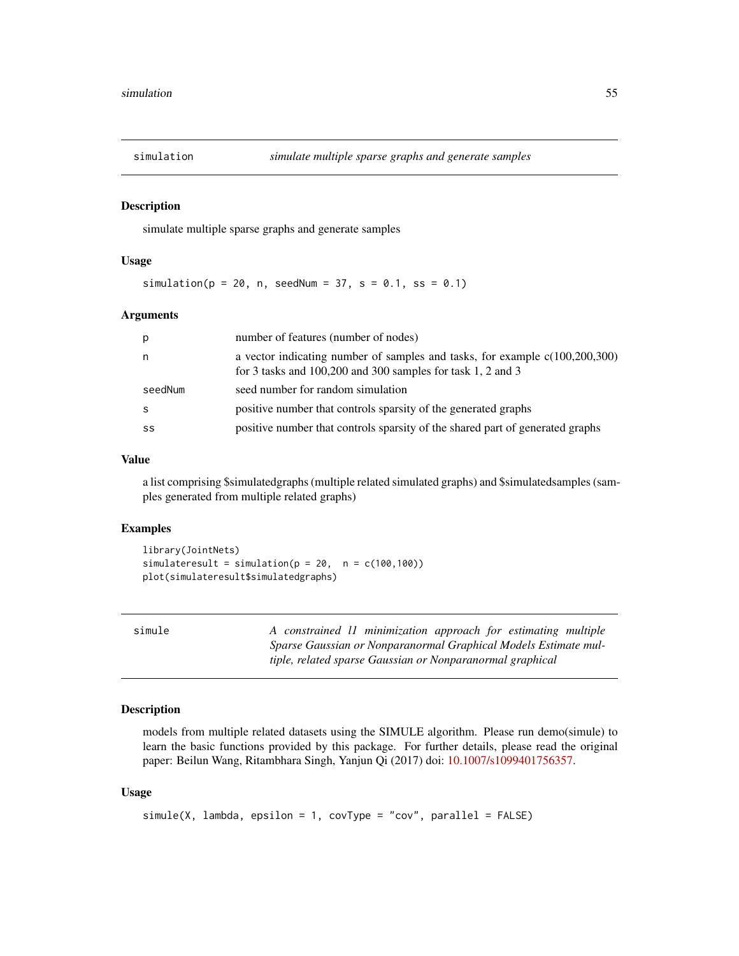<span id="page-54-0"></span>

#### Description

simulate multiple sparse graphs and generate samples

#### Usage

simulation( $p = 20$ , n, seedNum = 37, s = 0.1, ss = 0.1)

#### Arguments

| р       | number of features (number of nodes)                                                                                                             |
|---------|--------------------------------------------------------------------------------------------------------------------------------------------------|
| n       | a vector indicating number of samples and tasks, for example $c(100,200,300)$<br>for 3 tasks and $100,200$ and $300$ samples for task 1, 2 and 3 |
| seedNum | seed number for random simulation                                                                                                                |
| S       | positive number that controls sparsity of the generated graphs                                                                                   |
| SS      | positive number that controls sparsity of the shared part of generated graphs                                                                    |

### Value

a list comprising \$simulatedgraphs (multiple related simulated graphs) and \$simulatedsamples (samples generated from multiple related graphs)

#### Examples

```
library(JointNets)
simulateresult = simulation(p = 20, n = c(100, 100))
plot(simulateresult$simulatedgraphs)
```

| simule |  |
|--------|--|
|        |  |

A constrained *l1 minimization approach for estimating multiple Sparse Gaussian or Nonparanormal Graphical Models Estimate multiple, related sparse Gaussian or Nonparanormal graphical*

# Description

models from multiple related datasets using the SIMULE algorithm. Please run demo(simule) to learn the basic functions provided by this package. For further details, please read the original paper: Beilun Wang, Ritambhara Singh, Yanjun Qi (2017) doi: [10.1007/s1099401756357.](http://doi.org/10.1007/s10994-017-5635-7)

#### Usage

```
simle(X, lambda, epsilon = 1, covType = "cov", parallel = FALSE)
```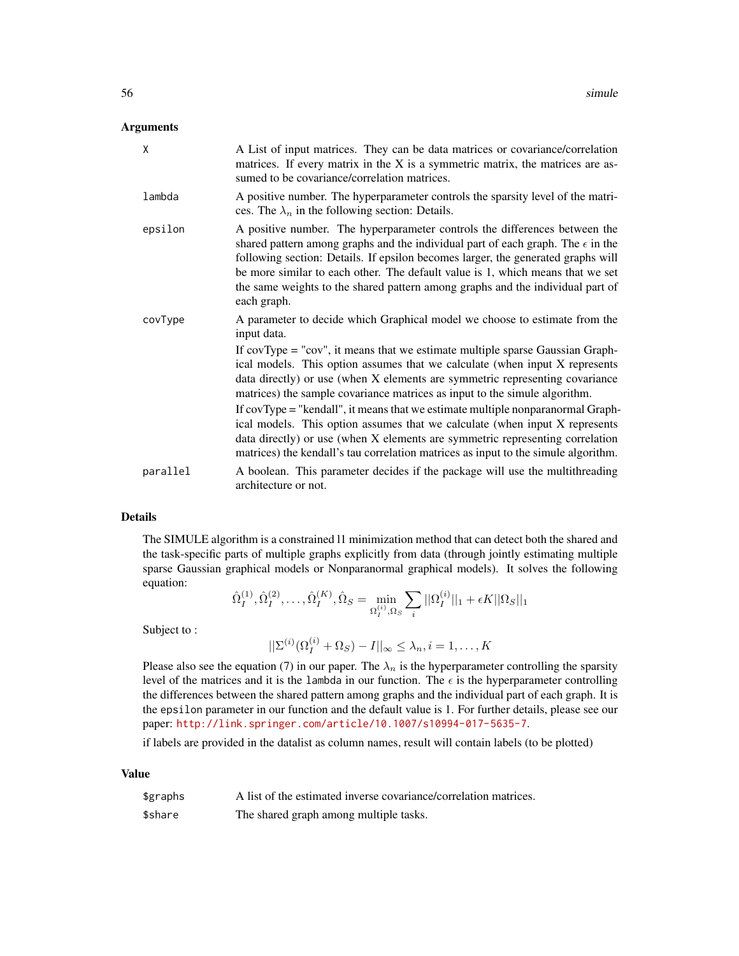#### Arguments

| X        | A List of input matrices. They can be data matrices or covariance/correlation<br>matrices. If every matrix in the X is a symmetric matrix, the matrices are as-<br>sumed to be covariance/correlation matrices.                                                                                                                                                                                                                               |  |
|----------|-----------------------------------------------------------------------------------------------------------------------------------------------------------------------------------------------------------------------------------------------------------------------------------------------------------------------------------------------------------------------------------------------------------------------------------------------|--|
| lambda   | A positive number. The hyperparameter controls the sparsity level of the matri-<br>ces. The $\lambda_n$ in the following section: Details.                                                                                                                                                                                                                                                                                                    |  |
| epsilon  | A positive number. The hyperparameter controls the differences between the<br>shared pattern among graphs and the individual part of each graph. The $\epsilon$ in the<br>following section: Details. If epsilon becomes larger, the generated graphs will<br>be more similar to each other. The default value is 1, which means that we set<br>the same weights to the shared pattern among graphs and the individual part of<br>each graph. |  |
| covType  | A parameter to decide which Graphical model we choose to estimate from the<br>input data.                                                                                                                                                                                                                                                                                                                                                     |  |
|          | If $covType = "cov",$ it means that we estimate multiple sparse Gaussian Graph-<br>ical models. This option assumes that we calculate (when input X represents<br>data directly) or use (when X elements are symmetric representing covariance<br>matrices) the sample covariance matrices as input to the simule algorithm.                                                                                                                  |  |
|          | If covType = "kendall", it means that we estimate multiple nonparanormal Graph-<br>ical models. This option assumes that we calculate (when input X represents<br>data directly) or use (when X elements are symmetric representing correlation<br>matrices) the kendall's tau correlation matrices as input to the simule algorithm.                                                                                                         |  |
| parallel | A boolean. This parameter decides if the package will use the multithreading<br>architecture or not.                                                                                                                                                                                                                                                                                                                                          |  |

#### Details

The SIMULE algorithm is a constrained l1 minimization method that can detect both the shared and the task-specific parts of multiple graphs explicitly from data (through jointly estimating multiple sparse Gaussian graphical models or Nonparanormal graphical models). It solves the following equation:

$$
\hat{\Omega}_{I}^{(1)}, \hat{\Omega}_{I}^{(2)}, \dots, \hat{\Omega}_{I}^{(K)}, \hat{\Omega}_{S} = \min_{\Omega_{I}^{(i)}, \Omega_{S}} \sum_{i} ||\Omega_{I}^{(i)}||_{1} + \epsilon K ||\Omega_{S}||_{1}
$$

Subject to :

$$
||\Sigma^{(i)}(\Omega^{(i)}_I+\Omega_S)-I||_\infty\leq\lambda_n, i=1,\ldots,K
$$

Please also see the equation (7) in our paper. The  $\lambda_n$  is the hyperparameter controlling the sparsity level of the matrices and it is the lambda in our function. The  $\epsilon$  is the hyperparameter controlling the differences between the shared pattern among graphs and the individual part of each graph. It is the epsilon parameter in our function and the default value is 1. For further details, please see our paper: <http://link.springer.com/article/10.1007/s10994-017-5635-7>.

if labels are provided in the datalist as column names, result will contain labels (to be plotted)

#### Value

| \$graphs | A list of the estimated inverse covariance/correlation matrices. |
|----------|------------------------------------------------------------------|
| \$share  | The shared graph among multiple tasks.                           |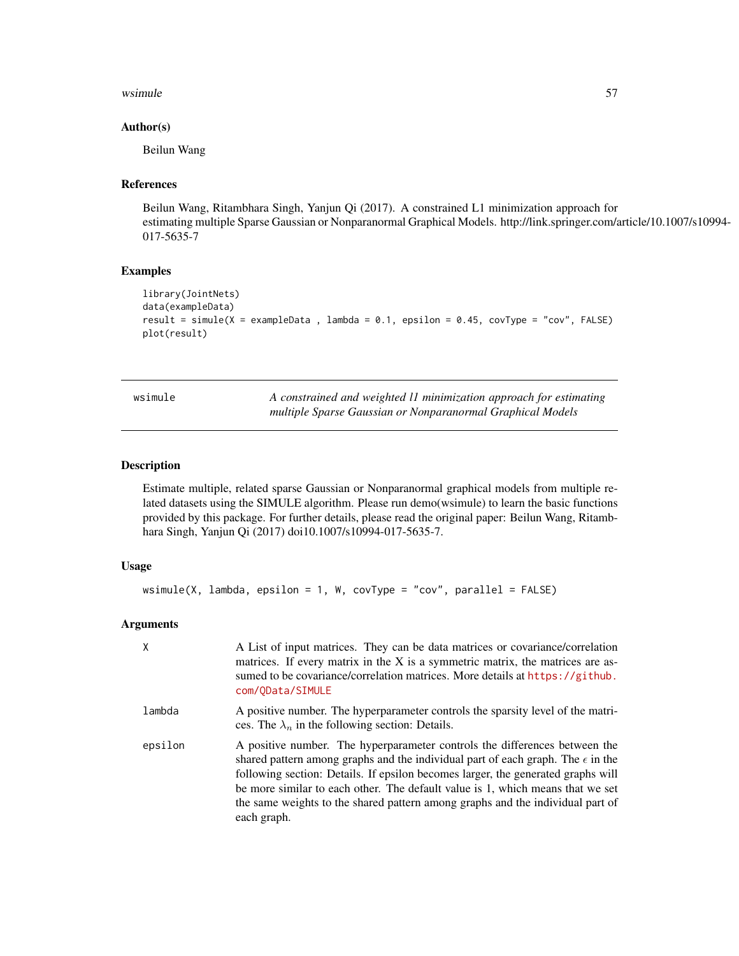#### <span id="page-56-0"></span>wsimule 57

#### Author(s)

Beilun Wang

#### References

Beilun Wang, Ritambhara Singh, Yanjun Qi (2017). A constrained L1 minimization approach for estimating multiple Sparse Gaussian or Nonparanormal Graphical Models. http://link.springer.com/article/10.1007/s10994- 017-5635-7

# Examples

```
library(JointNets)
data(exampleData)
result = simule(X =exampleData, lambda = 0.1, epsilon = 0.45, covType = "cov", FALSE)
plot(result)
```

| wsimule | A constrained and weighted 11 minimization approach for estimating |
|---------|--------------------------------------------------------------------|
|         | multiple Sparse Gaussian or Nonparanormal Graphical Models         |

# Description

Estimate multiple, related sparse Gaussian or Nonparanormal graphical models from multiple related datasets using the SIMULE algorithm. Please run demo(wsimule) to learn the basic functions provided by this package. For further details, please read the original paper: Beilun Wang, Ritambhara Singh, Yanjun Qi (2017) doi10.1007/s10994-017-5635-7.

#### Usage

```
wsimule(X, lambda, epsilon = 1, W, covType = "cov", parallel = FALSE)
```

| X       | A List of input matrices. They can be data matrices or covariance/correlation<br>matrices. If every matrix in the X is a symmetric matrix, the matrices are as-<br>sumed to be covariance/correlation matrices. More details at https://github.<br>com/OData/SIMULE                                                                                                                                                                           |
|---------|-----------------------------------------------------------------------------------------------------------------------------------------------------------------------------------------------------------------------------------------------------------------------------------------------------------------------------------------------------------------------------------------------------------------------------------------------|
| lambda  | A positive number. The hyperparameter controls the sparsity level of the matri-<br>ces. The $\lambda_n$ in the following section: Details.                                                                                                                                                                                                                                                                                                    |
| epsilon | A positive number. The hyperparameter controls the differences between the<br>shared pattern among graphs and the individual part of each graph. The $\epsilon$ in the<br>following section: Details. If epsilon becomes larger, the generated graphs will<br>be more similar to each other. The default value is 1, which means that we set<br>the same weights to the shared pattern among graphs and the individual part of<br>each graph. |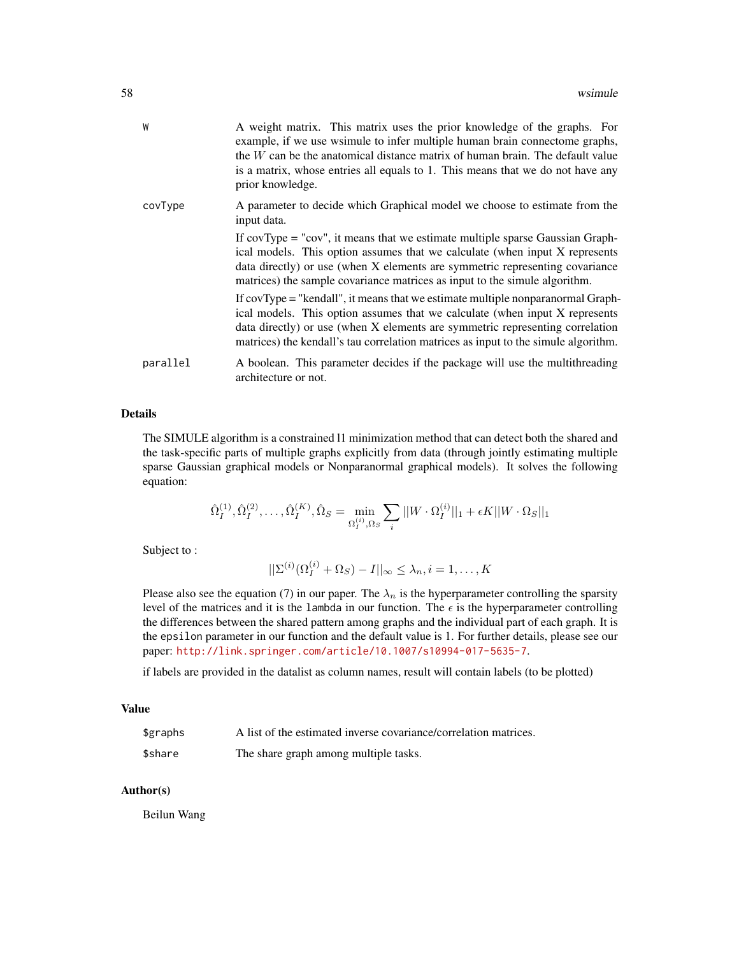| W        | A weight matrix. This matrix uses the prior knowledge of the graphs. For<br>example, if we use wsimule to infer multiple human brain connectome graphs,<br>the W can be the anatomical distance matrix of human brain. The default value<br>is a matrix, whose entries all equals to 1. This means that we do not have any<br>prior knowledge. |
|----------|------------------------------------------------------------------------------------------------------------------------------------------------------------------------------------------------------------------------------------------------------------------------------------------------------------------------------------------------|
| covType  | A parameter to decide which Graphical model we choose to estimate from the<br>input data.                                                                                                                                                                                                                                                      |
|          | If $covType = "cov",$ it means that we estimate multiple sparse Gaussian Graph-<br>ical models. This option assumes that we calculate (when input X represents<br>data directly) or use (when X elements are symmetric representing covariance<br>matrices) the sample covariance matrices as input to the simule algorithm.                   |
|          | If covType = "kendall", it means that we estimate multiple nonparanormal Graph-<br>ical models. This option assumes that we calculate (when input X represents<br>data directly) or use (when X elements are symmetric representing correlation<br>matrices) the kendall's tau correlation matrices as input to the simule algorithm.          |
| parallel | A boolean. This parameter decides if the package will use the multithreading<br>architecture or not.                                                                                                                                                                                                                                           |

The SIMULE algorithm is a constrained l1 minimization method that can detect both the shared and the task-specific parts of multiple graphs explicitly from data (through jointly estimating multiple sparse Gaussian graphical models or Nonparanormal graphical models). It solves the following equation:

$$
\hat{\Omega}_{I}^{(1)}, \hat{\Omega}_{I}^{(2)}, \dots, \hat{\Omega}_{I}^{(K)}, \hat{\Omega}_{S} = \min_{\Omega_{I}^{(i)}, \Omega_{S}} \sum_{i} ||W \cdot \Omega_{I}^{(i)}||_{1} + \epsilon K ||W \cdot \Omega_{S}||_{1}
$$

Subject to :

$$
||\Sigma^{(i)}(\Omega_I^{(i)} + \Omega_S) - I||_{\infty} \leq \lambda_n, i = 1, \dots, K
$$

Please also see the equation (7) in our paper. The  $\lambda_n$  is the hyperparameter controlling the sparsity level of the matrices and it is the lambda in our function. The  $\epsilon$  is the hyperparameter controlling the differences between the shared pattern among graphs and the individual part of each graph. It is the epsilon parameter in our function and the default value is 1. For further details, please see our paper: <http://link.springer.com/article/10.1007/s10994-017-5635-7>.

if labels are provided in the datalist as column names, result will contain labels (to be plotted)

# Value

| \$graphs | A list of the estimated inverse covariance/correlation matrices. |
|----------|------------------------------------------------------------------|
| \$share  | The share graph among multiple tasks.                            |

# Author(s)

Beilun Wang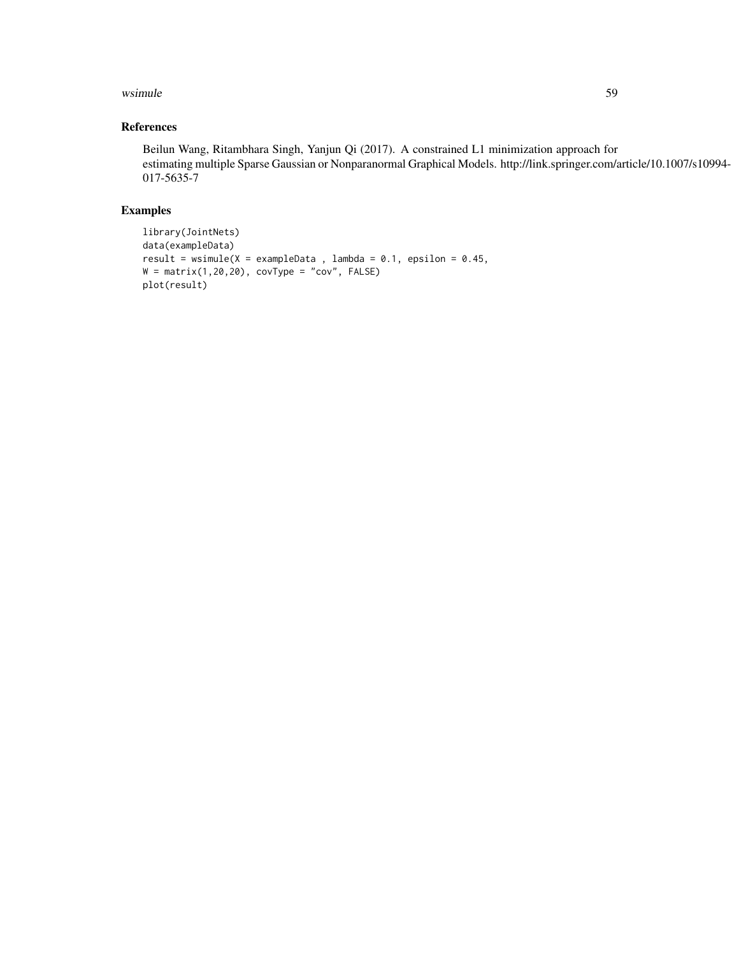#### wsimule 59

# References

Beilun Wang, Ritambhara Singh, Yanjun Qi (2017). A constrained L1 minimization approach for estimating multiple Sparse Gaussian or Nonparanormal Graphical Models. http://link.springer.com/article/10.1007/s10994- 017-5635-7

# Examples

```
library(JointNets)
data(exampleData)
result = wsimule(X =exampleData, lambda = 0.1, epsilon = 0.45,
W = matrix(1, 20, 20), covType = "cov", FALSE)
plot(result)
```